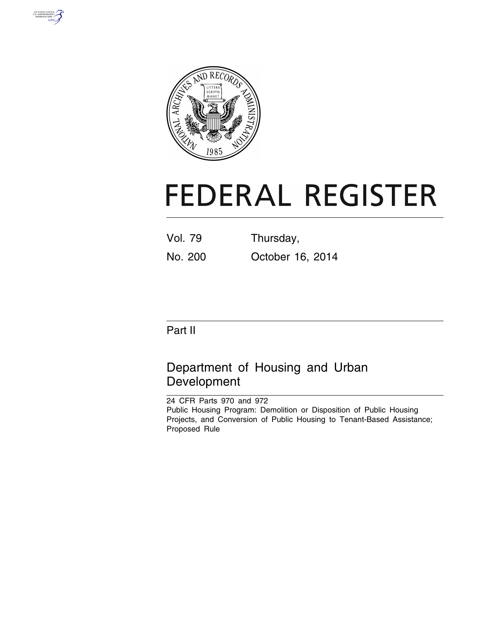



# **FEDERAL REGISTER**

Vol. 79 Thursday, No. 200 October 16, 2014

# Part II

# Department of Housing and Urban Development

24 CFR Parts 970 and 972 Public Housing Program: Demolition or Disposition of Public Housing Projects, and Conversion of Public Housing to Tenant-Based Assistance; Proposed Rule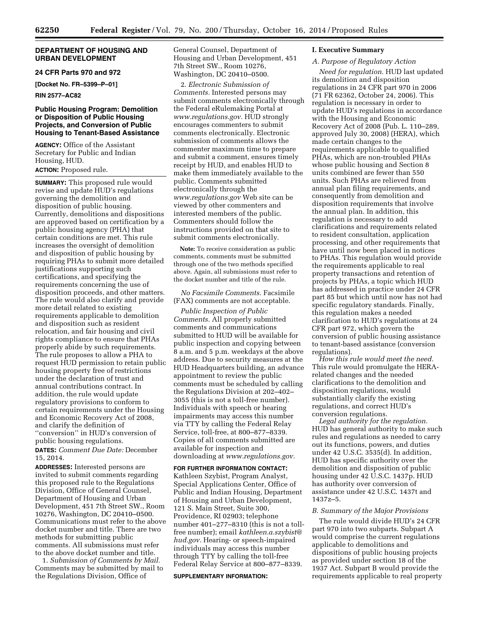# **DEPARTMENT OF HOUSING AND URBAN DEVELOPMENT**

# **24 CFR Parts 970 and 972**

**[Docket No. FR–5399–P–01]** 

**RIN 2577–AC82** 

# **Public Housing Program: Demolition or Disposition of Public Housing Projects, and Conversion of Public Housing to Tenant-Based Assistance**

**AGENCY:** Office of the Assistant Secretary for Public and Indian Housing, HUD. **ACTION:** Proposed rule.

**SUMMARY:** This proposed rule would revise and update HUD's regulations governing the demolition and disposition of public housing. Currently, demolitions and dispositions are approved based on certification by a public housing agency (PHA) that certain conditions are met. This rule increases the oversight of demolition and disposition of public housing by requiring PHAs to submit more detailed justifications supporting such certifications, and specifying the requirements concerning the use of disposition proceeds, and other matters. The rule would also clarify and provide more detail related to existing requirements applicable to demolition and disposition such as resident relocation, and fair housing and civil rights compliance to ensure that PHAs properly abide by such requirements. The rule proposes to allow a PHA to request HUD permission to retain public housing property free of restrictions under the declaration of trust and annual contributions contract. In addition, the rule would update regulatory provisions to conform to certain requirements under the Housing and Economic Recovery Act of 2008, and clarify the definition of ''conversion'' in HUD's conversion of public housing regulations.

**DATES:** *Comment Due Date:* December 15, 2014.

**ADDRESSES:** Interested persons are invited to submit comments regarding this proposed rule to the Regulations Division, Office of General Counsel, Department of Housing and Urban Development, 451 7th Street SW., Room 10276, Washington, DC 20410–0500. Communications must refer to the above docket number and title. There are two methods for submitting public comments. All submissions must refer to the above docket number and title.

1. *Submission of Comments by Mail.*  Comments may be submitted by mail to the Regulations Division, Office of

General Counsel, Department of Housing and Urban Development, 451 7th Street SW., Room 10276, Washington, DC 20410–0500.

2. *Electronic Submission of Comments.* Interested persons may submit comments electronically through the Federal eRulemaking Portal at *[www.regulations.gov.](http://www.regulations.gov)* HUD strongly encourages commenters to submit comments electronically. Electronic submission of comments allows the commenter maximum time to prepare and submit a comment, ensures timely receipt by HUD, and enables HUD to make them immediately available to the public. Comments submitted electronically through the *[www.regulations.gov](http://www.regulations.gov)* Web site can be viewed by other commenters and interested members of the public. Commenters should follow the instructions provided on that site to submit comments electronically.

**Note:** To receive consideration as public comments, comments must be submitted through one of the two methods specified above. Again, all submissions must refer to the docket number and title of the rule.

*No Facsimile Comments.* Facsimile (FAX) comments are not acceptable.

*Public Inspection of Public Comments.* All properly submitted comments and communications submitted to HUD will be available for public inspection and copying between 8 a.m. and 5 p.m. weekdays at the above address. Due to security measures at the HUD Headquarters building, an advance appointment to review the public comments must be scheduled by calling the Regulations Division at 202–402– 3055 (this is not a toll-free number). Individuals with speech or hearing impairments may access this number via TTY by calling the Federal Relay Service, toll-free, at 800–877–8339. Copies of all comments submitted are available for inspection and downloading at *[www.regulations.gov.](http://www.regulations.gov)* 

**FOR FURTHER INFORMATION CONTACT:**  Kathleen Szybist, Program Analyst, Special Applications Center, Office of Public and Indian Housing, Department of Housing and Urban Development, 121 S. Main Street, Suite 300, Providence, RI 02903; telephone number 401–277–8310 (this is not a tollfree number); email *[kathleen.a.szybist@](mailto:kathleen.a.szybist@hud.gov) [hud.gov.](mailto:kathleen.a.szybist@hud.gov)* Hearing- or speech-impaired individuals may access this number through TTY by calling the toll-free Federal Relay Service at 800–877–8339.

#### **SUPPLEMENTARY INFORMATION:**

# **I. Executive Summary**

#### *A. Purpose of Regulatory Action*

*Need for regulation.* HUD last updated its demolition and disposition regulations in 24 CFR part 970 in 2006 (71 FR 62362, October 24, 2006). This regulation is necessary in order to update HUD's regulations in accordance with the Housing and Economic Recovery Act of 2008 (Pub. L. 110–289, approved July 30, 2008) (HERA), which made certain changes to the requirements applicable to qualified PHAs, which are non-troubled PHAs whose public housing and Section 8 units combined are fewer than 550 units. Such PHAs are relieved from annual plan filing requirements, and consequently from demolition and disposition requirements that involve the annual plan. In addition, this regulation is necessary to add clarifications and requirements related to resident consultation, application processing, and other requirements that have until now been placed in notices to PHAs. This regulation would provide the requirements applicable to real property transactions and retention of projects by PHAs, a topic which HUD has addressed in practice under 24 CFR part 85 but which until now has not had specific regulatory standards. Finally, this regulation makes a needed clarification to HUD's regulations at 24 CFR part 972, which govern the conversion of public housing assistance to tenant-based assistance (conversion regulations).

*How this rule would meet the need.*  This rule would promulgate the HERArelated changes and the needed clarifications to the demolition and disposition regulations, would substantially clarify the existing regulations, and correct HUD's conversion regulations.

*Legal authority for the regulation.*  HUD has general authority to make such rules and regulations as needed to carry out its functions, powers, and duties under 42 U.S.C. 3535(d). In addition, HUD has specific authority over the demolition and disposition of public housing under 42 U.S.C. 1437p. HUD has authority over conversion of assistance under 42 U.S.C. 1437t and 1437z–5.

#### *B. Summary of the Major Provisions*

The rule would divide HUD's 24 CFR part 970 into two subparts. Subpart A would comprise the current regulations applicable to demolitions and dispositions of public housing projects as provided under section 18 of the 1937 Act. Subpart B would provide the requirements applicable to real property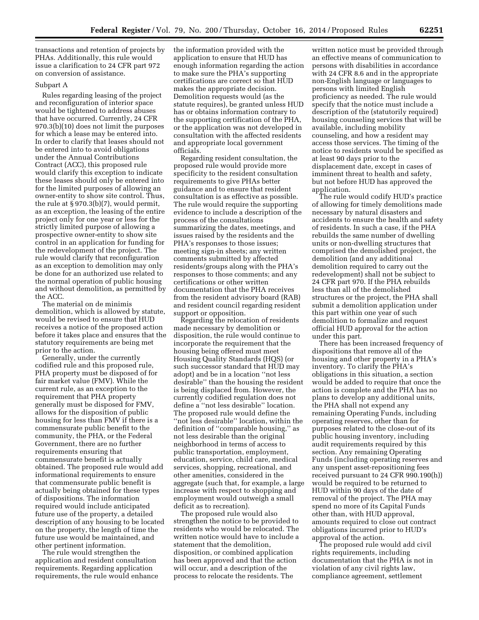transactions and retention of projects by PHAs. Additionally, this rule would issue a clarification to 24 CFR part 972 on conversion of assistance.

#### Subpart A

Rules regarding leasing of the project and reconfiguration of interior space would be tightened to address abuses that have occurred. Currently, 24 CFR 970.3(b)(10) does not limit the purposes for which a lease may be entered into. In order to clarify that leases should not be entered into to avoid obligations under the Annual Contributions Contract (ACC), this proposed rule would clarify this exception to indicate these leases should only be entered into for the limited purposes of allowing an owner-entity to show site control. Thus, the rule at § 970.3(b)(7), would permit, as an exception, the leasing of the entire project only for one year or less for the strictly limited purpose of allowing a prospective owner-entity to show site control in an application for funding for the redevelopment of the project. The rule would clarify that reconfiguration as an exception to demolition may only be done for an authorized use related to the normal operation of public housing and without demolition, as permitted by the ACC.

The material on de minimis demolition, which is allowed by statute, would be revised to ensure that HUD receives a notice of the proposed action before it takes place and ensures that the statutory requirements are being met prior to the action.

Generally, under the currently codified rule and this proposed rule, PHA property must be disposed of for fair market value (FMV). While the current rule, as an exception to the requirement that PHA property generally must be disposed for FMV, allows for the disposition of public housing for less than FMV if there is a commensurate public benefit to the community, the PHA, or the Federal Government, there are no further requirements ensuring that commensurate benefit is actually obtained. The proposed rule would add informational requirements to ensure that commensurate public benefit is actually being obtained for these types of dispositions. The information required would include anticipated future use of the property, a detailed description of any housing to be located on the property, the length of time the future use would be maintained, and other pertinent information.

The rule would strengthen the application and resident consultation requirements. Regarding application requirements, the rule would enhance the information provided with the application to ensure that HUD has enough information regarding the action to make sure the PHA's supporting certifications are correct so that HUD makes the appropriate decision. Demolition requests would (as the statute requires), be granted unless HUD has or obtains information contrary to the supporting certification of the PHA, or the application was not developed in consultation with the affected residents and appropriate local government officials.

Regarding resident consultation, the proposed rule would provide more specificity to the resident consultation requirements to give PHAs better guidance and to ensure that resident consultation is as effective as possible. The rule would require the supporting evidence to include a description of the process of the consultations summarizing the dates, meetings, and issues raised by the residents and the PHA's responses to those issues; meeting sign-in sheets; any written comments submitted by affected residents/groups along with the PHA's responses to those comments; and any certifications or other written documentation that the PHA receives from the resident advisory board (RAB) and resident council regarding resident support or opposition.

Regarding the relocation of residents made necessary by demolition or disposition, the rule would continue to incorporate the requirement that the housing being offered must meet Housing Quality Standards (HQS) (or such successor standard that HUD may adopt) and be in a location ''not less desirable'' than the housing the resident is being displaced from. However, the currently codified regulation does not define a ''not less desirable'' location. The proposed rule would define the ''not less desirable'' location, within the definition of ''comparable housing,'' as not less desirable than the original neighborhood in terms of access to public transportation, employment, education, service, child care, medical services, shopping, recreational, and other amenities, considered in the aggregate (such that, for example, a large increase with respect to shopping and employment would outweigh a small deficit as to recreation).

The proposed rule would also strengthen the notice to be provided to residents who would be relocated. The written notice would have to include a statement that the demolition, disposition, or combined application has been approved and that the action will occur, and a description of the process to relocate the residents. The

written notice must be provided through an effective means of communication to persons with disabilities in accordance with 24 CFR 8.6 and in the appropriate non-English language or languages to persons with limited English proficiency as needed. The rule would specify that the notice must include a description of the (statutorily required) housing counseling services that will be available, including mobility counseling, and how a resident may access those services. The timing of the notice to residents would be specified as at least 90 days prior to the displacement date, except in cases of imminent threat to health and safety, but not before HUD has approved the application.

The rule would codify HUD's practice of allowing for timely demolitions made necessary by natural disasters and accidents to ensure the health and safety of residents. In such a case, if the PHA rebuilds the same number of dwelling units or non-dwelling structures that comprised the demolished project, the demolition (and any additional demolition required to carry out the redevelopment) shall not be subject to 24 CFR part 970. If the PHA rebuilds less than all of the demolished structures or the project, the PHA shall submit a demolition application under this part within one year of such demolition to formalize and request official HUD approval for the action under this part.

There has been increased frequency of dispositions that remove all of the housing and other property in a PHA's inventory. To clarify the PHA's obligations in this situation, a section would be added to require that once the action is complete and the PHA has no plans to develop any additional units, the PHA shall not expend any remaining Operating Funds, including operating reserves, other than for purposes related to the close-out of its public housing inventory, including audit requirements required by this section. Any remaining Operating Funds (including operating reserves and any unspent asset-repositioning fees received pursuant to 24 CFR 990.190(h)) would be required to be returned to HUD within 90 days of the date of removal of the project. The PHA may spend no more of its Capital Funds other than, with HUD approval, amounts required to close out contract obligations incurred prior to HUD's approval of the action.

The proposed rule would add civil rights requirements, including documentation that the PHA is not in violation of any civil rights law, compliance agreement, settlement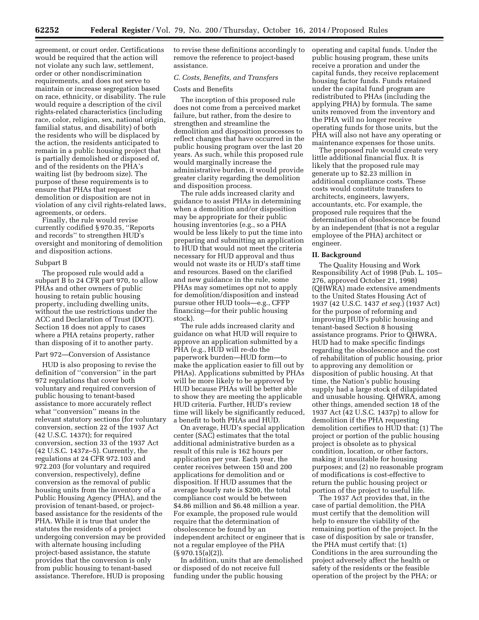agreement, or court order. Certifications would be required that the action will not violate any such law, settlement, order or other nondiscrimination requirements, and does not serve to maintain or increase segregation based on race, ethnicity, or disability. The rule would require a description of the civil rights-related characteristics (including race, color, religion, sex, national origin, familial status, and disability) of both the residents who will be displaced by the action, the residents anticipated to remain in a public housing project that is partially demolished or disposed of, and of the residents on the PHA's waiting list (by bedroom size). The purpose of these requirements is to ensure that PHAs that request demolition or disposition are not in violation of any civil rights-related laws, agreements, or orders.

Finally, the rule would revise currently codified § 970.35, ''Reports and records'' to strengthen HUD's oversight and monitoring of demolition and disposition actions.

#### Subpart B

The proposed rule would add a subpart B to 24 CFR part 970, to allow PHAs and other owners of public housing to retain public housing property, including dwelling units, without the use restrictions under the ACC and Declaration of Trust (DOT). Section 18 does not apply to cases where a PHA retains property, rather than disposing of it to another party.

#### Part 972—Conversion of Assistance

HUD is also proposing to revise the definition of ''conversion'' in the part 972 regulations that cover both voluntary and required conversion of public housing to tenant-based assistance to more accurately reflect what ''conversion'' means in the relevant statutory sections (for voluntary conversion, section 22 of the 1937 Act (42 U.S.C. 1437t); for required conversion, section 33 of the 1937 Act (42 U.S.C. 1437z–5). Currently, the regulations at 24 CFR 972.103 and 972.203 (for voluntary and required conversion, respectively), define conversion as the removal of public housing units from the inventory of a Public Housing Agency (PHA), and the provision of tenant-based, or projectbased assistance for the residents of the PHA. While it is true that under the statutes the residents of a project undergoing conversion may be provided with alternate housing including project-based assistance, the statute provides that the conversion is only from public housing to tenant-based assistance. Therefore, HUD is proposing

to revise these definitions accordingly to remove the reference to project-based assistance.

# *C. Costs, Benefits, and Transfers*

# Costs and Benefits

The inception of this proposed rule does not come from a perceived market failure, but rather, from the desire to strengthen and streamline the demolition and disposition processes to reflect changes that have occurred in the public housing program over the last 20 years. As such, while this proposed rule would marginally increase the administrative burden, it would provide greater clarity regarding the demolition and disposition process.

The rule adds increased clarity and guidance to assist PHAs in determining when a demolition and/or disposition may be appropriate for their public housing inventories (e.g., so a PHA would be less likely to put the time into preparing and submitting an application to HUD that would not meet the criteria necessary for HUD approval and thus would not waste its or HUD's staff time and resources. Based on the clarified and new guidance in the rule, some PHAs may sometimes opt not to apply for demolition/disposition and instead pursue other HUD tools—e.g., CFFP financing—for their public housing stock).

The rule adds increased clarity and guidance on what HUD will require to approve an application submitted by a PHA (e.g., HUD will re-do the paperwork burden—HUD form—to make the application easier to fill out by PHAs). Applications submitted by PHAs will be more likely to be approved by HUD because PHAs will be better able to show they are meeting the applicable HUD criteria. Further, HUD's review time will likely be significantly reduced, a benefit to both PHAs and HUD.

On average, HUD's special application center (SAC) estimates that the total additional administrative burden as a result of this rule is 162 hours per application per year. Each year, the center receives between 150 and 200 applications for demolition and or disposition. If HUD assumes that the average hourly rate is \$200, the total compliance cost would be between \$4.86 million and \$6.48 million a year. For example, the proposed rule would require that the determination of obsolescence be found by an independent architect or engineer that is not a regular employee of the PHA  $(S\,970.15(a)(2)).$ 

In addition, units that are demolished or disposed of do not receive full funding under the public housing

operating and capital funds. Under the public housing program, these units receive a proration and under the capital funds, they receive replacement housing factor funds. Funds retained under the capital fund program are redistributed to PHAs (including the applying PHA) by formula. The same units removed from the inventory and the PHA will no longer receive operating funds for those units, but the PHA will also not have any operating or maintenance expenses for those units.

The proposed rule would create very little additional financial flux. It is likely that the proposed rule may generate up to \$2.23 million in additional compliance costs. These costs would constitute transfers to architects, engineers, lawyers, accountants, etc. For example, the proposed rule requires that the determination of obsolescence be found by an independent (that is not a regular employee of the PHA) architect or engineer.

# **II. Background**

The Quality Housing and Work Responsibility Act of 1998 (Pub. L. 105– 276, approved October 21, 1998) (QHWRA) made extensive amendments to the United States Housing Act of 1937 (42 U.S.C. 1437 *et seq.*) (1937 Act) for the purpose of reforming and improving HUD's public housing and tenant-based Section 8 housing assistance programs. Prior to QHWRA, HUD had to make specific findings regarding the obsolescence and the cost of rehabilitation of public housing, prior to approving any demolition or disposition of public housing. At that time, the Nation's public housing supply had a large stock of dilapidated and unusable housing. QHWRA, among other things, amended section 18 of the 1937 Act (42 U.S.C. 1437p) to allow for demolition if the PHA requesting demolition certifies to HUD that: (1) The project or portion of the public housing project is obsolete as to physical condition, location, or other factors, making it unsuitable for housing purposes; and (2) no reasonable program of modifications is cost-effective to return the public housing project or portion of the project to useful life.

The 1937 Act provides that, in the case of partial demolition, the PHA must certify that the demolition will help to ensure the viability of the remaining portion of the project. In the case of disposition by sale or transfer, the PHA must certify that: (1) Conditions in the area surrounding the project adversely affect the health or safety of the residents or the feasible operation of the project by the PHA; or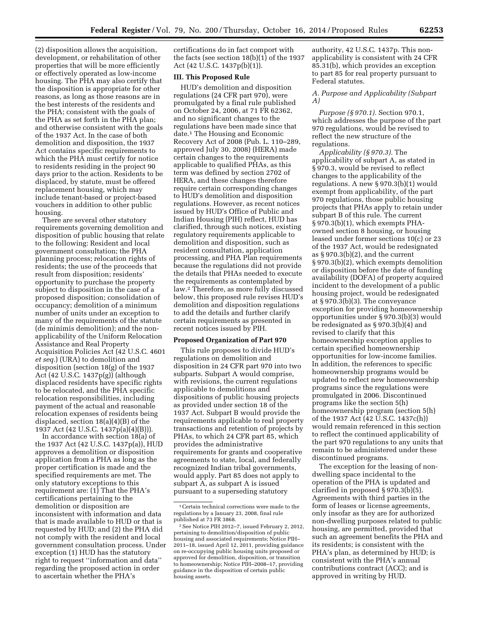(2) disposition allows the acquisition, development, or rehabilitation of other properties that will be more efficiently or effectively operated as low-income housing. The PHA may also certify that the disposition is appropriate for other reasons, as long as those reasons are in the best interests of the residents and the PHA; consistent with the goals of the PHA as set forth in the PHA plan; and otherwise consistent with the goals of the 1937 Act. In the case of both demolition and disposition, the 1937 Act contains specific requirements to which the PHA must certify for notice to residents residing in the project 90 days prior to the action. Residents to be displaced, by statute, must be offered replacement housing, which may include tenant-based or project-based vouchers in addition to other public housing.

There are several other statutory requirements governing demolition and disposition of public housing that relate to the following: Resident and local government consultation; the PHA planning process; relocation rights of residents; the use of the proceeds that result from disposition; residents' opportunity to purchase the property subject to disposition in the case of a proposed disposition; consolidation of occupancy; demolition of a minimum number of units under an exception to many of the requirements of the statute (de minimis demolition); and the nonapplicability of the Uniform Relocation Assistance and Real Property Acquisition Policies Act (42 U.S.C. 4601 *et seq.*) (URA) to demolition and disposition (section 18(g) of the 1937 Act (42 U.S.C. 1437p(g)) (although displaced residents have specific rights to be relocated, and the PHA specific relocation responsibilities, including payment of the actual and reasonable relocation expenses of residents being displaced, section 18(a)(4)(B) of the 1937 Act (42 U.S.C. 1437p(a)(4)(B))).

In accordance with section 18(a) of the 1937 Act (42 U.S.C. 1437p(a)), HUD approves a demolition or disposition application from a PHA as long as the proper certification is made and the specified requirements are met. The only statutory exceptions to this requirement are: (1) That the PHA's certifications pertaining to the demolition or disposition are inconsistent with information and data that is made available to HUD or that is requested by HUD; and (2) the PHA did not comply with the resident and local government consultation process. Under exception (1) HUD has the statutory right to request ''information and data'' regarding the proposed action in order to ascertain whether the PHA's

certifications do in fact comport with the facts (see section 18(b)(1) of the 1937 Act (42 U.S.C. 1437p(b)(1)).

# **III. This Proposed Rule**

HUD's demolition and disposition regulations (24 CFR part 970), were promulgated by a final rule published on October 24, 2006, at 71 FR 62362, and no significant changes to the regulations have been made since that date.1 The Housing and Economic Recovery Act of 2008 (Pub. L. 110–289, approved July 30, 2008) (HERA) made certain changes to the requirements applicable to qualified PHAs, as this term was defined by section 2702 of HERA, and these changes therefore require certain corresponding changes to HUD's demolition and disposition regulations. However, as recent notices issued by HUD's Office of Public and Indian Housing (PIH) reflect, HUD has clarified, through such notices, existing regulatory requirements applicable to demolition and disposition, such as resident consultation, application processing, and PHA Plan requirements because the regulations did not provide the details that PHAs needed to execute the requirements as contemplated by law.2 Therefore, as more fully discussed below, this proposed rule revises HUD's demolition and disposition regulations to add the details and further clarify certain requirements as presented in recent notices issued by PIH.

# **Proposed Organization of Part 970**

This rule proposes to divide HUD's regulations on demolition and disposition in 24 CFR part 970 into two subparts. Subpart A would comprise, with revisions, the current regulations applicable to demolitions and dispositions of public housing projects as provided under section 18 of the 1937 Act. Subpart B would provide the requirements applicable to real property transactions and retention of projects by PHAs, to which 24 CFR part 85, which provides the administrative requirements for grants and cooperative agreements to state, local, and federally recognized Indian tribal governments, would apply. Part 85 does not apply to subpart A, as subpart A is issued pursuant to a superseding statutory

authority, 42 U.S.C. 1437p. This nonapplicability is consistent with 24 CFR 85.31(b), which provides an exception to part 85 for real property pursuant to Federal statutes.

# *A. Purpose and Applicability (Subpart A)*

*Purpose (§ 970.1).* Section 970.1, which addresses the purpose of the part 970 regulations, would be revised to reflect the new structure of the regulations.

*Applicability (§ 970.3).* The applicability of subpart A, as stated in § 970.3, would be revised to reflect changes to the applicability of the regulations. A new § 970.3(b)(1) would exempt from applicability, of the part 970 regulations, those public housing projects that PHAs apply to retain under subpart B of this rule. The current § 970.3(b)(1), which exempts PHAowned section 8 housing, or housing leased under former sections 10(c) or 23 of the 1937 Act, would be redesignated as  $\S 970.3(b)(2)$ , and the current § 970.3(b)(2), which exempts demolition or disposition before the date of funding availability (DOFA) of property acquired incident to the development of a public housing project, would be redesignated at § 970.3(b)(3). The conveyance exception for providing homeownership opportunities under § 970.3(b)(3) would be redesignated as § 970.3(b)(4) and revised to clarify that this homeownership exception applies to certain specified homeownership opportunities for low-income families. In addition, the references to specific homeownership programs would be updated to reflect new homeownership programs since the regulations were promulgated in 2006. Discontinued programs like the section 5(h) homeownership program (section 5(h) of the 1937 Act (42 U.S.C. 1437c(h)) would remain referenced in this section to reflect the continued applicability of the part 970 regulations to any units that remain to be administered under these discontinued programs.

The exception for the leasing of nondwelling space incidental to the operation of the PHA is updated and clarified in proposed § 970.3(b)(5). Agreements with third parties in the form of leases or license agreements, only insofar as they are for authorized non-dwelling purposes related to public housing, are permitted, provided that such an agreement benefits the PHA and its residents; is consistent with the PHA's plan, as determined by HUD; is consistent with the PHA's annual contributions contract (ACC); and is approved in writing by HUD.

 $^{\rm 1}$  Certain technical corrections were made to the regulations by a January 23, 2008, final rule published at 73 FR 3868.

<sup>2</sup>See Notice PIH 2012–7, issued February 2, 2012, pertaining to demolition/disposition of public housing and associated requirements; Notice PIH– 2011–18, issued April 12, 2011, providing guidance on re-occupying public housing units proposed or approved for demolition, disposition, or transition to homeownership; Notice PIH–2008–17, providing guidance in the disposition of certain public housing assets.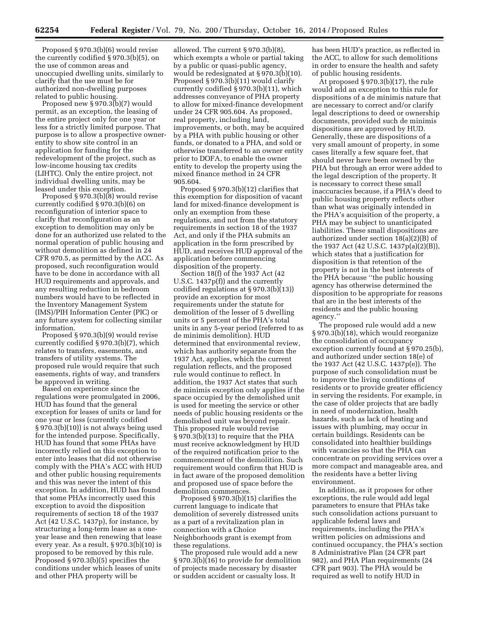Proposed § 970.3(b)(6) would revise the currently codified § 970.3(b)(5), on the use of common areas and unoccupied dwelling units, similarly to clarify that the use must be for authorized non-dwelling purposes related to public housing.

Proposed new § 970.3(b)(7) would permit, as an exception, the leasing of the entire project only for one year or less for a strictly limited purpose. That purpose is to allow a prospective ownerentity to show site control in an application for funding for the redevelopment of the project, such as low-income housing tax credits (LIHTC). Only the entire project, not individual dwelling units, may be leased under this exception.

Proposed § 970.3(b)(8) would revise currently codified § 970.3(b)(6) on reconfiguration of interior space to clarify that reconfiguration as an exception to demolition may only be done for an authorized use related to the normal operation of public housing and without demolition as defined in 24 CFR 970.5, as permitted by the ACC. As proposed, such reconfiguration would have to be done in accordance with all HUD requirements and approvals, and any resulting reduction in bedroom numbers would have to be reflected in the Inventory Management System (IMS)/PIH Information Center (PIC) or any future system for collecting similar information.

Proposed § 970.3(b)(9) would revise currently codified § 970.3(b)(7), which relates to transfers, easements, and transfers of utility systems. The proposed rule would require that such easements, rights of way, and transfers be approved in writing.

Based on experience since the regulations were promulgated in 2006, HUD has found that the general exception for leases of units or land for one year or less (currently codified § 970.3(b)(10)) is not always being used for the intended purpose. Specifically, HUD has found that some PHAs have incorrectly relied on this exception to enter into leases that did not otherwise comply with the PHA's ACC with HUD and other public housing requirements and this was never the intent of this exception. In addition, HUD has found that some PHAs incorrectly used this exception to avoid the disposition requirements of section 18 of the 1937 Act (42 U.S.C. 1437p), for instance, by structuring a long-term lease as a oneyear lease and then renewing that lease every year. As a result, § 970.3(b)(10) is proposed to be removed by this rule. Proposed § 970.3(b)(5) specifies the conditions under which leases of units and other PHA property will be

allowed. The current § 970.3(b)(8), which exempts a whole or partial taking by a public or quasi-public agency, would be redesignated at § 970.3(b)(10). Proposed § 970.3(b)(11) would clarify currently codified § 970.3(b)(11), which addresses conveyance of PHA property to allow for mixed-finance development under 24 CFR 905.604. As proposed, real property, including land, improvements, or both, may be acquired by a PHA with public housing or other funds, or donated to a PHA, and sold or otherwise transferred to an owner entity prior to DOFA, to enable the owner entity to develop the property using the mixed finance method in 24 CFR 905.604.

Proposed § 970.3(b)(12) clarifies that this exemption for disposition of vacant land for mixed-finance development is only an exemption from these regulations, and not from the statutory requirements in section 18 of the 1937 Act, and only if the PHA submits an application in the form prescribed by HUD, and receives HUD approval of the application before commencing disposition of the property.

Section 18(f) of the 1937 Act (42 U.S.C. 1437p(f)) and the currently codified regulations at § 970.3(b)(13)) provide an exception for most requirements under the statute for demolition of the lesser of 5 dwelling units or 5 percent of the PHA's total units in any 5-year period (referred to as de minimis demolition). HUD determined that environmental review, which has authority separate from the 1937 Act, applies, which the current regulation reflects, and the proposed rule would continue to reflect. In addition, the 1937 Act states that such de minimis exception only applies if the space occupied by the demolished unit is used for meeting the service or other needs of public housing residents or the demolished unit was beyond repair. This proposed rule would revise § 970.3(b)(13) to require that the PHA must receive acknowledgment by HUD of the required notification prior to the commencement of the demolition. Such requirement would confirm that HUD is in fact aware of the proposed demolition and proposed use of space before the demolition commences.

Proposed § 970.3(b)(15) clarifies the current language to indicate that demolition of severely distressed units as a part of a revitalization plan in connection with a Choice Neighborhoods grant is exempt from these regulations.

The proposed rule would add a new § 970.3(b)(16) to provide for demolition of projects made necessary by disaster or sudden accident or casualty loss. It

has been HUD's practice, as reflected in the ACC, to allow for such demolitions in order to ensure the health and safety of public housing residents.

At proposed § 970.3(b)(17), the rule would add an exception to this rule for dispositions of a de minimis nature that are necessary to correct and/or clarify legal descriptions to deed or ownership documents, provided such de minimis dispositions are approved by HUD. Generally, these are dispositions of a very small amount of property, in some cases literally a few square feet, that should never have been owned by the PHA but through an error were added to the legal description of the property. It is necessary to correct these small inaccuracies because, if a PHA's deed to public housing property reflects other than what was originally intended in the PHA's acquisition of the property, a PHA may be subject to unanticipated liabilities. These small dispositions are authorized under section 18(a)(2)(B) of the 1937 Act (42 U.S.C. 1437p(a)(2)(B)), which states that a justification for disposition is that retention of the property is not in the best interests of the PHA because ''the public housing agency has otherwise determined the disposition to be appropriate for reasons that are in the best interests of the residents and the public housing agency.''

The proposed rule would add a new § 970.3(b)(18), which would reorganize the consolidation of occupancy exception currently found at § 970.25(b), and authorized under section 18(e) of the 1937 Act (42 U.S.C. 1437p(e)). The purpose of such consolidation must be to improve the living conditions of residents or to provide greater efficiency in serving the residents. For example, in the case of older projects that are badly in need of modernization, health hazards, such as lack of heating and issues with plumbing, may occur in certain buildings. Residents can be consolidated into healthier buildings with vacancies so that the PHA can concentrate on providing services over a more compact and manageable area, and the residents have a better living environment.

In addition, as it proposes for other exceptions, the rule would add legal parameters to ensure that PHAs take such consolidation actions pursuant to applicable federal laws and requirements, including the PHA's written policies on admissions and continued occupancy, the PHA's section 8 Administrative Plan (24 CFR part 982), and PHA Plan requirements (24 CFR part 903). The PHA would be required as well to notify HUD in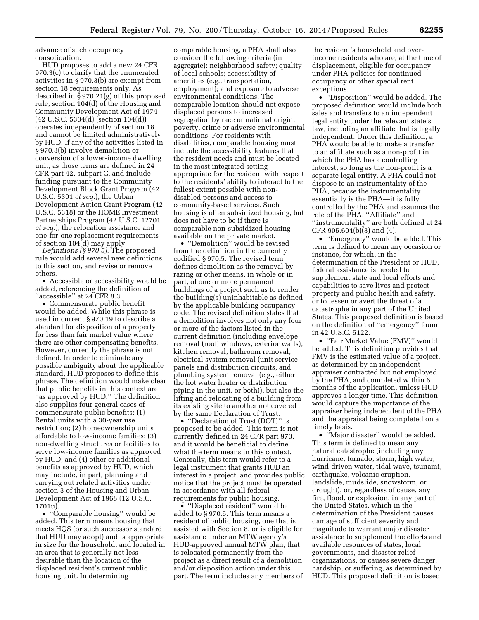advance of such occupancy consolidation.

HUD proposes to add a new 24 CFR 970.3(c) to clarify that the enumerated activities in § 970.3(b) are exempt from section 18 requirements only. As described in § 970.21(g) of this proposed rule, section 104(d) of the Housing and Community Development Act of 1974 (42 U.S.C. 5304(d) (section 104(d)) operates independently of section 18 and cannot be limited administratively by HUD. If any of the activities listed in § 970.3(b) involve demolition or conversion of a lower-income dwelling unit, as those terms are defined in 24 CFR part 42, subpart C, and include funding pursuant to the Community Development Block Grant Program (42 U.S.C. 5301 *et seq.*), the Urban Development Action Grant Program (42 U.S.C. 5318) or the HOME Investment Partnerships Program (42 U.S.C. 12701 *et seq.*), the relocation assistance and one-for-one replacement requirements of section 104(d) may apply.

*Definitions (§ 970.5).* The proposed rule would add several new definitions to this section, and revise or remove others.

• Accessible or accessibility would be added, referencing the definition of "accessible" at 24 CFR 8.3.

• Commensurate public benefit would be added. While this phrase is used in current § 970.19 to describe a standard for disposition of a property for less than fair market value where there are other compensating benefits. However, currently the phrase is not defined. In order to eliminate any possible ambiguity about the applicable standard, HUD proposes to define this phrase. The definition would make clear that public benefits in this context are ''as approved by HUD.'' The definition also supplies four general cases of commensurate public benefits: (1) Rental units with a 30-year use restriction; (2) homeownership units affordable to low-income families; (3) non-dwelling structures or facilities to serve low-income families as approved by HUD; and (4) other or additional benefits as approved by HUD, which may include, in part, planning and carrying out related activities under section 3 of the Housing and Urban Development Act of 1968 (12 U.S.C. 1701u).

• ''Comparable housing'' would be added. This term means housing that meets HQS (or such successor standard that HUD may adopt) and is appropriate in size for the household, and located in an area that is generally not less desirable than the location of the displaced resident's current public housing unit. In determining

comparable housing, a PHA shall also consider the following criteria (in aggregate): neighborhood safety; quality of local schools; accessibility of amenities (e.g., transportation, employment); and exposure to adverse environmental conditions. The comparable location should not expose displaced persons to increased segregation by race or national origin, poverty, crime or adverse environmental conditions. For residents with disabilities, comparable housing must include the accessibility features that the resident needs and must be located in the most integrated setting appropriate for the resident with respect to the residents' ability to interact to the fullest extent possible with nondisabled persons and access to community-based services. Such housing is often subsidized housing, but does not have to be if there is comparable non-subsidized housing available on the private market.

• ''Demolition'' would be revised from the definition in the currently codified § 970.5. The revised term defines demolition as the removal by razing or other means, in whole or in part, of one or more permanent buildings of a project such as to render the building(s) uninhabitable as defined by the applicable building occupancy code. The revised definition states that a demolition involves not only any four or more of the factors listed in the current definition (including envelope removal (roof, windows, exterior walls), kitchen removal, bathroom removal, electrical system removal (unit service panels and distribution circuits, and plumbing system removal (e.g., either the hot water heater or distribution piping in the unit, or both)), but also the lifting and relocating of a building from its existing site to another not covered by the same Declaration of Trust.

• ''Declaration of Trust (DOT)'' is proposed to be added. This term is not currently defined in 24 CFR part 970, and it would be beneficial to define what the term means in this context. Generally, this term would refer to a legal instrument that grants HUD an interest in a project, and provides public notice that the project must be operated in accordance with all federal requirements for public housing.

• "Displaced resident" would be added to § 970.5. This term means a resident of public housing, one that is assisted with Section 8, or is eligible for assistance under an MTW agency's HUD-approved annual MTW plan, that is relocated permanently from the project as a direct result of a demolition and/or disposition action under this part. The term includes any members of

the resident's household and overincome residents who are, at the time of displacement, eligible for occupancy under PHA policies for continued occupancy or other special rent exceptions.

• "Disposition" would be added. The proposed definition would include both sales and transfers to an independent legal entity under the relevant state's law, including an affiliate that is legally independent. Under this definition, a PHA would be able to make a transfer to an affiliate such as a non-profit in which the PHA has a controlling interest, so long as the non-profit is a separate legal entity. A PHA could not dispose to an instrumentality of the PHA, because the instrumentality essentially is the PHA—it is fully controlled by the PHA and assumes the role of the PHA. ''Affiliate'' and ''instrumentality'' are both defined at 24 CFR 905.604(b)(3) and (4).

• "Emergency" would be added. This term is defined to mean any occasion or instance, for which, in the determination of the President or HUD, federal assistance is needed to supplement state and local efforts and capabilities to save lives and protect property and public health and safety, or to lessen or avert the threat of a catastrophe in any part of the United States. This proposed definition is based on the definition of ''emergency'' found in 42 U.S.C. 5122.

• "Fair Market Value (FMV)" would be added. This definition provides that FMV is the estimated value of a project, as determined by an independent appraiser contracted but not employed by the PHA, and completed within 6 months of the application, unless HUD approves a longer time. This definition would capture the importance of the appraiser being independent of the PHA and the appraisal being completed on a timely basis.

• ''Major disaster'' would be added. This term is defined to mean any natural catastrophe (including any hurricane, tornado, storm, high water, wind-driven water, tidal wave, tsunami, earthquake, volcanic eruption, landslide, mudslide, snowstorm, or drought), or, regardless of cause, any fire, flood, or explosion, in any part of the United States, which in the determination of the President causes damage of sufficient severity and magnitude to warrant major disaster assistance to supplement the efforts and available resources of states, local governments, and disaster relief organizations, or causes severe danger, hardship, or suffering, as determined by HUD. This proposed definition is based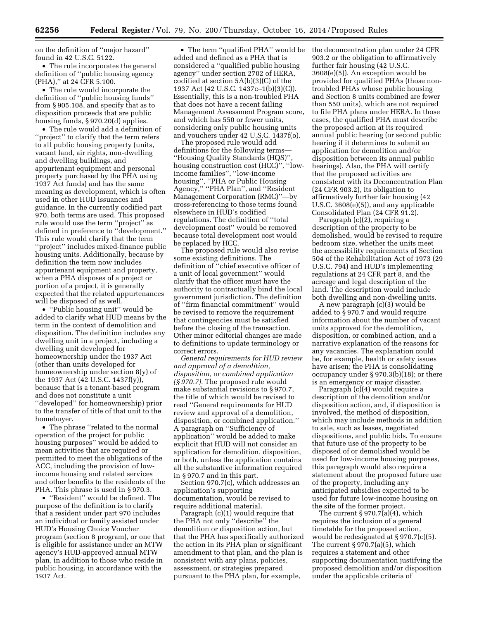on the definition of ''major hazard'' found in 42 U.S.C. 5122.

• The rule incorporates the general definition of ''public housing agency (PHA),'' at 24 CFR 5.100.

• The rule would incorporate the definition of ''public housing funds'' from § 905.108, and specify that as to disposition proceeds that are public housing funds, § 970.20(d) applies.

• The rule would add a definition of ''project'' to clarify that the term refers to all public housing property (units, vacant land, air rights, non-dwelling and dwelling buildings, and appurtenant equipment and personal property purchased by the PHA using 1937 Act funds) and has the same meaning as development, which is often used in other HUD issuances and guidance. In the currently codified part 970, both terms are used. This proposed rule would use the term ''project'' as defined in preference to ''development.'' This rule would clarify that the term ''project'' includes mixed-finance public housing units. Additionally, because by definition the term now includes appurtenant equipment and property, when a PHA disposes of a project or portion of a project, it is generally expected that the related appurtenances will be disposed of as well.

• ''Public housing unit'' would be added to clarify what HUD means by the term in the context of demolition and disposition. The definition includes any dwelling unit in a project, including a dwelling unit developed for homeownership under the 1937 Act (other than units developed for homeownership under section 8(y) of the 1937 Act (42 U.S.C. 1437f(y)), because that is a tenant-based program and does not constitute a unit ''developed'' for homeownership) prior to the transfer of title of that unit to the homebuyer.

• The phrase "related to the normal operation of the project for public housing purposes'' would be added to mean activities that are required or permitted to meet the obligations of the ACC, including the provision of lowincome housing and related services and other benefits to the residents of the PHA. This phrase is used in § 970.3.

• ''Resident'' would be defined. The purpose of the definition is to clarify that a resident under part 970 includes an individual or family assisted under HUD's Housing Choice Voucher program (section 8 program), or one that is eligible for assistance under an MTW agency's HUD-approved annual MTW plan, in addition to those who reside in public housing, in accordance with the 1937 Act.

• The term "qualified PHA" would be added and defined as a PHA that is considered a ''qualified public housing agency'' under section 2702 of HERA, codified at section 5A(b)(3)(C) of the 1937 Act (42 U.S.C. 1437c–1(b)(3)(C)). Essentially, this is a non-troubled PHA that does not have a recent failing Management Assessment Program score, and which has 550 or fewer units, considering only public housing units and vouchers under 42 U.S.C. 1437f(o).

The proposed rule would add definitions for the following terms— ''Housing Quality Standards (HQS)'', housing construction cost (HCC)'', ''lowincome families'', ''low-income housing'', ''PHA or Public Housing Agency,'' ''PHA Plan'', and ''Resident Management Corporation (RMC)''—by cross-referencing to those terms found elsewhere in HUD's codified regulations. The definition of ''total development cost'' would be removed because total development cost would be replaced by HCC.

The proposed rule would also revise some existing definitions. The definition of ''chief executive officer of a unit of local government'' would clarify that the officer must have the authority to contractually bind the local government jurisdiction. The definition of ''firm financial commitment'' would be revised to remove the requirement that contingencies must be satisfied before the closing of the transaction. Other minor editorial changes are made to definitions to update terminology or correct errors.

*General requirements for HUD review and approval of a demolition, disposition, or combined application (§ 970.7).* The proposed rule would make substantial revisions to § 970.7, the title of which would be revised to read ''General requirements for HUD review and approval of a demolition, disposition, or combined application.'' A paragraph on ''Sufficiency of application'' would be added to make explicit that HUD will not consider an application for demolition, disposition, or both, unless the application contains all the substantive information required in § 970.7 and in this part.

Section 970.7(c), which addresses an application's supporting documentation, would be revised to require additional material.

Paragraph (c)(1) would require that the PHA not only ''describe'' the demolition or disposition action, but that the PHA has specifically authorized the action in its PHA plan or significant amendment to that plan, and the plan is consistent with any plans, policies, assessment, or strategies prepared pursuant to the PHA plan, for example,

the deconcentration plan under 24 CFR 903.2 or the obligation to affirmatively further fair housing (42 U.S.C. 3608(e)(5)). An exception would be provided for qualified PHAs (those nontroubled PHAs whose public housing and Section 8 units combined are fewer than 550 units), which are not required to file PHA plans under HERA. In those cases, the qualified PHA must describe the proposed action at its required annual public hearing (or second public hearing if it determines to submit an application for demolition and/or disposition between its annual public hearings). Also, the PHA will certify that the proposed activities are consistent with its Deconcentration Plan (24 CFR 903.2), its obligation to affirmatively further fair housing (42 U.S.C. 3608(e)(5)), and any applicable Consolidated Plan (24 CFR 91.2).

Paragraph (c)(2), requiring a description of the property to be demolished, would be revised to require bedroom size, whether the units meet the accessibility requirements of Section 504 of the Rehabilitation Act of 1973 (29 U.S.C. 794) and HUD's implementing regulations at 24 CFR part 8, and the acreage and legal description of the land. The description would include both dwelling and non-dwelling units.

A new paragraph (c)(3) would be added to § 970.7 and would require information about the number of vacant units approved for the demolition, disposition, or combined action, and a narrative explanation of the reasons for any vacancies. The explanation could be, for example, health or safety issues have arisen; the PHA is consolidating occupancy under § 970.3(b)(18); or there is an emergency or major disaster.

Paragraph (c)(4) would require a description of the demolition and/or disposition action, and, if disposition is involved, the method of disposition, which may include methods in addition to sale, such as leases, negotiated dispositions, and public bids. To ensure that future use of the property to be disposed of or demolished would be used for low-income housing purposes, this paragraph would also require a statement about the proposed future use of the property, including any anticipated subsidies expected to be used for future low-income housing on the site of the former project.

The current § 970.7(a)(4), which requires the inclusion of a general timetable for the proposed action, would be redesignated at § 970.7(c)(5). The current § 970.7(a)(5), which requires a statement and other supporting documentation justifying the proposed demolition and/or disposition under the applicable criteria of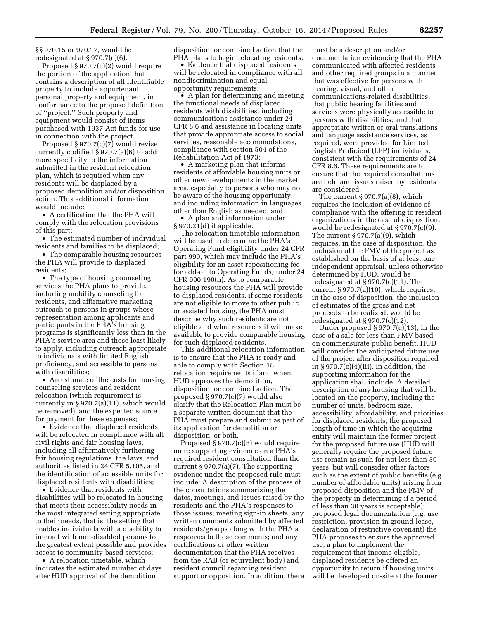§§ 970.15 or 970.17, would be redesignated at § 970.7(c)(6).

Proposed § 970.7(c)(2) would require the portion of the application that contains a description of all identifiable property to include appurtenant personal property and equipment, in conformance to the proposed definition of ''project.'' Such property and equipment would consist of items purchased with 1937 Act funds for use in connection with the project.

Proposed § 970.7(c)(7) would revise currently codified § 970.7(a)(6) to add more specificity to the information submitted in the resident relocation plan, which is required when any residents will be displaced by a proposed demolition and/or disposition action. This additional information would include:

• A certification that the PHA will comply with the relocation provisions of this part;

• The estimated number of individual residents and families to be displaced;

• The comparable housing resources the PHA will provide to displaced residents;

• The type of housing counseling services the PHA plans to provide, including mobility counseling for residents, and affirmative marketing outreach to persons in groups whose representation among applicants and participants in the PHA's housing programs is significantly less than in the PHA's service area and those least likely to apply, including outreach appropriate to individuals with limited English proficiency, and accessible to persons with disabilities;

• An estimate of the costs for housing counseling services and resident relocation (which requirement is currently in § 970.7(a)(11), which would be removed), and the expected source for payment for these expenses;

• Evidence that displaced residents will be relocated in compliance with all civil rights and fair housing laws, including all affirmatively furthering fair housing regulations, the laws, and authorities listed in 24 CFR 5.105, and the identification of accessible units for displaced residents with disabilities;

• Evidence that residents with disabilities will be relocated in housing that meets their accessibility needs in the most integrated setting appropriate to their needs, that is, the setting that enables individuals with a disability to interact with non-disabled persons to the greatest extent possible and provides access to community-based services;

• A relocation timetable, which indicates the estimated number of days after HUD approval of the demolition,

disposition, or combined action that the PHA plans to begin relocating residents;

• Evidence that displaced residents will be relocated in compliance with all nondiscrimination and equal opportunity requirements;

• A plan for determining and meeting the functional needs of displaced residents with disabilities, including communications assistance under 24 CFR 8.6 and assistance in locating units that provide appropriate access to social services, reasonable accommodations, compliance with section 504 of the Rehabilitation Act of 1973;

• A marketing plan that informs residents of affordable housing units or other new developments in the market area, especially to persons who may not be aware of the housing opportunity, and including information in languages other than English as needed; and

• A plan and information under § 970.21(d) if applicable.

The relocation timetable information will be used to determine the PHA's Operating Fund eligibility under 24 CFR part 990, which may include the PHA's eligibility for an asset-repositioning fee (or add-on to Operating Funds) under 24 CFR 990.190(h). As to comparable housing resources the PHA will provide to displaced residents, if some residents are not eligible to move to other public or assisted housing, the PHA must describe why such residents are not eligible and what resources it will make available to provide comparable housing for such displaced residents.

This additional relocation information is to ensure that the PHA is ready and able to comply with Section 18 relocation requirements if and when HUD approves the demolition, disposition, or combined action. The proposed § 970.7(c)(7) would also clarify that the Relocation Plan must be a separate written document that the PHA must prepare and submit as part of its application for demolition or disposition, or both.

Proposed § 970.7(c)(8) would require more supporting evidence on a PHA's required resident consultation than the current § 970.7(a)(7). The supporting evidence under the proposed rule must include: A description of the process of the consultations summarizing the dates, meetings, and issues raised by the residents and the PHA's responses to those issues; meeting sign-in sheets; any written comments submitted by affected residents/groups along with the PHA's responses to those comments; and any certifications or other written documentation that the PHA receives from the RAB (or equivalent body) and resident council regarding resident support or opposition. In addition, there must be a description and/or documentation evidencing that the PHA communicated with affected residents and other required groups in a manner that was effective for persons with hearing, visual, and other communications-related disabilities; that public hearing facilities and services were physically accessible to persons with disabilities; and that appropriate written or oral translations and language assistance services, as required, were provided for Limited English Proficient (LEP) individuals, consistent with the requirements of 24 CFR 8.6. These requirements are to ensure that the required consultations are held and issues raised by residents are considered.

The current  $\S 970.7(a)(8)$ , which requires the inclusion of evidence of compliance with the offering to resident organizations in the case of disposition, would be redesignated at § 970.7(c)(9). The current  $\S 970.7(a)(9)$ , which requires, in the case of disposition, the inclusion of the FMV of the project as established on the basis of at least one independent appraisal, unless otherwise determined by HUD, would be redesignated at § 970.7(c)(11). The current § 970.7(a)(10), which requires, in the case of disposition, the inclusion of estimates of the gross and net proceeds to be realized, would be redesignated at  $\S 970.7(c)(12)$ .

Under proposed  $\S 970.7(c)(13)$ , in the case of a sale for less than FMV based on commensurate public benefit, HUD will consider the anticipated future use of the project after disposition required in  $\S 970.7(c)(4)(iii)$ . In addition, the supporting information for the application shall include: A detailed description of any housing that will be located on the property, including the number of units, bedroom size, accessibility, affordability, and priorities for displaced residents; the proposed length of time in which the acquiring entity will maintain the former project for the proposed future use (HUD will generally require the proposed future use remain as such for not less than 30 years, but will consider other factors such as the extent of public benefits (e.g. number of affordable units) arising from proposed disposition and the FMV of the property in determining if a period of less than 30 years is acceptable); proposed legal documentation (e.g. use restriction, provision in ground lease, declaration of restrictive covenant) the PHA proposes to ensure the approved use; a plan to implement the requirement that income-eligible, displaced residents be offered an opportunity to return if housing units will be developed on-site at the former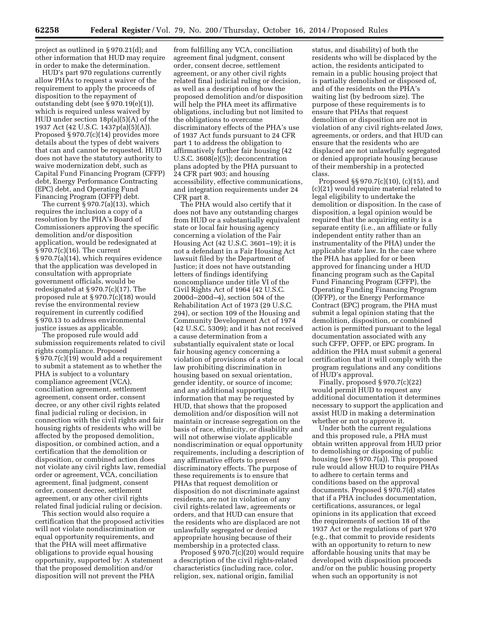project as outlined in § 970.21(d); and other information that HUD may require in order to make the determination.

HUD's part 970 regulations currently allow PHAs to request a waiver of the requirement to apply the proceeds of disposition to the repayment of outstanding debt (see § 970.19(e)(1)), which is required unless waived by HUD under section 18p(a)(5)(A) of the 1937 Act (42 U.S.C. 1437p(a)(5)(A)). Proposed § 970.7(c)(14) provides more details about the types of debt waivers that can and cannot be requested. HUD does not have the statutory authority to waive modernization debt, such as Capital Fund Financing Program (CFFP) debt, Energy Performance Contracting (EPC) debt, and Operating Fund Financing Program (OFFP) debt.

The current § 970.7(a)(13), which requires the inclusion a copy of a resolution by the PHA's Board of Commissioners approving the specific demolition and/or disposition application, would be redesignated at § 970.7(c)(16). The current § 970.7(a)(14), which requires evidence that the application was developed in consultation with appropriate government officials, would be redesignated at § 970.7(c)(17). The proposed rule at § 970.7(c)(18) would revise the environmental review requirement in currently codified § 970.13 to address environmental justice issues as applicable.

The proposed rule would add submission requirements related to civil rights compliance. Proposed § 970.7(c)(19) would add a requirement to submit a statement as to whether the PHA is subject to a voluntary compliance agreement (VCA), conciliation agreement, settlement agreement, consent order, consent decree, or any other civil rights related final judicial ruling or decision, in connection with the civil rights and fair housing rights of residents who will be affected by the proposed demolition, disposition, or combined action, and a certification that the demolition or disposition, or combined action does not violate any civil rights law, remedial order or agreement, VCA, conciliation agreement, final judgment, consent order, consent decree, settlement agreement, or any other civil rights related final judicial ruling or decision.

This section would also require a certification that the proposed activities will not violate nondiscrimination or equal opportunity requirements, and that the PHA will meet affirmative obligations to provide equal housing opportunity, supported by: A statement that the proposed demolition and/or disposition will not prevent the PHA

from fulfilling any VCA, conciliation agreement final judgment, consent order, consent decree, settlement agreement, or any other civil rights related final judicial ruling or decision, as well as a description of how the proposed demolition and/or disposition will help the PHA meet its affirmative obligations, including but not limited to the obligations to overcome discriminatory effects of the PHA's use of 1937 Act funds pursuant to 24 CFR part 1 to address the obligation to affirmatively further fair housing (42 U.S.C. 3608(e)(5)); deconcentration plans adopted by the PHA pursuant to 24 CFR part 903; and housing accessibility, effective communications, and integration requirements under 24 CFR part 8.

The PHA would also certify that it does not have any outstanding charges from HUD or a substantially equivalent state or local fair housing agency concerning a violation of the Fair Housing Act (42 U.S.C. 3601–19); it is not a defendant in a Fair Housing Act lawsuit filed by the Department of Justice; it does not have outstanding letters of findings identifying noncompliance under title VI of the Civil Rights Act of 1964 (42 U.S.C. 2000d–200d–4), section 504 of the Rehabilitation Act of 1973 (29 U.S.C. 294), or section 109 of the Housing and Community Development Act of 1974 (42 U.S.C. 5309); and it has not received a cause determination from a substantially equivalent state or local fair housing agency concerning a violation of provisions of a state or local law prohibiting discrimination in housing based on sexual orientation, gender identity, or source of income; and any additional supporting information that may be requested by HUD, that shows that the proposed demolition and/or disposition will not maintain or increase segregation on the basis of race, ethnicity, or disability and will not otherwise violate applicable nondiscrimination or equal opportunity requirements, including a description of any affirmative efforts to prevent discriminatory effects. The purpose of these requirements is to ensure that PHAs that request demolition or disposition do not discriminate against residents, are not in violation of any civil rights-related law, agreements or orders, and that HUD can ensure that the residents who are displaced are not unlawfully segregated or denied appropriate housing because of their membership in a protected class.

Proposed § 970.7(c)(20) would require a description of the civil rights-related characteristics (including race, color, religion, sex, national origin, familial

status, and disability) of both the residents who will be displaced by the action, the residents anticipated to remain in a public housing project that is partially demolished or disposed of, and of the residents on the PHA's waiting list (by bedroom size). The purpose of these requirements is to ensure that PHAs that request demolition or disposition are not in violation of any civil rights-related *laws,*  agreements, or orders, and that HUD can ensure that the residents who are displaced are not unlawfully segregated or denied appropriate housing because of their membership in a protected class.

Proposed §§ 970.7(c)(10), (c)(15), and (c)(21) would require material related to legal eligibility to undertake the demolition or disposition. In the case of disposition, a legal opinion would be required that the acquiring entity is a separate entity (i.e., an affiliate or fully independent entity rather than an instrumentality of the PHA) under the applicable state law. In the case where the PHA has applied for or been approved for financing under a HUD financing program such as the Capital Fund Financing Program (CFFP), the Operating Funding Financing Program (OFFP), or the Energy Performance Contract (EPC) program, the PHA must submit a legal opinion stating that the demolition, disposition, or combined action is permitted pursuant to the legal documentation associated with any such CFFP, OFFP, or EPC program. In addition the PHA must submit a general certification that it will comply with the program regulations and any conditions of HUD's approval.

Finally, proposed § 970.7(c)(22) would permit HUD to request any additional documentation it determines necessary to support the application and assist HUD in making a determination whether or not to approve it.

Under both the current regulations and this proposed rule, a PHA must obtain written approval from HUD prior to demolishing or disposing of public housing (see § 970.7(a)). This proposed rule would allow HUD to require PHAs to adhere to certain terms and conditions based on the approval documents. Proposed § 970.7(d) states that if a PHA includes documentation, certifications, assurances, or legal opinions in its application that exceed the requirements of section 18 of the 1937 Act or the regulations of part 970 (e.g., that commit to provide residents with an opportunity to return to new affordable housing units that may be developed with disposition proceeds and/or on the public housing property when such an opportunity is not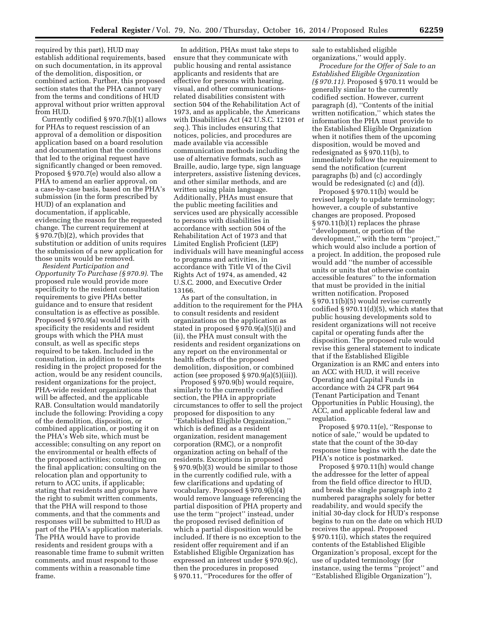required by this part), HUD may establish additional requirements, based on such documentation, in its approval of the demolition, disposition, or combined action. Further, this proposed section states that the PHA cannot vary from the terms and conditions of HUD approval without prior written approval from HUD.

Currently codified § 970.7(b)(1) allows for PHAs to request rescission of an approval of a demolition or disposition application based on a board resolution and documentation that the conditions that led to the original request have significantly changed or been removed. Proposed § 970.7(e) would also allow a PHA to amend an earlier approval, on a case-by-case basis, based on the PHA's submission (in the form prescribed by HUD) of an explanation and documentation, if applicable, evidencing the reason for the requested change. The current requirement at § 970.7(b)(2), which provides that substitution or addition of units requires the submission of a new application for those units would be removed.

*Resident Participation and Opportunity To Purchase (§ 970.9).* The proposed rule would provide more specificity to the resident consultation requirements to give PHAs better guidance and to ensure that resident consultation is as effective as possible. Proposed § 970.9(a) would list with specificity the residents and resident groups with which the PHA must consult, as well as specific steps required to be taken. Included in the consultation, in addition to residents residing in the project proposed for the action, would be any resident councils, resident organizations for the project, PHA-wide resident organizations that will be affected, and the applicable RAB. Consultation would mandatorily include the following: Providing a copy of the demolition, disposition, or combined application, or posting it on the PHA's Web site, which must be accessible; consulting on any report on the environmental or health effects of the proposed activities; consulting on the final application; consulting on the relocation plan and opportunity to return to ACC units, if applicable; stating that residents and groups have the right to submit written comments, that the PHA will respond to those comments, and that the comments and responses will be submitted to HUD as part of the PHA's application materials. The PHA would have to provide residents and resident groups with a reasonable time frame to submit written comments, and must respond to those comments within a reasonable time frame.

In addition, PHAs must take steps to ensure that they communicate with public housing and rental assistance applicants and residents that are effective for persons with hearing, visual, and other communicationsrelated disabilities consistent with section 504 of the Rehabilitation Act of 1973, and as applicable, the Americans with Disabilities Act (42 U.S.C. 12101 *et seq.*). This includes ensuring that notices, policies, and procedures are made available via accessible communication methods including the use of alternative formats, such as Braille, audio, large type, sign language interpreters, assistive listening devices, and other similar methods, and are written using plain language. Additionally, PHAs must ensure that the public meeting facilities and services used are physically accessible to persons with disabilities in accordance with section 504 of the Rehabilitation Act of 1973 and that Limited English Proficient (LEP) individuals will have meaningful access to programs and activities, in accordance with Title VI of the Civil Rights Act of 1974, as amended, 42 U.S.C. 2000, and Executive Order 13166.

As part of the consultation, in addition to the requirement for the PHA to consult residents and resident organizations on the application as stated in proposed § 970.9(a)(5)(i) and (ii), the PHA must consult with the residents and resident organizations on any report on the environmental or health effects of the proposed demolition, disposition, or combined action (see proposed § 970.9(a)(5)(iii)).

Proposed § 970.9(b) would require, similarly to the currently codified section, the PHA in appropriate circumstances to offer to sell the project proposed for disposition to any ''Established Eligible Organization,'' which is defined as a resident organization, resident management corporation (RMC), or a nonprofit organization acting on behalf of the residents. Exceptions in proposed § 970.9(b)(3) would be similar to those in the currently codified rule, with a few clarifications and updating of vocabulary. Proposed § 970.9(b)(4) would remove language referencing the partial disposition of PHA property and use the term ''project'' instead, under the proposed revised definition of which a partial disposition would be included. If there is no exception to the resident offer requirement and if an Established Eligible Organization has expressed an interest under § 970.9(c), then the procedures in proposed § 970.11, ''Procedures for the offer of

sale to established eligible organizations,'' would apply.

*Procedure for the Offer of Sale to an Established Eligible Organization (§ 970.11).* Proposed § 970.11 would be generally similar to the currently codified section. However, current paragraph (d), ''Contents of the initial written notification,'' which states the information the PHA must provide to the Established Eligible Organization when it notifies them of the upcoming disposition, would be moved and redesignated as § 970.11(b), to immediately follow the requirement to send the notification (current paragraphs (b) and (c) accordingly would be redesignated (c) and (d)).

Proposed § 970.11(b) would be revised largely to update terminology; however, a couple of substantive changes are proposed. Proposed § 970.11(b)(1) replaces the phrase ''development, or portion of the development,'' with the term ''project,'' which would also include a portion of a project. In addition, the proposed rule would add ''the number of accessible units or units that otherwise contain accessible features'' to the information that must be provided in the initial written notification. Proposed § 970.11(b)(5) would revise currently codified § 970.11(d)(5), which states that public housing developments sold to resident organizations will not receive capital or operating funds after the disposition. The proposed rule would revise this general statement to indicate that if the Established Eligible Organization is an RMC and enters into an ACC with HUD, it will receive Operating and Capital Funds in accordance with 24 CFR part 964 (Tenant Participation and Tenant Opportunities in Public Housing), the ACC, and applicable federal law and regulation.

Proposed § 970.11(e), ''Response to notice of sale,'' would be updated to state that the count of the 30-day response time begins with the date the PHA's notice is postmarked.

Proposed § 970.11(h) would change the addressee for the letter of appeal from the field office director to HUD, and break the single paragraph into 2 numbered paragraphs solely for better readability, and would specify the initial 30-day clock for HUD's response begins to run on the date on which HUD receives the appeal. Proposed § 970.11(i), which states the required contents of the Established Eligible Organization's proposal, except for the use of updated terminology (for instance, using the terms ''project'' and ''Established Eligible Organization''),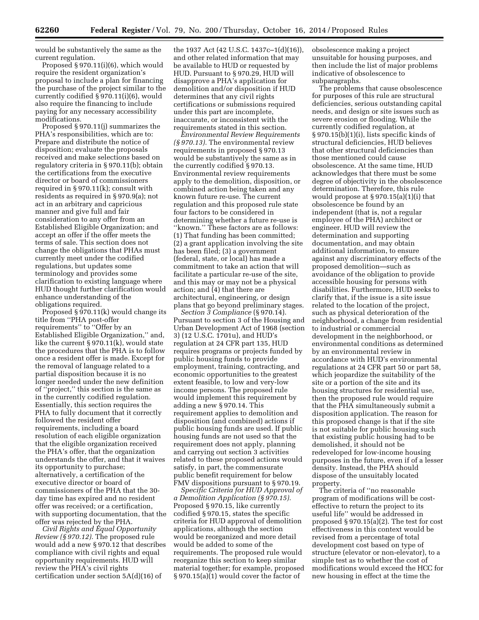would be substantively the same as the current regulation.

Proposed § 970.11(i)(6), which would require the resident organization's proposal to include a plan for financing the purchase of the project similar to the currently codified § 970.11(i)(6), would also require the financing to include paying for any necessary accessibility modifications.

Proposed § 970.11(j) summarizes the PHA's responsibilities, which are to: Prepare and distribute the notice of disposition; evaluate the proposals received and make selections based on regulatory criteria in § 970.11(b); obtain the certifications from the executive director or board of commissioners required in § 970.11(k); consult with residents as required in § 970.9(a); not act in an arbitrary and capricious manner and give full and fair consideration to any offer from an Established Eligible Organization; and accept an offer if the offer meets the terms of sale. This section does not change the obligations that PHAs must currently meet under the codified regulations, but updates some terminology and provides some clarification to existing language where HUD thought further clarification would enhance understanding of the obligations required.

Proposed § 970.11(k) would change its title from ''PHA post-offer requirements'' to ''Offer by an Established Eligible Organization,'' and, like the current § 970.11(k), would state the procedures that the PHA is to follow once a resident offer is made. Except for the removal of language related to a partial disposition because it is no longer needed under the new definition of ''project,'' this section is the same as in the currently codified regulation. Essentially, this section requires the PHA to fully document that it correctly followed the resident offer requirements, including a board resolution of each eligible organization that the eligible organization received the PHA's offer, that the organization understands the offer, and that it waives its opportunity to purchase; alternatively, a certification of the executive director or board of commissioners of the PHA that the 30 day time has expired and no resident offer was received; or a certification, with supporting documentation, that the offer was rejected by the PHA.

*Civil Rights and Equal Opportunity Review (§ 970.12).* The proposed rule would add a new § 970.12 that describes compliance with civil rights and equal opportunity requirements. HUD will review the PHA's civil rights certification under section 5A(d)(16) of

the 1937 Act (42 U.S.C. 1437c–1(d)(16)), and other related information that may be available to HUD or requested by HUD. Pursuant to § 970.29, HUD will disapprove a PHA's application for demolition and/or disposition if HUD determines that any civil rights certifications or submissions required under this part are incomplete, inaccurate, or inconsistent with the requirements stated in this section.

*Environmental Review Requirements (§ 970.13).* The environmental review requirements in proposed § 970.13 would be substantively the same as in the currently codified § 970.13. Environmental review requirements apply to the demolition, disposition, or combined action being taken and any known future re-use. The current regulation and this proposed rule state four factors to be considered in determining whether a future re-use is ''known.'' These factors are as follows: (1) That funding has been committed; (2) a grant application involving the site has been filed; (3) a government (federal, state, or local) has made a commitment to take an action that will facilitate a particular re-use of the site, and this may or may not be a physical action; and (4) that there are architectural, engineering, or design plans that go beyond preliminary stages.

*Section 3 Compliance* (§ 970.14). Pursuant to section 3 of the Housing and Urban Development Act of 1968 (section 3) (12 U.S.C. 1701u), and HUD's regulation at 24 CFR part 135, HUD requires programs or projects funded by public housing funds to provide employment, training, contracting, and economic opportunities to the greatest extent feasible, to low and very-low income persons. The proposed rule would implement this requirement by adding a new § 970.14. This requirement applies to demolition and disposition (and combined) actions if public housing funds are used. If public housing funds are not used so that the requirement does not apply, planning and carrying out section 3 activities related to these proposed actions would satisfy, in part, the commensurate public benefit requirement for below FMV dispositions pursuant to § 970.19.

*Specific Criteria for HUD Approval of a Demolition Application (§ 970.15).*  Proposed § 970.15, like currently codified § 970.15, states the specific criteria for HUD approval of demolition applications, although the section would be reorganized and more detail would be added to some of the requirements. The proposed rule would reorganize this section to keep similar material together; for example, proposed § 970.15(a)(1) would cover the factor of

obsolescence making a project unsuitable for housing purposes, and then include the list of major problems indicative of obsolescence to subparagraphs.

The problems that cause obsolescence for purposes of this rule are structural deficiencies, serious outstanding capital needs, and design or site issues such as severe erosion or flooding. While the currently codified regulation, at § 970.15(b)(1)(i), lists specific kinds of structural deficiencies, HUD believes that other structural deficiencies than those mentioned could cause obsolescence. At the same time, HUD acknowledges that there must be some degree of objectivity in the obsolescence determination. Therefore, this rule would propose at § 970.15(a)(1)(i) that obsolescence be found by an independent (that is, not a regular employee of the PHA) architect or engineer. HUD will review the determination and supporting documentation, and may obtain additional information, to ensure against any discriminatory effects of the proposed demolition—such as avoidance of the obligation to provide accessible housing for persons with disabilities. Furthermore, HUD seeks to clarify that, if the issue is a site issue related to the location of the project, such as physical deterioration of the neighborhood, a change from residential to industrial or commercial development in the neighborhood, or environmental conditions as determined by an environmental review in accordance with HUD's environmental regulations at 24 CFR part 50 or part 58, which jeopardize the suitability of the site or a portion of the site and its housing structures for residential use, then the proposed rule would require that the PHA simultaneously submit a disposition application. The reason for this proposed change is that if the site is not suitable for public housing such that existing public housing had to be demolished, it should not be redeveloped for low-income housing purposes in the future, even if of a lesser density. Instead, the PHA should dispose of the unsuitably located property.

The criteria of ''no reasonable program of modifications will be costeffective to return the project to its useful life'' would be addressed in proposed § 970.15(a)(2). The test for cost effectiveness in this context would be revised from a percentage of total development cost based on type of structure (elevator or non-elevator), to a simple test as to whether the cost of modifications would exceed the HCC for new housing in effect at the time the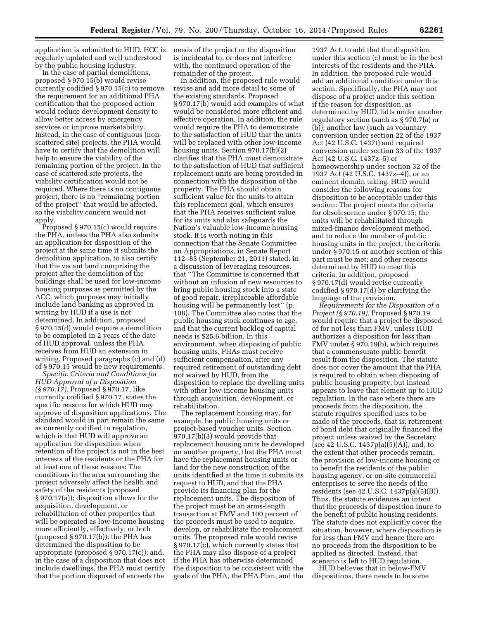application is submitted to HUD. HCC is regularly updated and well understood by the public housing industry.

In the case of partial demolitions, proposed § 970.15(b) would revise currently codified § 970.15(c) to remove the requirement for an additional PHA certification that the proposed action would reduce development density to allow better access by emergency services or improve marketability. Instead, in the case of contiguous (nonscattered site) projects, the PHA would have to certify that the demolition will help to ensure the viability of the remaining portion of the project. In the case of scattered site projects, the viability certification would not be required. Where there is no contiguous project, there is no ''remaining portion of the project'' that would be affected, so the viability concern would not apply.

Proposed § 970.15(c) would require the PHA, unless the PHA also submits an application for disposition of the project at the same time it submits the demolition application, to also certify that the vacant land comprising the project after the demolition of the buildings shall be used for low-income housing purposes as permitted by the ACC, which purposes may initially include land banking as approved in writing by HUD if a use is not determined. In addition, proposed § 970.15(d) would require a demolition to be completed in 2 years of the date of HUD approval, unless the PHA receives from HUD an extension in writing. Proposed paragraphs (c) and (d) of § 970.15 would be new requirements.

*Specific Criteria and Conditions for HUD Approval of a Disposition (§ 970.17).* Proposed § 970.17, like currently codified § 970.17, states the specific reasons for which HUD may approve of disposition applications. The standard would in part remain the same as currently codified in regulation, which is that HUD will approve an application for disposition when retention of the project is not in the best interests of the residents or the PHA for at least one of these reasons: The conditions in the area surrounding the project adversely affect the health and safety of the residents (proposed § 970.17(a)); disposition allows for the acquisition, development, or rehabilitation of other properties that will be operated as low-income housing more efficiently, effectively, or both (proposed  $\S 970.17(b)$ ); the PHA has determined the disposition to be appropriate (proposed § 970.17(c)); and, in the case of a disposition that does not include dwellings, the PHA must certify that the portion disposed of exceeds the

needs of the project or the disposition is incidental to, or does not interfere with, the continued operation of the remainder of the project.

In addition, the proposed rule would revise and add more detail to some of the existing standards. Proposed § 970.17(b) would add examples of what would be considered more efficient and effective operation. In addition, the rule would require the PHA to demonstrate to the satisfaction of HUD that the units will be replaced with other low-income housing units. Section 970.17(b)(2) clarifies that the PHA must demonstrate to the satisfaction of HUD that sufficient replacement units are being provided in connection with the disposition of the property. The PHA should obtain sufficient value for the units to attain this replacement goal, which ensures that the PHA receives sufficient value for its units and also safeguards the Nation's valuable low-income housing stock. It is worth noting in this connection that the Senate Committee on Appropriations, in Senate Report 112–83 (September 21, 2011) stated, in a discussion of leveraging resources, that ''The Committee is concerned that without an infusion of new resources to bring public housing stock into a state of good repair, irreplaceable affordable housing will be permanently lost'' (p. 108). The Committee also notes that the public housing stock continues to age, and that the current backlog of capital needs is \$25.6 billion. In this environment, when disposing of public housing units, PHAs must receive sufficient compensation, after any required retirement of outstanding debt not waived by HUD, from the disposition to replace the dwelling units with other low-income housing units through acquisition, development, or rehabilitation.

The replacement housing may, for example, be public housing units or project-based voucher units. Section 970.17(b)(3) would provide that replacement housing units be developed on another property, that the PHA must have the replacement housing units or land for the new construction of the units identified at the time it submits its request to HUD, and that the PHA provide its financing plan for the replacement units. The disposition of the project must be an arms-length transaction at FMV and 100 percent of the proceeds must be used to acquire, develop, or rehabilitate the replacement units. The proposed rule would revise § 970.17(c), which currently states that the PHA may also dispose of a project if the PHA has otherwise determined the disposition to be consistent with the goals of the PHA, the PHA Plan, and the

1937 Act, to add that the disposition under this section (c) must be in the best interests of the residents and the PHA. In addition, the proposed rule would add an additional condition under this section. Specifically, the PHA may not dispose of a project under this section if the reason for disposition, as determined by HUD, falls under another regulatory section (such as § 970.7(a) or (b)); another law (such as voluntary conversion under section 22 of the 1937 Act (42 U.S.C. 1437t) and required conversion under section 33 of the 1937 Act (42 U.S.C. 1437z–5) or homeownership under section 32 of the 1937 Act (42 U.S.C. 1437z–4)), or an eminent domain taking. HUD would consider the following reasons for disposition to be acceptable under this section: The project meets the criteria for obsolescence under § 970.15; the units will be rehabilitated through mixed-finance development method, and to reduce the number of public housing units in the project, the criteria under § 970.15 or another section of this part must be met; and other reasons determined by HUD to meet this criteria. In addition, proposed § 970.17(d) would revise currently codified § 970.17(d) by clarifying the language of the provision.

*Requirements for the Disposition of a Project (§ 970.19).* Proposed § 970.19 would require that a project be disposed of for not less than FMV, unless HUD authorizes a disposition for less than FMV under § 970.19(b), which requires that a commensurate public benefit result from the disposition. The statute does not cover the amount that the PHA is required to obtain when disposing of public housing property, but instead appears to leave that element up to HUD regulation. In the case where there are proceeds from the disposition, the statute requires specified uses to be made of the proceeds, that is, retirement of bond debt that originally financed the project unless waived by the Secretary (see 42 U.S.C. 1437p(a)(5)(A)), and, to the extent that other proceeds remain, the provision of low-income housing or to benefit the residents of the public housing agency, or on-site commercial enterprises to serve the needs of the residents (see 42 U.S.C. 1437p(a)(5)(B)). Thus, the statute evidences an intent that the proceeds of disposition inure to the benefit of public housing residents. The statute does not explicitly cover the situation, however, where disposition is for less than FMV and hence there are no proceeds from the disposition to be applied as directed. Instead, that scenario is left to HUD regulation.

HUD believes that in below-FMV dispositions, there needs to be some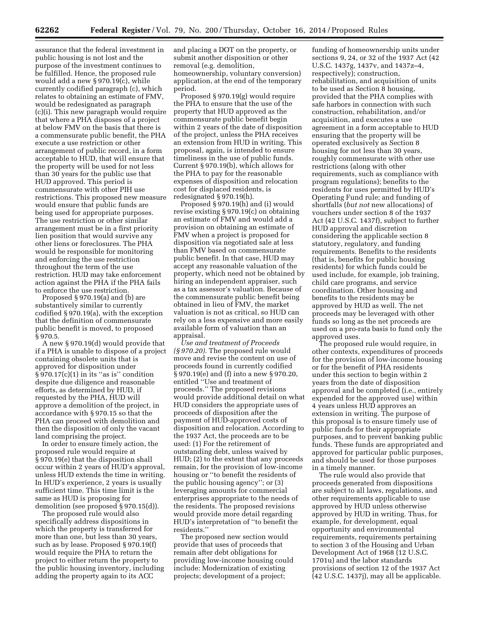assurance that the federal investment in public housing is not lost and the purpose of the investment continues to be fulfilled. Hence, the proposed rule would add a new § 970.19(c), while currently codified paragraph (c), which relates to obtaining an estimate of FMV, would be redesignated as paragraph (c)(i). This new paragraph would require that where a PHA disposes of a project at below FMV on the basis that there is a commensurate public benefit, the PHA execute a use restriction or other arrangement of public record, in a form acceptable to HUD, that will ensure that the property will be used for not less than 30 years for the public use that HUD approved. This period is commensurate with other PIH use restrictions. This proposed new measure would ensure that public funds are being used for appropriate purposes. The use restriction or other similar arrangement must be in a first priority lien position that would survive any other liens or foreclosures. The PHA would be responsible for monitoring and enforcing the use restriction throughout the term of the use restriction. HUD may take enforcement action against the PHA if the PHA fails to enforce the use restriction.

Proposed § 970.19(a) and (b) are substantively similar to currently codified § 970.19(a), with the exception that the definition of commensurate public benefit is moved, to proposed § 970.5.

A new § 970.19(d) would provide that if a PHA is unable to dispose of a project containing obsolete units that is approved for disposition under  $§$ 970.17(c)(1) in its "as is" condition despite due diligence and reasonable efforts, as determined by HUD, if requested by the PHA, HUD will approve a demolition of the project, in accordance with § 970.15 so that the PHA can proceed with demolition and then the disposition of only the vacant land comprising the project.

In order to ensure timely action, the proposed rule would require at § 970.19(e) that the disposition shall occur within 2 years of HUD's approval, unless HUD extends the time in writing. In HUD's experience, 2 years is usually sufficient time. This time limit is the same as HUD is proposing for demolition (see proposed § 970.15(d)).

The proposed rule would also specifically address dispositions in which the property is transferred for more than one, but less than 30 years, such as by lease. Proposed § 970.19(f) would require the PHA to return the project to either return the property to the public housing inventory, including adding the property again to its ACC

and placing a DOT on the property, or submit another disposition or other removal (e.g. demolition, homeownership, voluntary conversion) application, at the end of the temporary period.

Proposed § 970.19(g) would require the PHA to ensure that the use of the property that HUD approved as the commensurate public benefit begin within 2 years of the date of disposition of the project, unless the PHA receives an extension from HUD in writing. This proposal, again, is intended to ensure timeliness in the use of public funds. Current § 970.19(b), which allows for the PHA to pay for the reasonable expenses of disposition and relocation cost for displaced residents, is redesignated § 970.19(h).

Proposed § 970.19(h) and (i) would revise existing § 970.19(c) on obtaining an estimate of FMV and would add a provision on obtaining an estimate of FMV when a project is proposed for disposition via negotiated sale at less than FMV based on commensurate public benefit. In that case, HUD may accept any reasonable valuation of the property, which need not be obtained by hiring an independent appraiser, such as a tax assessor's valuation. Because of the commensurate public benefit being obtained in lieu of FMV, the market valuation is not as critical, so HUD can rely on a less expensive and more easily available form of valuation than an appraisal.

*Use and treatment of Proceeds (§ 970.20).* The proposed rule would move and revise the content on use of proceeds found in currently codified § 970.19(e) and (f) into a new § 970.20, entitled ''Use and treatment of proceeds.'' The proposed revisions would provide additional detail on what HUD considers the appropriate uses of proceeds of disposition after the payment of HUD-approved costs of disposition and relocation. According to the 1937 Act, the proceeds are to be used: (1) For the retirement of outstanding debt, unless waived by HUD; (2) to the extent that any proceeds remain, for the provision of low-income housing or ''to benefit the residents of the public housing agency''; or (3) leveraging amounts for commercial enterprises appropriate to the needs of the residents. The proposed revisions would provide more detail regarding HUD's interpretation of ''to benefit the residents.''

The proposed new section would provide that uses of proceeds that remain after debt obligations for providing low-income housing could include: Modernization of existing projects; development of a project;

funding of homeownership units under sections 9, 24, or 32 of the 1937 Act (42 U.S.C. 1437g, 1437v, and 1437z–4, respectively); construction, rehabilitation, and acquisition of units to be used as Section 8 housing, provided that the PHA complies with safe harbors in connection with such construction, rehabilitation, and/or acquisition, and executes a use agreement in a form acceptable to HUD ensuring that the property will be operated exclusively as Section 8 housing for not less than 30 years, roughly commensurate with other use restrictions (along with other requirements, such as compliance with program regulations); benefits to the residents for uses permitted by HUD's Operating Fund rule; and funding of shortfalls (*but not* new allocations) of vouchers under section 8 of the 1937 Act (42 U.S.C. 1437f), subject to further HUD approval and discretion considering the applicable section 8 statutory, regulatory, and funding requirements. Benefits to the residents (that is, benefits for public housing residents) for which funds could be used include, for example, job training, child care programs, and service coordination. Other housing and benefits to the residents may be approved by HUD as well. The net proceeds may be leveraged with other funds so long as the net proceeds are used on a pro-rata basis to fund only the approved uses.

The proposed rule would require, in other contexts, expenditures of proceeds for the provision of low-income housing or for the benefit of PHA residents under this section to begin within 2 years from the date of disposition approval and be completed (i.e., entirely expended for the approved use) within 4 years unless HUD approves an extension in writing. The purpose of this proposal is to ensure timely use of public funds for their appropriate purposes, and to prevent banking public funds. These funds are appropriated and approved for particular public purposes, and should be used for those purposes in a timely manner.

The rule would also provide that proceeds generated from dispositions are subject to all laws, regulations, and other requirements applicable to use approved by HUD unless otherwise approved by HUD in writing. Thus, for example, for development, equal opportunity and environmental requirements, requirements pertaining to section 3 of the Housing and Urban Development Act of 1968 (12 U.S.C. 1701u) and the labor standards provisions of section 12 of the 1937 Act (42 U.S.C. 1437j), may all be applicable.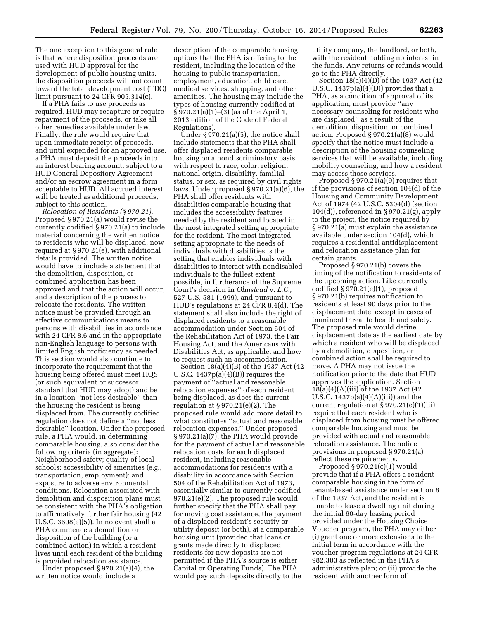The one exception to this general rule is that where disposition proceeds are used with HUD approval for the development of public housing units, the disposition proceeds will not count toward the total development cost (TDC) limit pursuant to 24 CFR 905.314(c).

If a PHA fails to use proceeds as required, HUD may recapture or require repayment of the proceeds, or take all other remedies available under law. Finally, the rule would require that upon immediate receipt of proceeds, and until expended for an approved use, a PHA must deposit the proceeds into an interest bearing account, subject to a HUD General Depository Agreement and/or an escrow agreement in a form acceptable to HUD. All accrued interest will be treated as additional proceeds, subject to this section.

*Relocation of Residents (§ 970.21).*  Proposed § 970.21(a) would revise the currently codified § 970.21(a) to include material concerning the written notice to residents who will be displaced, now required at § 970.21(e), with additional details provided. The written notice would have to include a statement that the demolition, disposition, or combined application has been approved and that the action will occur, and a description of the process to relocate the residents. The written notice must be provided through an effective communications means to persons with disabilities in accordance with 24 CFR 8.6 and in the appropriate non-English language to persons with limited English proficiency as needed. This section would also continue to incorporate the requirement that the housing being offered must meet HQS (or such equivalent or successor standard that HUD may adopt) and be in a location ''not less desirable'' than the housing the resident is being displaced from. The currently codified regulation does not define a ''not less desirable'' location. Under the proposed rule, a PHA would, in determining comparable housing, also consider the following criteria (in aggregate): Neighborhood safety; quality of local schools; accessibility of amenities (e.g., transportation, employment); and exposure to adverse environmental conditions. Relocation associated with demolition and disposition plans must be consistent with the PHA's obligation to affirmatively further fair housing (42 U.S.C. 3608(e)(5)). In no event shall a PHA commence a demolition or disposition of the building (or a combined action) in which a resident lives until each resident of the building is provided relocation assistance.

Under proposed § 970.21(a)(4), the written notice would include a

description of the comparable housing options that the PHA is offering to the resident, including the location of the housing to public transportation, employment, education, child care, medical services, shopping, and other amenities. The housing may include the types of housing currently codified at § 970.21(a)(1)–(3) (as of the April 1, 2013 edition of the Code of Federal Regulations).

Under  $\S 970.21(a)(5)$ , the notice shall include statements that the PHA shall offer displaced residents comparable housing on a nondiscriminatory basis with respect to race, color, religion, national origin, disability, familial status, or sex, as required by civil rights laws. Under proposed § 970.21(a)(6), the PHA shall offer residents with disabilities comparable housing that includes the accessibility features needed by the resident and located in the most integrated setting appropriate for the resident. The most integrated setting appropriate to the needs of individuals with disabilities is the setting that enables individuals with disabilities to interact with nondisabled individuals to the fullest extent possible, in furtherance of the Supreme Court's decision in *Olmstead* v. *L.C.,*  527 U.S. 581 (1999), and pursuant to HUD's regulations at 24 CFR 8.4(d). The statement shall also include the right of displaced residents to a reasonable accommodation under Section 504 of the Rehabilitation Act of 1973, the Fair Housing Act, and the Americans with Disabilities Act, as applicable, and how to request such an accommodation.

Section 18(a)(4)(B) of the 1937 Act (42 U.S.C. 1437p(a)(4)(B)) requires the payment of ''actual and reasonable relocation expenses'' of each resident being displaced, as does the current regulation at § 970.21(e)(2). The proposed rule would add more detail to what constitutes ''actual and reasonable relocation expenses.'' Under proposed § 970.21(a)(7), the PHA would provide for the payment of actual and reasonable relocation costs for each displaced resident, including reasonable accommodations for residents with a disability in accordance with Section 504 of the Rehabilitation Act of 1973, essentially similar to currently codified 970.21(e)(2). The proposed rule would further specify that the PHA shall pay for moving cost assistance, the payment of a displaced resident's security or utility deposit (or both), at a comparable housing unit (provided that loans or grants made directly to displaced residents for new deposits are not permitted if the PHA's source is either Capital or Operating Funds). The PHA would pay such deposits directly to the

utility company, the landlord, or both, with the resident holding no interest in the funds. Any returns or refunds would go to the PHA directly.

Section 18(a)(4)(D) of the 1937 Act (42 U.S.C.  $1437p(a)(4)(D)$  provides that a PHA, as a condition of approval of its application, must provide ''any necessary counseling for residents who are displaced'' as a result of the demolition, disposition, or combined action. Proposed § 970.21(a)(8) would specify that the notice must include a description of the housing counseling services that will be available, including mobility counseling, and how a resident may access those services.

Proposed § 970.21(a)(9) requires that if the provisions of section 104(d) of the Housing and Community Development Act of 1974 (42 U.S.C. 5304(d) (section 104(d)), referenced in § 970.21(g), apply to the project, the notice required by § 970.21(a) must explain the assistance available under section 104(d), which requires a residential antidisplacement and relocation assistance plan for certain grants.

Proposed § 970.21(b) covers the timing of the notification to residents of the upcoming action. Like currently codified § 970.21(e)(1), proposed § 970.21(b) requires notification to residents at least 90 days prior to the displacement date, except in cases of imminent threat to health and safety. The proposed rule would define displacement date as the earliest date by which a resident who will be displaced by a demolition, disposition, or combined action shall be required to move. A PHA may not issue the notification prior to the date that HUD approves the application. Section 18(a)(4)(A)(iii) of the 1937 Act (42 U.S.C.  $1437p(a)(4)(A)(iii)$  and the current regulation at § 970.21(e)(1)(iii) require that each resident who is displaced from housing must be offered comparable housing and must be provided with actual and reasonable relocation assistance. The notice provisions in proposed § 970.21(a) reflect these requirements.

Proposed § 970.21(c)(1) would provide that if a PHA offers a resident comparable housing in the form of tenant-based assistance under section 8 of the 1937 Act, and the resident is unable to lease a dwelling unit during the initial 60-day leasing period provided under the Housing Choice Voucher program, the PHA may either (i) grant one or more extensions to the initial term in accordance with the voucher program regulations at 24 CFR 982.303 as reflected in the PHA's administrative plan; or (ii) provide the resident with another form of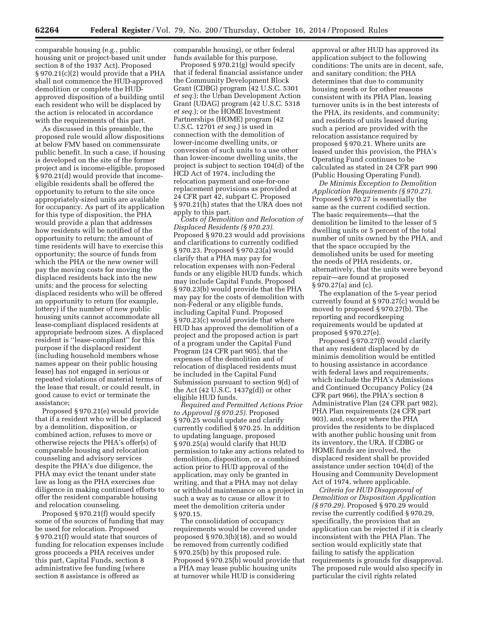comparable housing (e.g., public housing unit or project-based unit under section 8 of the 1937 Act). Proposed § 970.21(c)(2) would provide that a PHA shall not commence the HUD-approved demolition or complete the HUDapproved disposition of a building until each resident who will be displaced by the action is relocated in accordance with the requirements of this part.

As discussed in this preamble, the proposed rule would allow dispositions at below FMV based on commensurate public benefit. In such a case, if housing is developed on the site of the former project and is income-eligible, proposed § 970.21(d) would provide that incomeeligible residents shall be offered the opportunity to return to the site once appropriately-sized units are available for occupancy. As part of its application for this type of disposition, the PHA would provide a plan that addresses how residents will be notified of the opportunity to return; the amount of time residents will have to exercise this opportunity; the source of funds from which the PHA or the new owner will pay the moving costs for moving the displaced residents back into the new units; and the process for selecting displaced residents who will be offered an opportunity to return (for example, lottery) if the number of new public housing units cannot accommodate all lease-compliant displaced residents at appropriate bedroom sizes. A displaced resident is ''lease-compliant'' for this purpose if the displaced resident (including household members whose names appear on their public housing lease) has not engaged in serious or repeated violations of material terms of the lease that result, or could result, in good cause to evict or terminate the assistance;

Proposed § 970.21(e) would provide that if a resident who will be displaced by a demolition, disposition, or combined action, refuses to move or otherwise rejects the PHA's offer(s) of comparable housing and relocation counseling and advisory services despite the PHA's due diligence, the PHA may evict the tenant under state law as long as the PHA exercises due diligence in making continued efforts to offer the resident comparable housing and relocation counseling.

Proposed § 970.21(f) would specify some of the sources of funding that may be used for relocation. Proposed § 970.21(f) would state that sources of funding for relocation expenses include gross proceeds a PHA receives under this part, Capital Funds, section 8 administrative fee funding (where section 8 assistance is offered as

comparable housing), or other federal funds available for this purpose.

Proposed § 970.21(g) would specify that if federal financial assistance under the Community Development Block Grant (CDBG) program (42 U.S.C. 5301 *et seq.*); the Urban Development Action Grant (UDAG) program (42 U.S.C. 5318 *et seq.*); or the HOME Investment Partnerships (HOME) program (42 U.S.C. 12701 *et seq.*) is used in connection with the demolition of lower-income dwelling units, or conversion of such units to a use other than lower-income dwelling units, the project is subject to section 104(d) of the HCD Act of 1974, including the relocation payment and one-for-one replacement provisions as provided at 24 CFR part 42, subpart C. Proposed § 970.21(h) states that the URA does not apply to this part.

*Costs of Demolition and Relocation of Displaced Residents (§ 970.23).*  Proposed § 970.23 would add provisions and clarifications to currently codified § 970.23. Proposed § 970.23(a) would clarify that a PHA may pay for relocation expenses with non-Federal funds or any eligible HUD funds, which may include Capital Funds. Proposed § 970.23(b) would provide that the PHA may pay for the costs of demolition with non-Federal or any eligible funds, including Capital Fund. Proposed § 970.23(c) would provide that where HUD has approved the demolition of a project and the proposed action is part of a program under the Capital Fund Program (24 CFR part 905), that the expenses of the demolition and of relocation of displaced residents must be included in the Capital Fund Submission pursuant to section 9(d) of the Act (42 U.S.C. 1437g(d)) or other eligible HUD funds.

*Required and Permitted Actions Prior to Approval (§ 970.25).* Proposed § 970.25 would update and clarify currently codified § 970.25. In addition to updating language, proposed § 970.25(a) would clarify that HUD permission to take any actions related to demolition, disposition, or a combined action prior to HUD approval of the application, may only be granted in writing, and that a PHA may not delay or withhold maintenance on a project in such a way as to cause or allow it to meet the demolition criteria under § 970.15.

The consolidation of occupancy requirements would be covered under proposed § 970.3(b)(18), and so would be removed from currently codified § 970.25(b) by this proposed rule. Proposed § 970.25(b) would provide that a PHA may lease public housing units at turnover while HUD is considering

approval or after HUD has approved its application subject to the following conditions: The units are in decent, safe, and sanitary condition; the PHA determines that due to community housing needs or for other reasons consistent with its PHA Plan, leasing turnover units is in the best interests of the PHA, its residents, and community; and residents of units leased during such a period are provided with the relocation assistance required by proposed § 970.21. Where units are leased under this provision, the PHA's Operating Fund continues to be calculated as stated in 24 CFR part 990 (Public Housing Operating Fund).

*De Minimis Exception to Demolition Application Requirements (§ 970.27).*  Proposed § 970.27 is essentially the same as the current codified section. The basic requirements—that the demolition be limited to the lesser of 5 dwelling units or 5 percent of the total number of units owned by the PHA, and that the space occupied by the demolished units be used for meeting the needs of PHA residents, or, alternatively, that the units were beyond repair—are found at proposed § 970.27(a) and (c).

The explanation of the 5-year period currently found at § 970.27(c) would be moved to proposed § 970.27(b). The reporting and recordkeeping requirements would be updated at proposed § 970.27(e).

Proposed § 970.27(f) would clarify that any resident displaced by de minimis demolition would be entitled to housing assistance in accordance with federal laws and requirements, which include the PHA's Admissions and Continued Occupancy Policy (24 CFR part 966), the PHA's section 8 Administrative Plan (24 CFR part 982), PHA Plan requirements (24 CFR part 903), and, except where the PHA provides the residents to be displaced with another public housing unit from its inventory, the URA. If CDBG or HOME funds are involved, the displaced resident shall be provided assistance under section 104(d) of the Housing and Community Development Act of 1974, where applicable.

*Criteria for HUD Disapproval of Demolition or Disposition Application (§ 970.29).* Proposed § 970.29 would revise the currently codified § 970.29, specifically, the provision that an application can be rejected if it is clearly inconsistent with the PHA Plan. The section would explicitly state that failing to satisfy the application requirements is grounds for disapproval. The proposed rule would also specify in particular the civil rights related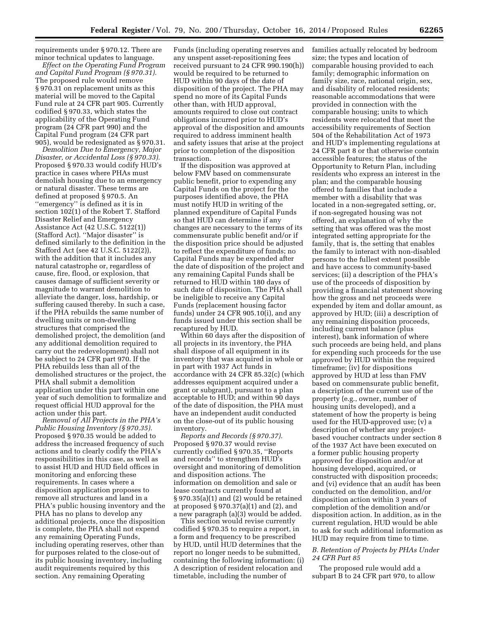requirements under § 970.12. There are minor technical updates to language.

*Effect on the Operating Fund Program and Capital Fund Program (§ 970.31).*  The proposed rule would remove § 970.31 on replacement units as this material will be moved to the Capital Fund rule at 24 CFR part 905. Currently codified § 970.33, which states the applicability of the Operating Fund program (24 CFR part 990) and the Capital Fund program (24 CFR part 905), would be redesignated as § 970.31.

*Demolition Due to Emergency, Major Disaster, or Accidental Loss (§ 970.33).*  Proposed § 970.33 would codify HUD's practice in cases where PHAs must demolish housing due to an emergency or natural disaster. These terms are defined at proposed § 970.5. An ''emergency'' is defined as it is in section 102(1) of the Robert T. Stafford Disaster Relief and Emergency Assistance Act (42 U.S.C. 5122(1)) (Stafford Act). ''Major disaster'' is defined similarly to the definition in the Stafford Act (see 42 U.S.C. 5122(2)), with the addition that it includes any natural catastrophe or, regardless of cause, fire, flood, or explosion, that causes damage of sufficient severity or magnitude to warrant demolition to alleviate the danger, loss, hardship, or suffering caused thereby. In such a case, if the PHA rebuilds the same number of dwelling units or non-dwelling structures that comprised the demolished project, the demolition (and any additional demolition required to carry out the redevelopment) shall not be subject to 24 CFR part 970. If the PHA rebuilds less than all of the demolished structures or the project, the PHA shall submit a demolition application under this part within one year of such demolition to formalize and request official HUD approval for the action under this part.

*Removal of All Projects in the PHA's Public Housing Inventory (§ 970.35).*  Proposed § 970.35 would be added to address the increased frequency of such actions and to clearly codify the PHA's responsibilities in this case, as well as to assist HUD and HUD field offices in monitoring and enforcing these requirements. In cases where a disposition application proposes to remove all structures and land in a PHA's public housing inventory and the PHA has no plans to develop any additional projects, once the disposition is complete, the PHA shall not expend any remaining Operating Funds, including operating reserves, other than for purposes related to the close-out of its public housing inventory, including audit requirements required by this section. Any remaining Operating

Funds (including operating reserves and any unspent asset-repositioning fees received pursuant to 24 CFR 990.190(h)) would be required to be returned to HUD within 90 days of the date of disposition of the project. The PHA may spend no more of its Capital Funds other than, with HUD approval, amounts required to close out contract obligations incurred prior to HUD's approval of the disposition and amounts required to address imminent health and safety issues that arise at the project prior to completion of the disposition transaction.

If the disposition was approved at below FMV based on commensurate public benefit, prior to expending any Capital Funds on the project for the purposes identified above, the PHA must notify HUD in writing of the planned expenditure of Capital Funds so that HUD can determine if any changes are necessary to the terms of its commensurate public benefit and/or if the disposition price should be adjusted to reflect the expenditure of funds; no Capital Funds may be expended after the date of disposition of the project and any remaining Capital Funds shall be returned to HUD within 180 days of such date of disposition. The PHA shall be ineligible to receive any Capital Funds (replacement housing factor funds) under 24 CFR 905.10(i), and any funds issued under this section shall be recaptured by HUD.

Within 60 days after the disposition of all projects in its inventory, the PHA shall dispose of all equipment in its inventory that was acquired in whole or in part with 1937 Act funds in accordance with 24 CFR 85.32(c) (which addresses equipment acquired under a grant or subgrant), pursuant to a plan acceptable to HUD; and within 90 days of the date of disposition, the PHA must have an independent audit conducted on the close-out of its public housing inventory.

*Reports and Records (§ 970.37).*  Proposed § 970.37 would revise currently codified § 970.35, ''Reports and records'' to strengthen HUD's oversight and monitoring of demolition and disposition actions. The information on demolition and sale or lease contracts currently found at § 970.35(a)(1) and (2) would be retained at proposed § 970.37(a)(1) and (2), and a new paragraph (a)(3) would be added.

This section would revise currently codified § 970.35 to require a report, in a form and frequency to be prescribed by HUD, until HUD determines that the report no longer needs to be submitted, containing the following information: (i) A description of resident relocation and timetable, including the number of

families actually relocated by bedroom size; the types and location of comparable housing provided to each family; demographic information on family size, race, national origin, sex, and disability of relocated residents; reasonable accommodations that were provided in connection with the comparable housing; units to which residents were relocated that meet the accessibility requirements of Section 504 of the Rehabilitation Act of 1973 and HUD's implementing regulations at 24 CFR part 8 or that otherwise contain accessible features; the status of the Opportunity to Return Plan, including residents who express an interest in the plan; and the comparable housing offered to families that include a member with a disability that was located in a non-segregated setting, or, if non-segregated housing was not offered, an explanation of why the setting that was offered was the most integrated setting appropriate for the family, that is, the setting that enables the family to interact with non-disabled persons to the fullest extent possible and have access to community-based services; (ii) a description of the PHA's use of the proceeds of disposition by providing a financial statement showing how the gross and net proceeds were expended by item and dollar amount, as approved by HUD; (iii) a description of any remaining disposition proceeds, including current balance (plus interest), bank information of where such proceeds are being held, and plans for expending such proceeds for the use approved by HUD within the required timeframe; (iv) for dispositions approved by HUD at less than FMV based on commensurate public benefit, a description of the current use of the property (e.g., owner, number of housing units developed), and a statement of how the property is being used for the HUD-approved use; (v) a description of whether any projectbased voucher contracts under section 8 of the 1937 Act have been executed on a former public housing property approved for disposition and/or at housing developed, acquired, or constructed with disposition proceeds; and (vi) evidence that an audit has been conducted on the demolition, and/or disposition action within 3 years of completion of the demolition and/or disposition action. In addition, as in the current regulation, HUD would be able to ask for such additional information as HUD may require from time to time.

# *B. Retention of Projects by PHAs Under 24 CFR Part 85*

The proposed rule would add a subpart B to 24 CFR part 970, to allow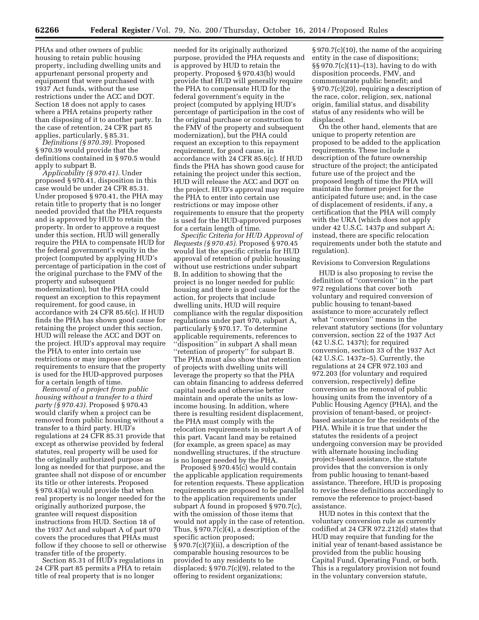PHAs and other owners of public housing to retain public housing property, including dwelling units and appurtenant personal property and equipment that were purchased with 1937 Act funds, without the use restrictions under the ACC and DOT. Section 18 does not apply to cases where a PHA retains property rather than disposing of it to another party. In the case of retention, 24 CFR part 85 applies, particularly, § 85.31.

*Definitions (§ 970.39).* Proposed § 970.39 would provide that the definitions contained in § 970.5 would apply to subpart B.

*Applicability (§ 970.41).* Under proposed § 970.41, disposition in this case would be under 24 CFR 85.31. Under proposed § 970.41, the PHA may retain title to property that is no longer needed provided that the PHA requests and is approved by HUD to retain the property. In order to approve a request under this section, HUD will generally require the PHA to compensate HUD for the federal government's equity in the project (computed by applying HUD's percentage of participation in the cost of the original purchase to the FMV of the property and subsequent modernization), but the PHA could request an exception to this repayment requirement, for good cause, in accordance with 24 CFR 85.6(c). If HUD finds the PHA has shown good cause for retaining the project under this section, HUD will release the ACC and DOT on the project. HUD's approval may require the PHA to enter into certain use restrictions or may impose other requirements to ensure that the property is used for the HUD-approved purposes for a certain length of time.

*Removal of a project from public housing without a transfer to a third party (§ 970.43).* Proposed § 970.43 would clarify when a project can be removed from public housing without a transfer to a third party. HUD's regulations at 24 CFR 85.31 provide that except as otherwise provided by federal statutes, real property will be used for the originally authorized purpose as long as needed for that purpose, and the grantee shall not dispose of or encumber its title or other interests. Proposed § 970.43(a) would provide that when real property is no longer needed for the originally authorized purpose, the grantee will request disposition instructions from HUD. Section 18 of the 1937 Act and subpart A of part 970 covers the procedures that PHAs must follow if they choose to sell or otherwise transfer title of the property.

Section 85.31 of HUD's regulations in 24 CFR part 85 permits a PHA to retain title of real property that is no longer

needed for its originally authorized purpose, provided the PHA requests and is approved by HUD to retain the property. Proposed § 970.43(b) would provide that HUD will generally require the PHA to compensate HUD for the federal government's equity in the project (computed by applying HUD's percentage of participation in the cost of the original purchase or construction to the FMV of the property and subsequent modernization), but the PHA could request an exception to this repayment requirement, for good cause, in accordance with 24 CFR 85.6(c). If HUD finds the PHA has shown good cause for retaining the project under this section, HUD will release the ACC and DOT on the project. HUD's approval may require the PHA to enter into certain use restrictions or may impose other requirements to ensure that the property is used for the HUD-approved purposes for a certain length of time.

*Specific Criteria for HUD Approval of Requests (§ 970.45).* Proposed § 970.45 would list the specific criteria for HUD approval of retention of public housing without use restrictions under subpart B. In addition to showing that the project is no longer needed for public housing and there is good cause for the action, for projects that include dwelling units, HUD will require compliance with the regular disposition regulations under part 970, subpart A, particularly § 970.17. To determine applicable requirements, references to ''disposition'' in subpart A shall mean ''retention of property'' for subpart B. The PHA must also show that retention of projects with dwelling units will leverage the property so that the PHA can obtain financing to address deferred capital needs and otherwise better maintain and operate the units as lowincome housing. In addition, where there is resulting resident displacement, the PHA must comply with the relocation requirements in subpart A of this part. Vacant land may be retained (for example, as green space) as may nondwelling structures, if the structure is no longer needed by the PHA.

Proposed § 970.45(c) would contain the applicable application requirements for retention requests. These application requirements are proposed to be parallel to the application requirements under subpart A found in proposed § 970.7(c), with the omission of those items that would not apply in the case of retention. Thus, § 970.7(c)(4), a description of the specific action proposed; § 970.7(c)(7)(ii), a description of the comparable housing resources to be provided to any residents to be displaced; § 970.7(c)(9), related to the offering to resident organizations;

§ 970.7(c)(10), the name of the acquiring entity in the case of dispositions; §§ 970.7(c)(11)–(13), having to do with disposition proceeds, FMV, and commensurate public benefit; and § 970.7(c)(20), requiring a description of the race, color, religion, sex, national origin, familial status, and disability status of any residents who will be displaced.

On the other hand, elements that are unique to property retention are proposed to be added to the application requirements. These include a description of the future ownership structure of the project; the anticipated future use of the project and the proposed length of time the PHA will maintain the former project for the anticipated future use; and, in the case of displacement of residents, if any, a certification that the PHA will comply with the URA (which does not apply under 42 U.S.C. 1437p and subpart A; instead, there are specific relocation requirements under both the statute and regulation).

#### Revisions to Conversion Regulations

HUD is also proposing to revise the definition of ''conversion'' in the part 972 regulations that cover both voluntary and required conversion of public housing to tenant-based assistance to more accurately reflect what ''conversion'' means in the relevant statutory sections (for voluntary conversion, section 22 of the 1937 Act (42 U.S.C. 1437t); for required conversion, section 33 of the 1937 Act (42 U.S.C. 1437z–5). Currently, the regulations at 24 CFR 972.103 and 972.203 (for voluntary and required conversion, respectively) define conversion as the removal of public housing units from the inventory of a Public Housing Agency (PHA), and the provision of tenant-based, or projectbased assistance for the residents of the PHA. While it is true that under the statutes the residents of a project undergoing conversion may be provided with alternate housing including project-based assistance, the statute provides that the conversion is only from public housing to tenant-based assistance. Therefore, HUD is proposing to revise these definitions accordingly to remove the reference to project-based assistance.

HUD notes in this context that the voluntary conversion rule as currently codified at 24 CFR 972.212(d) states that HUD may require that funding for the initial year of tenant-based assistance be provided from the public housing Capital Fund, Operating Fund, or both. This is a regulatory provision not found in the voluntary conversion statute,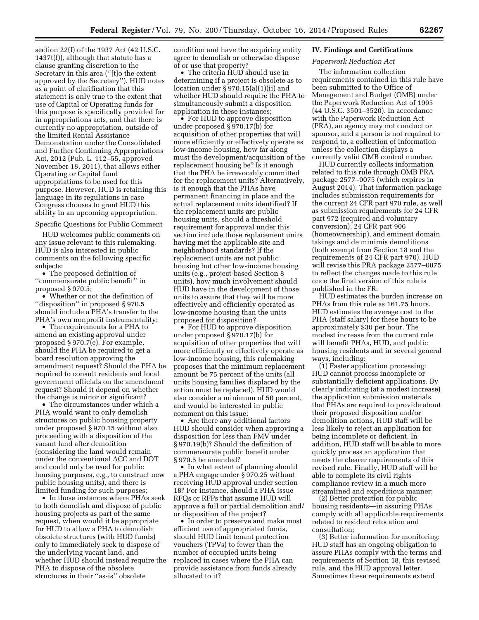section 22(f) of the 1937 Act (42 U.S.C. 1437t(f)), although that statute has a clause granting discretion to the Secretary in this area (''[t]o the extent approved by the Secretary''). HUD notes as a point of clarification that this statement is only true to the extent that use of Capital or Operating funds for this purpose is specifically provided for in appropriations acts, and that there is currently no appropriation, outside of the limited Rental Assistance Demonstration under the Consolidated and Further Continuing Appropriations Act, 2012 (Pub. L. 112–55, approved November 18, 2011), that allows either Operating or Capital fund appropriations to be used for this purpose. However, HUD is retaining this language in its regulations in case Congress chooses to grant HUD this ability in an upcoming appropriation.

#### Specific Questions for Public Comment

HUD welcomes public comments on any issue relevant to this rulemaking. HUD is also interested in public comments on the following specific subjects:

• The proposed definition of ''commensurate public benefit'' in proposed § 970.5;

• Whether or not the definition of ''disposition'' in proposed § 970.5 should include a PHA's transfer to the PHA's own nonprofit instrumentality;

• The requirements for a PHA to amend an existing approval under proposed § 970.7(e). For example, should the PHA be required to get a board resolution approving the amendment request? Should the PHA be required to consult residents and local government officials on the amendment request? Should it depend on whether the change is minor or significant?

• The circumstances under which a PHA would want to only demolish structures on public housing property under proposed § 970.15 without also proceeding with a disposition of the vacant land after demolition (considering the land would remain under the conventional ACC and DOT and could only be used for public housing purposes, e.g., to construct new public housing units), and there is limited funding for such purposes;

• In those instances where PHAs seek to both demolish and dispose of public housing projects as part of the same request, when would it be appropriate for HUD to allow a PHA to demolish obsolete structures (with HUD funds) only to immediately seek to dispose of the underlying vacant land, and whether HUD should instead require the PHA to dispose of the obsolete structures in their ''as-is'' obsolete

condition and have the acquiring entity agree to demolish or otherwise dispose of or use that property?

• The criteria HUD should use in determining if a project is obsolete as to location under § 970.15(a)(1)(ii) and whether HUD should require the PHA to simultaneously submit a disposition application in these instances;

• For HUD to approve disposition under proposed § 970.17(b) for acquisition of other properties that will more efficiently or effectively operate as low-income housing, how far along must the development/acquisition of the replacement housing be? Is it enough that the PHA be irrevocably committed for the replacement units? Alternatively, is it enough that the PHAs have permanent financing in place and the actual replacement units identified? If the replacement units are public housing units, should a threshold requirement for approval under this section include those replacement units having met the applicable site and neighborhood standards? If the replacement units are not public housing but other low-income housing units (e.g., project-based Section 8 units), how much involvement should HUD have in the development of those units to assure that they will be more effectively and efficiently operated as low-income housing than the units proposed for disposition?

• For HUD to approve disposition under proposed § 970.17(b) for acquisition of other properties that will more efficiently or effectively operate as low-income housing, this rulemaking proposes that the minimum replacement amount be 75 percent of the units (all units housing families displaced by the action must be replaced). HUD would also consider a minimum of 50 percent, and would be interested in public comment on this issue;

• Are there any additional factors HUD should consider when approving a disposition for less than FMV under § 970.19(b)? Should the definition of commensurate public benefit under § 970.5 be amended?

• In what extent of planning should a PHA engage under § 970.25 without receiving HUD approval under section 18? For instance, should a PHA issue RFQs or RFPs that assume HUD will approve a full or partial demolition and/ or disposition of the project?

• In order to preserve and make most efficient use of appropriated funds, should HUD limit tenant protection vouchers (TPVs) to fewer than the number of occupied units being replaced in cases where the PHA can provide assistance from funds already allocated to it?

# **IV. Findings and Certifications**

# *Paperwork Reduction Act*

The information collection requirements contained in this rule have been submitted to the Office of Management and Budget (OMB) under the Paperwork Reduction Act of 1995 (44 U.S.C. 3501–3520). In accordance with the Paperwork Reduction Act (PRA), an agency may not conduct or sponsor, and a person is not required to respond to, a collection of information unless the collection displays a currently valid OMB control number.

HUD currently collects information related to this rule through OMB PRA package 2577–0075 (which expires in August 2014). That information package includes submission requirements for the current 24 CFR part 970 rule, as well as submission requirements for 24 CFR part 972 (required and voluntary conversion), 24 CFR part 906 (homeownership), and eminent domain takings and de minimis demolitions (both exempt from Section 18 and the requirements of 24 CFR part 970). HUD will revise this PRA package 2577–0075 to reflect the changes made to this rule once the final version of this rule is published in the FR.

HUD estimates the burden increase on PHAs from this rule as 161.75 hours. HUD estimates the average cost to the PHA (staff salary) for these hours to be approximately \$30 per hour. The modest increase from the current rule will benefit PHAs, HUD, and public housing residents and in several general ways, including:

(1) Faster application processing: HUD cannot process incomplete or substantially deficient applications. By clearly indicating (at a modest increase) the application submission materials that PHAs are required to provide about their proposed disposition and/or demolition actions, HUD staff will be less likely to reject an application for being incomplete or deficient. In addition, HUD staff will be able to more quickly process an application that meets the clearer requirements of this revised rule. Finally, HUD staff will be able to complete its civil rights compliance review in a much more streamlined and expeditious manner;

(2) Better protection for public housing residents—in assuring PHAs comply with all applicable requirements related to resident relocation and consultation;

(3) Better information for monitoring: HUD staff has an ongoing obligation to assure PHAs comply with the terms and requirements of Section 18, this revised rule, and the HUD approval letter. Sometimes these requirements extend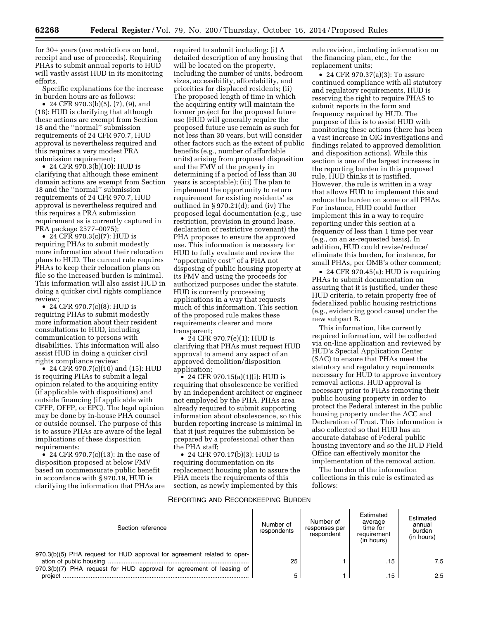for 30+ years (use restrictions on land, receipt and use of proceeds). Requiring PHAs to submit annual reports to HUD will vastly assist HUD in its monitoring efforts.

Specific explanations for the increase in burden hours are as follows:

• 24 CFR 970.3(b)(5), (7), (9), and (18): HUD is clarifying that although these actions are exempt from Section 18 and the ''normal'' submission requirements of 24 CFR 970.7, HUD approval is nevertheless required and this requires a very modest PRA submission requirement;

• 24 CFR 970.3(b)(10): HUD is clarifying that although these eminent domain actions are exempt from Section 18 and the ''normal'' submission requirements of 24 CFR 970.7, HUD approval is nevertheless required and this requires a PRA submission requirement as is currently captured in PRA package 2577–0075);

• 24 CFR 970.3(c)(7): HUD is requiring PHAs to submit modestly more information about their relocation plans to HUD. The current rule requires PHAs to keep their relocation plans on file so the increased burden is minimal. This information will also assist HUD in doing a quicker civil rights compliance review;

• 24 CFR 970.7(c)(8): HUD is requiring PHAs to submit modestly more information about their resident consultations to HUD, including communication to persons with disabilities. This information will also assist HUD in doing a quicker civil rights compliance review;

• 24 CFR 970.7(c)(10) and (15): HUD is requiring PHAs to submit a legal opinion related to the acquiring entity (if applicable with dispositions) and outside financing (if applicable with CFFP, OFFP, or EPC). The legal opinion may be done by in-house PHA counsel or outside counsel. The purpose of this is to assure PHAs are aware of the legal implications of these disposition requirements;

• 24 CFR 970.7(c)(13): In the case of disposition proposed at below FMV based on commensurate public benefit in accordance with § 970.19, HUD is clarifying the information that PHAs are

required to submit including: (i) A detailed description of any housing that will be located on the property, including the number of units, bedroom sizes, accessibility, affordability, and priorities for displaced residents; (ii) The proposed length of time in which the acquiring entity will maintain the former project for the proposed future use (HUD will generally require the proposed future use remain as such for not less than 30 years, but will consider other factors such as the extent of public benefits (e.g., number of affordable units) arising from proposed disposition and the FMV of the property in determining if a period of less than 30 years is acceptable); (iii) The plan to implement the opportunity to return requirement for existing residents' as outlined in § 970.21(d); and (iv) The proposed legal documentation (e.g., use restriction, provision in ground lease, declaration of restrictive covenant) the PHA proposes to ensure the approved use. This information is necessary for HUD to fully evaluate and review the ''opportunity cost'' of a PHA not disposing of public housing property at its FMV and using the proceeds for authorized purposes under the statute. HUD is currently processing applications in a way that requests much of this information. This section of the proposed rule makes these requirements clearer and more transparent;

• 24 CFR 970.7(e)(1): HUD is clarifying that PHAs must request HUD approval to amend any aspect of an approved demolition/disposition application;

• 24 CFR 970.15(a)(1)(i): HUD is requiring that obsolescence be verified by an independent architect or engineer not employed by the PHA. PHAs area already required to submit supporting information about obsolescence, so this burden reporting increase is minimal in that it just requires the submission be prepared by a professional other than the PHA staff;

• 24 CFR 970.17(b)(3): HUD is requiring documentation on its replacement housing plan to assure the PHA meets the requirements of this section, as newly implemented by this

rule revision, including information on the financing plan, etc., for the replacement units;

• 24 CFR 970.37(a)(3): To assure continued compliance with all statutory and regulatory requirements, HUD is reserving the right to require PHAS to submit reports in the form and frequency required by HUD. The purpose of this is to assist HUD with monitoring these actions (there has been a vast increase in OIG investigations and findings related to approved demolition and disposition actions). While this section is one of the largest increases in the reporting burden in this proposed rule, HUD thinks it is justified. However, the rule is written in a way that allows HUD to implement this and reduce the burden on some or all PHAs. For instance, HUD could further implement this in a way to require reporting under this section at a frequency of less than 1 time per year (e.g., on an as-requested basis). In addition, HUD could revise/reduce/ eliminate this burden, for instance, for small PHAs, per OMB's other comment;

• 24 CFR 970.45(a): HUD is requiring PHAs to submit documentation on assuring that it is justified, under these HUD criteria, to retain property free of federalized public housing restrictions (e.g., evidencing good cause) under the new subpart B.

This information, like currently required information, will be collected via on-line application and reviewed by HUD's Special Application Center (SAC) to ensure that PHAs meet the statutory and regulatory requirements necessary for HUD to approve inventory removal actions. HUD approval is necessary prior to PHAs removing their public housing property in order to protect the Federal interest in the public housing property under the ACC and Declaration of Trust. This information is also collected so that HUD has an accurate database of Federal public housing inventory and so the HUD Field Office can effectively monitor the implementation of the removal action.

The burden of the information collections in this rule is estimated as follows:

# REPORTING AND RECORDKEEPING BURDEN

| Section reference                                                                                                                               | Number of<br>respondents | Number of<br>responses per<br>respondent | Estimated<br>average<br>time for<br>requirement<br>(in hours) | Estimated<br>annual<br>burden<br>(in hours) |
|-------------------------------------------------------------------------------------------------------------------------------------------------|--------------------------|------------------------------------------|---------------------------------------------------------------|---------------------------------------------|
| 970.3(b)(5) PHA request for HUD approval for agreement related to oper-<br>970.3(b)(7) PHA request for HUD approval for agreement of leasing of | 25                       |                                          | .15                                                           | 7.5                                         |
| project                                                                                                                                         | 5                        |                                          | 15                                                            | 2.5                                         |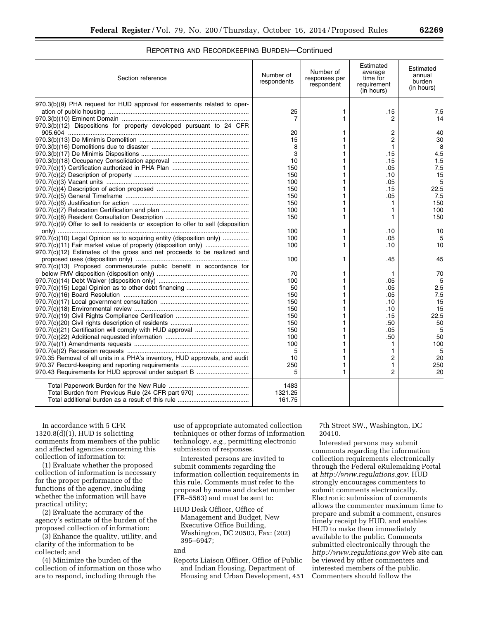# REPORTING AND RECORDKEEPING BURDEN—Continued

| 970.3(b)(9) PHA request for HUD approval for easements related to oper-                    | 7.5<br>14<br>40<br>30 |
|--------------------------------------------------------------------------------------------|-----------------------|
|                                                                                            |                       |
| 25<br>1<br>.15                                                                             |                       |
| 7<br>1<br>2                                                                                |                       |
| 970.3(b)(12) Dispositions for property developed pursuant to 24 CFR                        |                       |
| 20<br>2<br>1                                                                               |                       |
| 15<br>$\overline{2}$                                                                       |                       |
| 8<br>1                                                                                     | 8                     |
| 3<br>.15                                                                                   | 4.5                   |
| 10<br>.15                                                                                  | 1.5                   |
| .05<br>150<br>1                                                                            | 7.5                   |
| 150<br>1<br>.10                                                                            | 15                    |
| 100<br>.05<br>1                                                                            | 5                     |
| 150<br>.15<br>1                                                                            | 22.5                  |
| .05<br>150<br>1                                                                            | 7.5                   |
| 150<br>1<br>1                                                                              | 150                   |
| 100<br>1<br>1                                                                              | 100                   |
| 150<br>1<br>1                                                                              | 150                   |
| 970.7(c)(9) Offer to sell to residents or exception to offer to sell (disposition          |                       |
| 100<br>1<br>.10                                                                            | 10                    |
| 970.7(c)(10) Legal Opinion as to acquiring entity (disposition only)<br>100<br>.05<br>1    | 5                     |
| 970.7(c)(11) Fair market value of property (disposition only)<br>100<br>.10                | 10                    |
| $970.7(c)(12)$ Estimates of the gross and net proceeds to be realized and                  |                       |
| 100<br>.45<br>1                                                                            | 45                    |
| 970.7(c)(13) Proposed commensurate public benefit in accordance for                        |                       |
| 70<br>1<br>1                                                                               | 70                    |
| 100<br>1<br>.05                                                                            | 5                     |
| 50<br>.05                                                                                  | 2.5                   |
| 150<br>.05<br>1                                                                            | 7.5                   |
| 150<br>.10                                                                                 | 15                    |
| 150<br>1<br>.10                                                                            | 15                    |
| 150<br>.15                                                                                 | 22.5                  |
| .50<br>150<br>1                                                                            | 50                    |
| .05<br>150<br>1                                                                            | 5                     |
| .50<br>100<br>1                                                                            | 50                    |
| 100<br>1<br>1                                                                              | 100                   |
| 5<br>1<br>1                                                                                | 5                     |
| 970.35 Removal of all units in a PHA's inventory, HUD approvals, and audit<br>10<br>2<br>1 | 20                    |
| 250<br>1<br>1                                                                              | 250                   |
| $\overline{2}$<br>970.43 Requirements for HUD approval under subpart B<br>5<br>1           | 20                    |
| 1483                                                                                       |                       |
| Total Burden from Previous Rule (24 CFR part 970)<br>1321.25                               |                       |
| 161.75                                                                                     |                       |

In accordance with 5 CFR  $1320.8(d)(1)$ , HUD is soliciting comments from members of the public and affected agencies concerning this collection of information to:

(1) Evaluate whether the proposed collection of information is necessary for the proper performance of the functions of the agency, including whether the information will have practical utility;

(2) Evaluate the accuracy of the agency's estimate of the burden of the proposed collection of information;

(3) Enhance the quality, utility, and clarity of the information to be collected; and

(4) Minimize the burden of the collection of information on those who are to respond, including through the

use of appropriate automated collection techniques or other forms of information technology, *e.g.,* permitting electronic submission of responses.

Interested persons are invited to submit comments regarding the information collection requirements in this rule. Comments must refer to the proposal by name and docket number (FR–5563) and must be sent to:

HUD Desk Officer, Office of Management and Budget, New Executive Office Building, Washington, DC 20503, Fax: (202) 395–6947;

and

Reports Liaison Officer, Office of Public and Indian Housing, Department of Housing and Urban Development, 451 7th Street SW., Washington, DC 20410.

Interested persons may submit comments regarding the information collection requirements electronically through the Federal eRulemaking Portal at *[http://www.regulations.gov.](http://www.regulations.gov)* HUD strongly encourages commenters to submit comments electronically. Electronic submission of comments allows the commenter maximum time to prepare and submit a comment, ensures timely receipt by HUD, and enables HUD to make them immediately available to the public. Comments submitted electronically through the *<http://www.regulations.gov>* Web site can be viewed by other commenters and interested members of the public. Commenters should follow the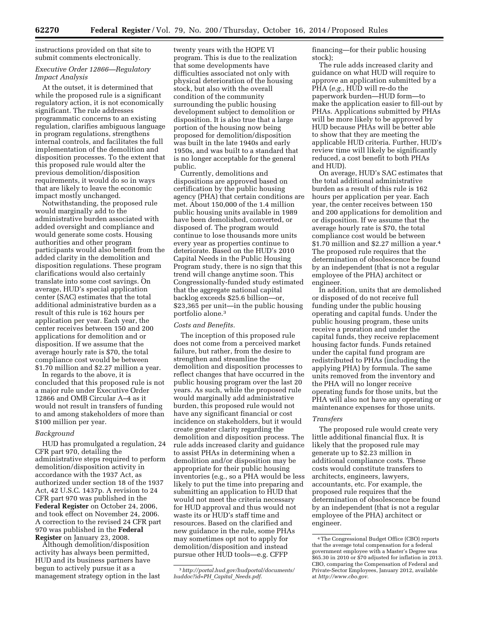instructions provided on that site to submit comments electronically.

# *Executive Order 12866—Regulatory Impact Analysis*

At the outset, it is determined that while the proposed rule is a significant regulatory action, it is not economically significant. The rule addresses programmatic concerns to an existing regulation, clarifies ambiguous language in program regulations, strengthens internal controls, and facilitates the full implementation of the demolition and disposition processes. To the extent that this proposed rule would alter the previous demolition/disposition requirements, it would do so in ways that are likely to leave the economic impact mostly unchanged.

Notwithstanding, the proposed rule would marginally add to the administrative burden associated with added oversight and compliance and would generate some costs. Housing authorities and other program participants would also benefit from the added clarity in the demolition and disposition regulations. These program clarifications would also certainly translate into some cost savings. On average, HUD's special application center (SAC) estimates that the total additional administrative burden as a result of this rule is 162 hours per application per year. Each year, the center receives between 150 and 200 applications for demolition and or disposition. If we assume that the average hourly rate is \$70, the total compliance cost would be between \$1.70 million and \$2.27 million a year.

In regards to the above, it is concluded that this proposed rule is not a major rule under Executive Order 12866 and OMB Circular A–4 as it would not result in transfers of funding to and among stakeholders of more than \$100 million per year.

# *Background*

HUD has promulgated a regulation, 24 CFR part 970, detailing the administrative steps required to perform demolition/disposition activity in accordance with the 1937 Act, as authorized under section 18 of the 1937 Act, 42 U.S.C. 1437p. A revision to 24 CFR part 970 was published in the **Federal Register** on October 24, 2006, and took effect on November 24, 2006. A correction to the revised 24 CFR part 970 was published in the **Federal Register** on January 23, 2008.

Although demolition/disposition activity has always been permitted, HUD and its business partners have begun to actively pursue it as a management strategy option in the last

twenty years with the HOPE VI program. This is due to the realization that some developments have difficulties associated not only with physical deterioration of the housing stock, but also with the overall condition of the community surrounding the public housing development subject to demolition or disposition. It is also true that a large portion of the housing now being proposed for demolition/disposition was built in the late 1940s and early 1950s, and was built to a standard that is no longer acceptable for the general public.

Currently, demolitions and dispositions are approved based on certification by the public housing agency (PHA) that certain conditions are met. About 150,000 of the 1.4 million public housing units available in 1989 have been demolished, converted, or disposed of. The program would continue to lose thousands more units every year as properties continue to deteriorate. Based on the HUD's 2010 Capital Needs in the Public Housing Program study, there is no sign that this trend will change anytime soon. This Congressionally-funded study estimated that the aggregate national capital backlog exceeds \$25.6 billion—or, \$23,365 per unit—in the public housing portfolio alone.3

# *Costs and Benefits.*

The inception of this proposed rule does not come from a perceived market failure, but rather, from the desire to strengthen and streamline the demolition and disposition processes to reflect changes that have occurred in the public housing program over the last 20 years. As such, while the proposed rule would marginally add administrative burden, this proposed rule would not have any significant financial or cost incidence on stakeholders, but it would create greater clarity regarding the demolition and disposition process. The rule adds increased clarity and guidance to assist PHAs in determining when a demolition and/or disposition may be appropriate for their public housing inventories (e.g., so a PHA would be less likely to put the time into preparing and submitting an application to HUD that would not meet the criteria necessary for HUD approval and thus would not waste its or HUD's staff time and resources. Based on the clarified and new guidance in the rule, some PHAs may sometimes opt not to apply for demolition/disposition and instead pursue other HUD tools—e.g. CFFP

financing—for their public housing stock);

The rule adds increased clarity and guidance on what HUD will require to approve an application submitted by a PHA (*e.g.,* HUD will re-do the paperwork burden—HUD form—to make the application easier to fill-out by PHAs. Applications submitted by PHAs will be more likely to be approved by HUD because PHAs will be better able to show that they are meeting the applicable HUD criteria. Further, HUD's review time will likely be significantly reduced, a cost benefit to both PHAs and HUD).

On average, HUD's SAC estimates that the total additional administrative burden as a result of this rule is 162 hours per application per year. Each year, the center receives between 150 and 200 applications for demolition and or disposition. If we assume that the average hourly rate is \$70, the total compliance cost would be between \$1.70 million and \$2.27 million a year.4 The proposed rule requires that the determination of obsolescence be found by an independent (that is not a regular employee of the PHA) architect or engineer.

In addition, units that are demolished or disposed of do not receive full funding under the public housing operating and capital funds. Under the public housing program, these units receive a proration and under the capital funds, they receive replacement housing factor funds. Funds retained under the capital fund program are redistributed to PHAs (including the applying PHA) by formula. The same units removed from the inventory and the PHA will no longer receive operating funds for those units, but the PHA will also not have any operating or maintenance expenses for those units.

# *Transfers*

The proposed rule would create very little additional financial flux. It is likely that the proposed rule may generate up to \$2.23 million in additional compliance costs. These costs would constitute transfers to architects, engineers, lawyers, accountants, etc. For example, the proposed rule requires that the determination of obsolescence be found by an independent (that is not a regular employee of the PHA) architect or engineer.

<sup>3</sup>*[http://portal.hud.gov/hudportal/documents/](http://portal.hud.gov/hudportal/documents/huddoc?id=PH_Capital_Needs.pdf) [huddoc?id=PH](http://portal.hud.gov/hudportal/documents/huddoc?id=PH_Capital_Needs.pdf)*\_*Capital*\_*Needs.pdf*.

<sup>4</sup>The Congressional Budget Office (CBO) reports that the average total compensation for a federal government employee with a Master's Degree was \$65.30 in 2010 or \$70 adjusted for inflation in 2013. CBO, comparing the Compensation of Federal and Private-Sector Employees, January 2012, available at *[http://www.cbo.gov.](http://www.cbo.gov)*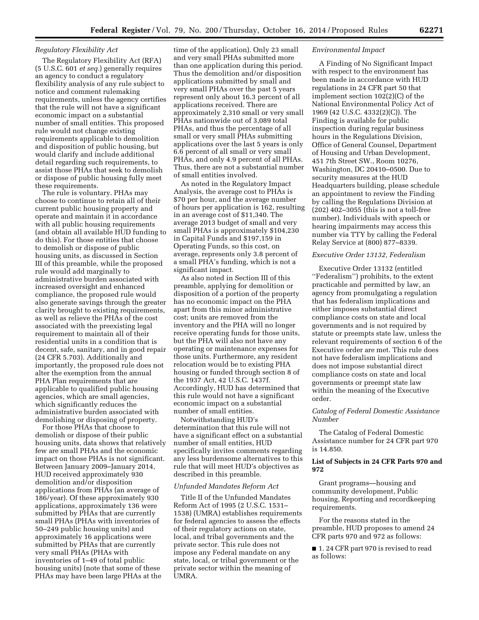#### *Regulatory Flexibility Act*

The Regulatory Flexibility Act (RFA) (5 U.S.C. 601 *et seq.*) generally requires an agency to conduct a regulatory flexibility analysis of any rule subject to notice and comment rulemaking requirements, unless the agency certifies that the rule will not have a significant economic impact on a substantial number of small entities. This proposed rule would not change existing requirements applicable to demolition and disposition of public housing, but would clarify and include additional detail regarding such requirements, to assist those PHAs that seek to demolish or dispose of public housing fully meet these requirements.

The rule is voluntary. PHAs may choose to continue to retain all of their current public housing property and operate and maintain it in accordance with all public housing requirements (and obtain all available HUD funding to do this). For those entities that choose to demolish or dispose of public housing units, as discussed in Section III of this preamble, while the proposed rule would add marginally to administrative burden associated with increased oversight and enhanced compliance, the proposed rule would also generate savings through the greater clarity brought to existing requirements, as well as relieve the PHAs of the cost associated with the preexisting legal requirement to maintain all of their residential units in a condition that is decent, safe, sanitary, and in good repair (24 CFR 5.703). Additionally and importantly, the proposed rule does not alter the exemption from the annual PHA Plan requirements that are applicable to qualified public housing agencies, which are small agencies, which significantly reduces the administrative burden associated with demolishing or disposing of property.

For those PHAs that choose to demolish or dispose of their public housing units, data shows that relatively few are small PHAs and the economic impact on those PHAs is not significant. Between January 2009–January 2014, HUD received approximately 930 demolition and/or disposition applications from PHAs (an average of 186/year). Of these approximately 930 applications, approximately 136 were submitted by PHAs that are currently small PHAs (PHAs with inventories of 50–249 public housing units) and approximately 16 applications were submitted by PHAs that are currently very small PHAs (PHAs with inventories of 1–49 of total public housing units) (note that some of these PHAs may have been large PHAs at the

time of the application). Only 23 small and very small PHAs submitted more than one application during this period. Thus the demolition and/or disposition applications submitted by small and very small PHAs over the past 5 years represent only about 16.3 percent of all applications received. There are approximately 2,310 small or very small PHAs nationwide out of 3,089 total PHAs, and thus the percentage of all small or very small PHAs submitting applications over the last 5 years is only 6.6 percent of all small or very small PHAs, and only 4.9 percent of all PHAs. Thus, there are not a substantial number of small entities involved.

As noted in the Regulatory Impact Analysis, the average cost to PHAs is \$70 per hour, and the average number of hours per application is 162, resulting in an average cost of \$11,340. The average 2013 budget of small and very small PHAs is approximately \$104,230 in Capital Funds and \$197,159 in Operating Funds, so this cost, on average, represents only 3.8 percent of a small PHA's funding, which is not a significant impact.

As also noted in Section III of this preamble, applying for demolition or disposition of a portion of the property has no economic impact on the PHA apart from this minor administrative cost; units are removed from the inventory and the PHA will no longer receive operating funds for those units, but the PHA will also not have any operating or maintenance expenses for those units. Furthermore, any resident relocation would be to existing PHA housing or funded through section 8 of the 1937 Act, 42 U.S.C. 1437f. Accordingly, HUD has determined that this rule would not have a significant economic impact on a substantial number of small entities.

Notwithstanding HUD's determination that this rule will not have a significant effect on a substantial number of small entities, HUD specifically invites comments regarding any less burdensome alternatives to this rule that will meet HUD's objectives as described in this preamble.

# *Unfunded Mandates Reform Act*

Title II of the Unfunded Mandates Reform Act of 1995 (2 U.S.C. 1531– 1538) (UMRA) establishes requirements for federal agencies to assess the effects of their regulatory actions on state, local, and tribal governments and the private sector. This rule does not impose any Federal mandate on any state, local, or tribal government or the private sector within the meaning of UMRA.

#### *Environmental Impact*

A Finding of No Significant Impact with respect to the environment has been made in accordance with HUD regulations in 24 CFR part 50 that implement section 102(2)(C) of the National Environmental Policy Act of 1969 (42 U.S.C. 4332(2)(C)). The Finding is available for public inspection during regular business hours in the Regulations Division, Office of General Counsel, Department of Housing and Urban Development, 451 7th Street SW., Room 10276, Washington, DC 20410–0500. Due to security measures at the HUD Headquarters building, please schedule an appointment to review the Finding by calling the Regulations Division at (202) 402–3055 (this is not a toll-free number). Individuals with speech or hearing impairments may access this number via TTY by calling the Federal Relay Service at (800) 877–8339.

#### *Executive Order 13132, Federalism*

Executive Order 13132 (entitled ''Federalism'') prohibits, to the extent practicable and permitted by law, an agency from promulgating a regulation that has federalism implications and either imposes substantial direct compliance costs on state and local governments and is not required by statute or preempts state law, unless the relevant requirements of section 6 of the Executive order are met. This rule does not have federalism implications and does not impose substantial direct compliance costs on state and local governments or preempt state law within the meaning of the Executive order.

# *Catalog of Federal Domestic Assistance Number*

The Catalog of Federal Domestic Assistance number for 24 CFR part 970 is 14.850.

# **List of Subjects in 24 CFR Parts 970 and 972**

Grant programs—housing and community development, Public housing, Reporting and recordkeeping requirements.

For the reasons stated in the preamble, HUD proposes to amend 24 CFR parts 970 and 972 as follows:

■ 1.24 CFR part 970 is revised to read as follows: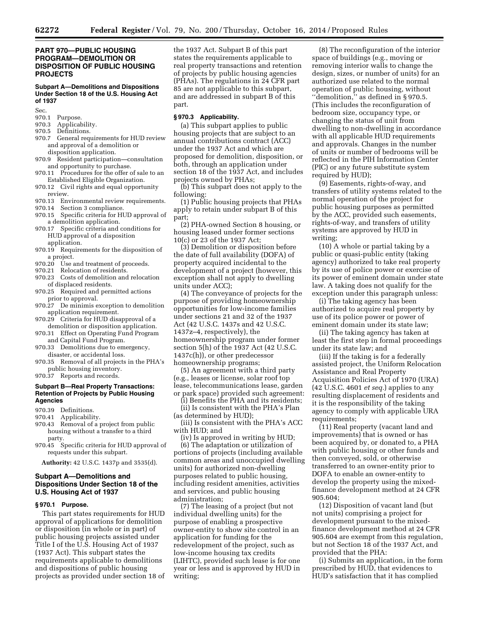# **PART 970—PUBLIC HOUSING PROGRAM—DEMOLITION OR DISPOSITION OF PUBLIC HOUSING PROJECTS**

# **Subpart A—Demolitions and Dispositions Under Section 18 of the U.S. Housing Act of 1937**

Sec.

- 970.1 Purpose.<br>970.3 Applical
- Applicability.
- 970.5 Definitions.<br>970.7 General req
- General requirements for HUD review and approval of a demolition or disposition application.
- 970.9 Resident participation*—*consultation and opportunity to purchase.
- 970.11 Procedures for the offer of sale to an Established Eligible Organization.
- 970.12 Civil rights and equal opportunity review.
- 970.13 Environmental review requirements.
- 970.14 Section 3 compliance.
- 970.15 Specific criteria for HUD approval of a demolition application.
- 970.17 Specific criteria and conditions for HUD approval of a disposition application.
- 970.19 Requirements for the disposition of a project.
- 970.20 Use and treatment of proceeds.
- 970.21 Relocation of residents.
- 970.23 Costs of demolition and relocation of displaced residents.
- 970.25 Required and permitted actions prior to approval.
- 970.27 De minimis exception to demolition application requirement.
- 970.29 Criteria for HUD disapproval of a demolition or disposition application.
- 970.31 Effect on Operating Fund Program and Capital Fund Program.
- 970.33 Demolitions due to emergency, disaster, or accidental loss.
- 970.35 Removal of all projects in the PHA's public housing inventory.
- 970.37 Reports and records.

#### **Subpart B—Real Property Transactions: Retention of Projects by Public Housing Agencies**

- 970.39 Definitions.
- 970.41 Applicability.
- 970.43 Removal of a project from public housing without a transfer to a third party.
- 970.45 Specific criteria for HUD approval of requests under this subpart.

**Authority:** 42 U.S.C. 1437p and 3535(d).

# **Subpart A—Demolitions and Dispositions Under Section 18 of the U.S. Housing Act of 1937**

#### **§ 970.1 Purpose.**

This part states requirements for HUD approval of applications for demolition or disposition (in whole or in part) of public housing projects assisted under Title I of the U.S. Housing Act of 1937 (1937 Act). This subpart states the requirements applicable to demolitions and dispositions of public housing projects as provided under section 18 of the 1937 Act. Subpart B of this part states the requirements applicable to real property transactions and retention of projects by public housing agencies (PHAs). The regulations in 24 CFR part 85 are not applicable to this subpart, and are addressed in subpart B of this part.

#### **§ 970.3 Applicability.**

(a) This subpart applies to public housing projects that are subject to an annual contributions contract (ACC) under the 1937 Act and which are proposed for demolition, disposition, or both, through an application under section 18 of the 1937 Act, and includes projects owned by PHAs;

(b) This subpart does not apply to the following:

(1) Public housing projects that PHAs apply to retain under subpart B of this part;

(2) PHA-owned Section 8 housing, or housing leased under former sections 10(c) or 23 of the 1937 Act;

(3) Demolition or disposition before the date of full availability (DOFA) of property acquired incidental to the development of a project (however, this exception shall not apply to dwelling units under ACC);

(4) The conveyance of projects for the purpose of providing homeownership opportunities for low-income families under sections 21 and 32 of the 1937 Act (42 U.S.C. 1437s and 42 U.S.C. 1437z–4, respectively), the homeownership program under former section 5(h) of the 1937 Act (42 U.S.C. 1437c(h)), or other predecessor homeownership programs;

(5) An agreement with a third party (e.g., leases or license, solar roof top lease, telecommunications lease, garden or park space) provided such agreement:

(i) Benefits the PHA and its residents;

(ii) Is consistent with the PHA's Plan (as determined by HUD);

(iii) Is consistent with the PHA's ACC with HUD; and

(iv) Is approved in writing by HUD; (6) The adaptation or utilization of portions of projects (including available common areas and unoccupied dwelling units) for authorized non-dwelling purposes related to public housing, including resident amenities, activities and services, and public housing administration;

(7) The leasing of a project (but not individual dwelling units) for the purpose of enabling a prospective owner-entity to show site control in an application for funding for the redevelopment of the project, such as low-income housing tax credits (LIHTC), provided such lease is for one year or less and is approved by HUD in writing;

(8) The reconfiguration of the interior space of buildings (e.g., moving or removing interior walls to change the design, sizes, or number of units) for an authorized use related to the normal operation of public housing, without ''demolition,'' as defined in § 970.5. (This includes the reconfiguration of bedroom size, occupancy type, or changing the status of unit from dwelling to non-dwelling in accordance with all applicable HUD requirements and approvals. Changes in the number of units or number of bedrooms will be reflected in the PIH Information Center (PIC) or any future substitute system required by HUD);

(9) Easements, rights-of-way, and transfers of utility systems related to the normal operation of the project for public housing purposes as permitted by the ACC, provided such easements, rights-of-way, and transfers of utility systems are approved by HUD in writing;

(10) A whole or partial taking by a public or quasi-public entity (taking agency) authorized to take real property by its use of police power or exercise of its power of eminent domain under state law. A taking does not qualify for the exception under this paragraph unless:

(i) The taking agency has been authorized to acquire real property by use of its police power or power of eminent domain under its state law;

(ii) The taking agency has taken at least the first step in formal proceedings under its state law; and

(iii) If the taking is for a federally assisted project, the Uniform Relocation Assistance and Real Property Acquisition Policies Act of 1970 (URA) (42 U.S.C. 4601 *et seq.*) applies to any resulting displacement of residents and it is the responsibility of the taking agency to comply with applicable URA requirements;

(11) Real property (vacant land and improvements) that is owned or has been acquired by, or donated to, a PHA with public housing or other funds and then conveyed, sold, or otherwise transferred to an owner-entity prior to DOFA to enable an owner-entity to develop the property using the mixedfinance development method at 24 CFR 905.604;

(12) Disposition of vacant land (but not units) comprising a project for development pursuant to the mixedfinance development method at 24 CFR 905.604 are exempt from this regulation, but not Section 18 of the 1937 Act, and provided that the PHA:

(i) Submits an application, in the form prescribed by HUD, that evidences to HUD's satisfaction that it has complied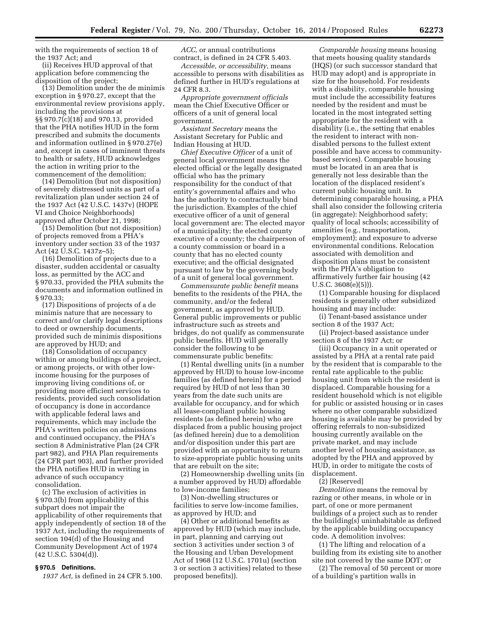with the requirements of section 18 of the 1937 Act; and

(ii) Receives HUD approval of that application before commencing the disposition of the project;

(13) Demolition under the de minimis exception in § 970.27, except that the environmental review provisions apply, including the provisions at §§ 970.7(c)(18) and 970.13, provided that the PHA notifies HUD in the form prescribed and submits the documents and information outlined in § 970.27(e) and, except in cases of imminent threats to health or safety, HUD acknowledges the action in writing prior to the commencement of the demolition;

(14) Demolition (but not disposition) of severely distressed units as part of a revitalization plan under section 24 of the 1937 Act (42 U.S.C. 1437v) (HOPE VI and Choice Neighborhoods) approved after October 21, 1998;

(15) Demolition (but not disposition) of projects removed from a PHA's inventory under section 33 of the 1937 Act (42 U.S.C. 1437z–5);

(16) Demolition of projects due to a disaster, sudden accidental or casualty loss, as permitted by the ACC and § 970.33, provided the PHA submits the documents and information outlined in § 970.33;

(17) Dispositions of projects of a de minimis nature that are necessary to correct and/or clarify legal descriptions to deed or ownership documents, provided such de minimis dispositions are approved by HUD; and

(18) Consolidation of occupancy within or among buildings of a project, or among projects, or with other lowincome housing for the purposes of improving living conditions of, or providing more efficient services to residents, provided such consolidation of occupancy is done in accordance with applicable federal laws and requirements, which may include the PHA's written policies on admissions and continued occupancy, the PHA's section 8 Administrative Plan (24 CFR part 982), and PHA Plan requirements (24 CFR part 903), and further provided the PHA notifies HUD in writing in advance of such occupancy consolidation.

(c) The exclusion of activities in § 970.3(b) from applicability of this subpart does not impair the applicability of other requirements that apply independently of section 18 of the 1937 Act, including the requirements of section 104(d) of the Housing and Community Development Act of 1974  $(42 \text{ U.S.C. } 5304\text{ (d)}).$ 

#### **§ 970.5 Definitions.**

*1937 Act,* is defined in 24 CFR 5.100.

*ACC,* or annual contributions contract, is defined in 24 CFR 5.403.

*Accessible, or accessibility,* means accessible to persons with disabilities as defined further in HUD's regulations at 24 CFR 8.3.

*Appropriate government officials*  mean the Chief Executive Officer or officers of a unit of general local government.

*Assistant Secretary* means the Assistant Secretary for Public and Indian Housing at HUD.

*Chief Executive Officer* of a unit of general local government means the elected official or the legally designated official who has the primary responsibility for the conduct of that entity's governmental affairs and who has the authority to contractually bind the jurisdiction. Examples of the chief executive officer of a unit of general local government are: The elected mayor of a municipality; the elected county executive of a county; the chairperson of a county commission or board in a county that has no elected county executive; and the official designated pursuant to law by the governing body of a unit of general local government.

*Commensurate public benefit* means benefits to the residents of the PHA, the community, and/or the federal government, as approved by HUD. General public improvements or public infrastructure such as streets and bridges, do not qualify as commensurate public benefits. HUD will generally consider the following to be commensurate public benefits:

(1) Rental dwelling units (in a number approved by HUD) to house low-income families (as defined herein) for a period required by HUD of not less than 30 years from the date such units are available for occupancy, and for which all lease-compliant public housing residents (as defined herein) who are displaced from a public housing project (as defined herein) due to a demolition and/or disposition under this part are provided with an opportunity to return to size-appropriate public housing units that are rebuilt on the site;

(2) Homeownership dwelling units (in a number approved by HUD) affordable to low-income families;

(3) Non-dwelling structures or facilities to serve low-income families, as approved by HUD; and

(4) Other or additional benefits as approved by HUD (which may include, in part, planning and carrying out section 3 activities under section 3 of the Housing and Urban Development Act of 1968 (12 U.S.C. 1701u) (section 3 or section 3 activities) related to these proposed benefits)).

*Comparable housing* means housing that meets housing quality standards (HQS) (or such successor standard that HUD may adopt) and is appropriate in size for the household. For residents with a disability, comparable housing must include the accessibility features needed by the resident and must be located in the most integrated setting appropriate for the resident with a disability (i.e., the setting that enables the resident to interact with nondisabled persons to the fullest extent possible and have access to communitybased services). Comparable housing must be located in an area that is generally not less desirable than the location of the displaced resident's current public housing unit. In determining comparable housing, a PHA shall also consider the following criteria (in aggregate): Neighborhood safety; quality of local schools; accessibility of amenities (e.g., transportation, employment); and exposure to adverse environmental conditions. Relocation associated with demolition and disposition plans must be consistent with the PHA's obligation to affirmatively further fair housing (42 U.S.C. 3608(e)(5))).

(1) Comparable housing for displaced residents is generally other subsidized housing and may include:

(i) Tenant-based assistance under section 8 of the 1937 Act;

(ii) Project-based assistance under section 8 of the 1937 Act; or

(iii) Occupancy in a unit operated or assisted by a PHA at a rental rate paid by the resident that is comparable to the rental rate applicable to the public housing unit from which the resident is displaced. Comparable housing for a resident household which is not eligible for public or assisted housing or in cases where no other comparable subsidized housing is available may be provided by offering referrals to non-subsidized housing currently available on the private market, and may include another level of housing assistance, as adopted by the PHA and approved by HUD, in order to mitigate the costs of displacement.

(2) [Reserved]

*Demolition* means the removal by razing or other means, in whole or in part, of one or more permanent buildings of a project such as to render the building(s) uninhabitable as defined by the applicable building occupancy code. A demolition involves:

(1) The lifting and relocation of a building from its existing site to another site not covered by the same DOT; or

(2) The removal of 50 percent or more of a building's partition walls in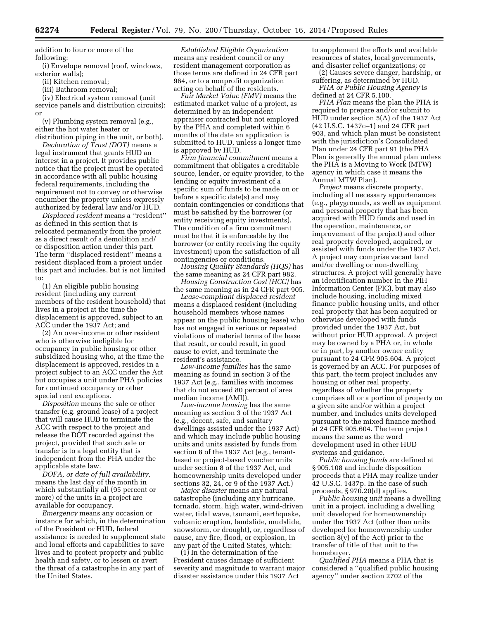addition to four or more of the following:

(i) Envelope removal (roof, windows, exterior walls);

(ii) Kitchen removal;

(iii) Bathroom removal;

(iv) Electrical system removal (unit service panels and distribution circuits); or

(v) Plumbing system removal (e.g., either the hot water heater or distribution piping in the unit, or both).

*Declaration of Trust (DOT)* means a legal instrument that grants HUD an interest in a project. It provides public notice that the project must be operated in accordance with all public housing federal requirements, including the requirement not to convey or otherwise encumber the property unless expressly authorized by federal law and/or HUD.

*Displaced resident* means a ''resident'' as defined in this section that is relocated permanently from the project as a direct result of a demolition and/ or disposition action under this part. The term ''displaced resident'' means a resident displaced from a project under this part and includes, but is not limited to:

(1) An eligible public housing resident (including any current members of the resident household) that lives in a project at the time the displacement is approved, subject to an ACC under the 1937 Act; and

(2) An over-income or other resident who is otherwise ineligible for occupancy in public housing or other subsidized housing who, at the time the displacement is approved, resides in a project subject to an ACC under the Act but occupies a unit under PHA policies for continued occupancy or other special rent exceptions.

*Disposition* means the sale or other transfer (e.g. ground lease) of a project that will cause HUD to terminate the ACC with respect to the project and release the DOT recorded against the project, provided that such sale or transfer is to a legal entity that is independent from the PHA under the applicable state law.

*DOFA, or date of full availability,*  means the last day of the month in which substantially all (95 percent or more) of the units in a project are available for occupancy.

*Emergency* means any occasion or instance for which, in the determination of the President or HUD, federal assistance is needed to supplement state and local efforts and capabilities to save lives and to protect property and public health and safety, or to lessen or avert the threat of a catastrophe in any part of the United States.

*Established Eligible Organization*  means any resident council or any resident management corporation as those terms are defined in 24 CFR part 964, or to a nonprofit organization acting on behalf of the residents.

*Fair Market Value (FMV)* means the estimated market value of a project, as determined by an independent appraiser contracted but not employed by the PHA and completed within 6 months of the date an application is submitted to HUD, unless a longer time is approved by HUD.

*Firm financial commitment* means a commitment that obligates a creditable source, lender, or equity provider, to the lending or equity investment of a specific sum of funds to be made on or before a specific date(s) and may contain contingencies or conditions that must be satisfied by the borrower (or entity receiving equity investments). The condition of a firm commitment must be that it is enforceable by the borrower (or entity receiving the equity investment) upon the satisfaction of all contingencies or conditions.

*Housing Quality Standards (HQS)* has the same meaning as 24 CFR part 982.

*Housing Construction Cost (HCC)* has the same meaning as in 24 CFR part 905.

*Lease-compliant displaced resident*  means a displaced resident (including household members whose names appear on the public housing lease) who has not engaged in serious or repeated violations of material terms of the lease that result, or could result, in good cause to evict, and terminate the resident's assistance.

*Low-income families* has the same meaning as found in section 3 of the 1937 Act (e.g., families with incomes that do not exceed 80 percent of area median income (AMI)).

*Low-income housing* has the same meaning as section 3 of the 1937 Act (e.g., decent, safe, and sanitary dwellings assisted under the 1937 Act) and which may include public housing units and units assisted by funds from section 8 of the 1937 Act (e.g., tenantbased or project-based voucher units under section 8 of the 1937 Act, and homeownership units developed under sections 32, 24, or 9 of the 1937 Act.)

*Major disaster* means any natural catastrophe (including any hurricane, tornado, storm, high water, wind-driven water, tidal wave, tsunami, earthquake, volcanic eruption, landslide, mudslide, snowstorm, or drought), or, regardless of cause, any fire, flood, or explosion, in any part of the United States, which:

(1) In the determination of the President causes damage of sufficient severity and magnitude to warrant major disaster assistance under this 1937 Act

to supplement the efforts and available resources of states, local governments, and disaster relief organizations; or

(2) Causes severe danger, hardship, or suffering, as determined by HUD.

*PHA or Public Housing Agency* is defined at 24 CFR 5.100.

*PHA Plan* means the plan the PHA is required to prepare and/or submit to HUD under section 5(A) of the 1937 Act (42 U.S.C. 1437c–1) and 24 CFR part 903, and which plan must be consistent with the jurisdiction's Consolidated Plan under 24 CFR part 91 (the PHA Plan is generally the annual plan unless the PHA is a Moving to Work (MTW) agency in which case it means the Annual MTW Plan).

*Project* means discrete property, including all necessary appurtenances (e.g., playgrounds, as well as equipment and personal property that has been acquired with HUD funds and used in the operation, maintenance, or improvement of the project) and other real property developed, acquired, or assisted with funds under the 1937 Act. A project may comprise vacant land and/or dwelling or non-dwelling structures. A project will generally have an identification number in the PIH Information Center (PIC), but may also include housing, including mixed finance public housing units, and other real property that has been acquired or otherwise developed with funds provided under the 1937 Act, but without prior HUD approval. A project may be owned by a PHA or, in whole or in part, by another owner entity pursuant to 24 CFR 905.604. A project is governed by an ACC. For purposes of this part, the term project includes any housing or other real property, regardless of whether the property comprises all or a portion of property on a given site and/or within a project number, and includes units developed pursuant to the mixed finance method at 24 CFR 905.604. The term project means the same as the word development used in other HUD systems and guidance.

*Public housing funds* are defined at § 905.108 and include disposition proceeds that a PHA may realize under 42 U.S.C. 1437p. In the case of such proceeds, § 970.20(d) applies.

*Public housing unit* means a dwelling unit in a project, including a dwelling unit developed for homeownership under the 1937 Act (other than units developed for homeownership under section 8(y) of the Act) prior to the transfer of title of that unit to the homebuyer.

*Qualified PHA* means a PHA that is considered a ''qualified public housing agency'' under section 2702 of the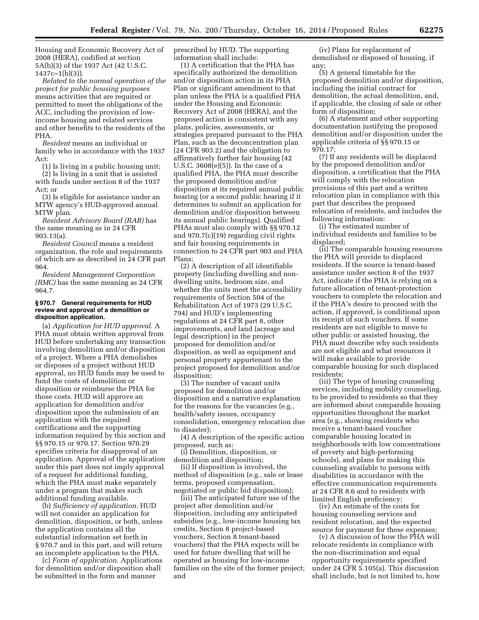Housing and Economic Recovery Act of 2008 (HERA), codified at section 5A(b)(3) of the 1937 Act (42 U.S.C.  $1437c-1(b)(3)$ ).

*Related to the normal operation of the project for public housing purposes*  means activities that are required or permitted to meet the obligations of the ACC, including the provision of lowincome housing and related services and other benefits to the residents of the PHA.

*Resident* means an individual or family who in accordance with the 1937 Act:

(1) Is living in a public housing unit;

(2) Is living in a unit that is assisted with funds under section 8 of the 1937 Act; or

(3) Is eligible for assistance under an MTW agency's HUD-approved annual MTW plan.

*Resident Advisory Board (RAB)* has the same meaning as in 24 CFR 903.13(a).

*Resident Council* means a resident organization, the role and requirements of which are as described in 24 CFR part 964.

*Resident Management Corporation (RMC)* has the same meaning as 24 CFR 964.7.

#### **§ 970.7 General requirements for HUD review and approval of a demolition or disposition application.**

(a) *Application for HUD approval.* A PHA must obtain written approval from HUD before undertaking any transaction involving demolition and/or disposition of a project. Where a PHA demolishes or disposes of a project without HUD approval, no HUD funds may be used to fund the costs of demolition or disposition or reimburse the PHA for those costs. HUD will approve an application for demolition and/or disposition upon the submission of an application with the required certifications and the supporting information required by this section and §§ 970.15 or 970.17. Section 970.29 specifies criteria for disapproval of an application. Approval of the application under this part does not imply approval of a request for additional funding, which the PHA must make separately under a program that makes such additional funding available.

(b) *Sufficiency of application.* HUD will not consider an application for demolition, disposition, or both, unless the application contains all the substantial information set forth in § 970.7 and in this part, and will return an incomplete application to the PHA.

(c) *Form of application.* Applications for demolition and/or disposition shall be submitted in the form and manner

prescribed by HUD. The supporting information shall include:

(1) A certification that the PHA has specifically authorized the demolition and/or disposition action in its PHA Plan or significant amendment to that plan unless the PHA is a qualified PHA under the Housing and Economic Recovery Act of 2008 (HERA), and the proposed action is consistent with any plans, policies, assessments, or strategies prepared pursuant to the PHA Plan, such as the deconcentration plan (24 CFR 903.2) and the obligation to affirmatively further fair housing (42 U.S.C. 3608(e)(5)). In the case of a qualified PHA, the PHA must describe the proposed demolition and/or disposition at its required annual public hearing (or a second public hearing if it determines to submit an application for demolition and/or disposition between its annual public hearings). Qualified PHAs must also comply with §§ 970.12 and 970.7(c)(19) regarding civil rights and fair housing requirements in connection to 24 CFR part 903 and PHA Plans;

(2) A description of all identifiable property (including dwelling and nondwelling units, bedroom size, and whether the units meet the accessibility requirements of Section 504 of the Rehabilitation Act of 1973 (29 U.S.C. 794) and HUD's implementing regulations at 24 CFR part 8, other improvements, and land (acreage and legal description) in the project proposed for demolition and/or disposition, as well as equipment and personal property appurtenant to the project proposed for demolition and/or disposition;

(3) The number of vacant units proposed for demolition and/or disposition and a narrative explanation for the reasons for the vacancies (e.g., health/safety issues, occupancy consolidation, emergency relocation due to disaster);

(4) A description of the specific action proposed, such as:

(i) Demolition, disposition, or demolition and disposition;

(ii) If disposition is involved, the method of disposition (e.g., sale or lease terms, proposed compensation, negotiated or public bid disposition);

(iii) The anticipated future use of the project after demolition and/or disposition, including any anticipated subsidies (e.g., low-income housing tax credits, Section 8 project-based vouchers, Section 8 tenant-based vouchers) that the PHA expects will be used for future dwelling that will be operated as housing for low-income families on the site of the former project; and

(iv) Plans for replacement of demolished or disposed of housing, if any;

(5) A general timetable for the proposed demolition and/or disposition, including the initial contract for demolition, the actual demolition, and, if applicable, the closing of sale or other form of disposition;

(6) A statement and other supporting documentation justifying the proposed demolition and/or disposition under the applicable criteria of §§ 970.15 or 970.17;

(7) If any residents will be displaced by the proposed demolition and/or disposition, a certification that the PHA will comply with the relocation provisions of this part and a written relocation plan in compliance with this part that describes the proposed relocation of residents, and includes the following information:

(i) The estimated number of individual residents and families to be displaced;

(ii) The comparable housing resources the PHA will provide to displaced residents. If the source is tenant-based assistance under section 8 of the 1937 Act, indicate if the PHA is relying on a future allocation of tenant-protection vouchers to complete the relocation and if the PHA's desire to proceed with the action, if approved, is conditional upon its receipt of such vouchers. If some residents are not eligible to move to other public or assisted housing, the PHA must describe why such residents are not eligible and what resources it will make available to provide comparable housing for such displaced residents;

(iii) The type of housing counseling services, including mobility counseling, to be provided to residents so that they are informed about comparable housing opportunities throughout the market area (e.g., showing residents who receive a tenant-based voucher comparable housing located in neighborhoods with low concentrations of poverty and high-performing schools), and plans for making this counseling available to persons with disabilities in accordance with the effective communication requirements at 24 CFR 8.6 and to residents with limited English proficiency;

(iv) An estimate of the costs for housing counseling services and resident relocation, and the expected source for payment for these expenses;

(v) A discussion of how the PHA will relocate residents in compliance with the non-discrimination and equal opportunity requirements specified under 24 CFR 5.105(a). This discussion shall include, but is not limited to, how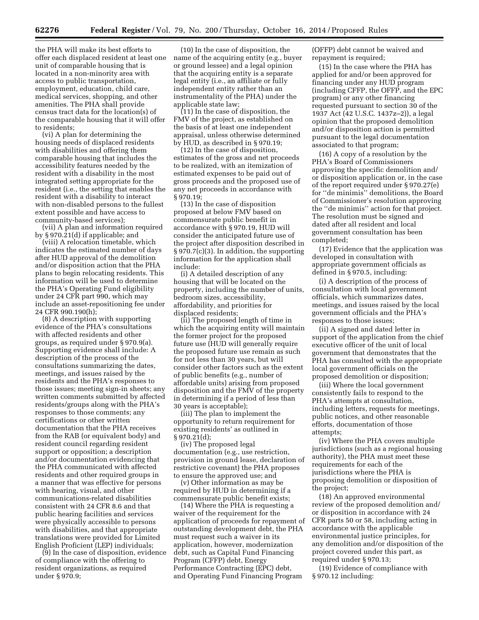the PHA will make its best efforts to offer each displaced resident at least one unit of comparable housing that is located in a non-minority area with access to public transportation, employment, education, child care, medical services, shopping, and other amenities. The PHA shall provide census tract data for the location(s) of the comparable housing that it will offer to residents;

(vi) A plan for determining the housing needs of displaced residents with disabilities and offering them comparable housing that includes the accessibility features needed by the resident with a disability in the most integrated setting appropriate for the resident (i.e., the setting that enables the resident with a disability to interact with non-disabled persons to the fullest extent possible and have access to community-based services);

(vii) A plan and information required by § 970.21(d) if applicable; and

(viii) A relocation timetable, which indicates the estimated number of days after HUD approval of the demolition and/or disposition action that the PHA plans to begin relocating residents. This information will be used to determine the PHA's Operating Fund eligibility under 24 CFR part 990, which may include an asset-repositioning fee under 24 CFR 990.190(h);

(8) A description with supporting evidence of the PHA's consultations with affected residents and other groups, as required under § 970.9(a). Supporting evidence shall include: A description of the process of the consultations summarizing the dates, meetings, and issues raised by the residents and the PHA's responses to those issues; meeting sign-in sheets; any written comments submitted by affected residents/groups along with the PHA's responses to those comments; any certifications or other written documentation that the PHA receives from the RAB (or equivalent body) and resident council regarding resident support or opposition; a description and/or documentation evidencing that the PHA communicated with affected residents and other required groups in a manner that was effective for persons with hearing, visual, and other communications-related disabilities consistent with 24 CFR 8.6 and that public hearing facilities and services were physically accessible to persons with disabilities, and that appropriate translations were provided for Limited English Proficient (LEP) individuals;

(9) In the case of disposition, evidence of compliance with the offering to resident organizations, as required under § 970.9;

(10) In the case of disposition, the name of the acquiring entity (e.g., buyer or ground lessee) and a legal opinion that the acquiring entity is a separate legal entity (i.e., an affiliate or fully independent entity rather than an instrumentality of the PHA) under the applicable state law;

(11) In the case of disposition, the FMV of the project, as established on the basis of at least one independent appraisal, unless otherwise determined by HUD, as described in § 970.19;

(12) In the case of disposition, estimates of the gross and net proceeds to be realized, with an itemization of estimated expenses to be paid out of gross proceeds and the proposed use of any net proceeds in accordance with § 970.19;

(13) In the case of disposition proposed at below FMV based on commensurate public benefit in accordance with § 970.19, HUD will consider the anticipated future use of the project after disposition described in § 970.7(c)(3). In addition, the supporting information for the application shall include:

(i) A detailed description of any housing that will be located on the property, including the number of units, bedroom sizes, accessibility, affordability, and priorities for displaced residents;

(ii) The proposed length of time in which the acquiring entity will maintain the former project for the proposed future use (HUD will generally require the proposed future use remain as such for not less than 30 years, but will consider other factors such as the extent of public benefits (e.g., number of affordable units) arising from proposed disposition and the FMV of the property in determining if a period of less than 30 years is acceptable);

(iii) The plan to implement the opportunity to return requirement for existing residents' as outlined in § 970.21(d);

(iv) The proposed legal documentation (e.g., use restriction, provision in ground lease, declaration of restrictive covenant) the PHA proposes to ensure the approved use; and

(v) Other information as may be required by HUD in determining if a commensurate public benefit exists;

(14) Where the PHA is requesting a waiver of the requirement for the application of proceeds for repayment of outstanding development debt, the PHA must request such a waiver in its application, however, modernization debt, such as Capital Fund Financing Program (CFFP) debt, Energy Performance Contracting (EPC) debt, and Operating Fund Financing Program

(OFFP) debt cannot be waived and repayment is required;

(15) In the case where the PHA has applied for and/or been approved for financing under any HUD program (including CFFP, the OFFP, and the EPC program) or any other financing requested pursuant to section 30 of the 1937 Act (42 U.S.C. 1437z–2)), a legal opinion that the proposed demolition and/or disposition action is permitted pursuant to the legal documentation associated to that program;

(16) A copy of a resolution by the PHA's Board of Commissioners approving the specific demolition and/ or disposition application or, in the case of the report required under § 970.27(e) for ''de minimis'' demolitions, the Board of Commissioner's resolution approving the ''de minimis'' action for that project. The resolution must be signed and dated after all resident and local government consultation has been completed;

(17) Evidence that the application was developed in consultation with appropriate government officials as defined in § 970.5, including:

(i) A description of the process of consultation with local government officials, which summarizes dates, meetings, and issues raised by the local government officials and the PHA's responses to those issues;

(ii) A signed and dated letter in support of the application from the chief executive officer of the unit of local government that demonstrates that the PHA has consulted with the appropriate local government officials on the proposed demolition or disposition;

(iii) Where the local government consistently fails to respond to the PHA's attempts at consultation, including letters, requests for meetings, public notices, and other reasonable efforts, documentation of those attempts;

(iv) Where the PHA covers multiple jurisdictions (such as a regional housing authority), the PHA must meet these requirements for each of the jurisdictions where the PHA is proposing demolition or disposition of the project;

(18) An approved environmental review of the proposed demolition and/ or disposition in accordance with 24 CFR parts 50 or 58, including acting in accordance with the applicable environmental justice principles, for any demolition and/or disposition of the project covered under this part, as required under § 970.13;

(19) Evidence of compliance with § 970.12 including: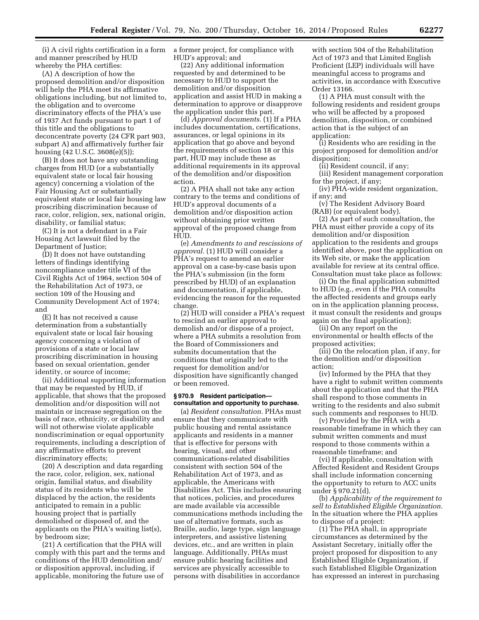(i) A civil rights certification in a form and manner prescribed by HUD whereby the PHA certifies:

(A) A description of how the proposed demolition and/or disposition will help the PHA meet its affirmative obligations including, but not limited to, the obligation and to overcome discriminatory effects of the PHA's use of 1937 Act funds pursuant to part 1 of this title and the obligations to deconcentrate poverty (24 CFR part 903, subpart A) and affirmatively further fair housing (42 U.S.C. 3608(e)(5));

(B) It does not have any outstanding charges from HUD (or a substantially equivalent state or local fair housing agency) concerning a violation of the Fair Housing Act or substantially equivalent state or local fair housing law proscribing discrimination because of race, color, religion, sex, national origin, disability, or familial status;

(C) It is not a defendant in a Fair Housing Act lawsuit filed by the Department of Justice;

(D) It does not have outstanding letters of findings identifying noncompliance under title VI of the Civil Rights Act of 1964, section 504 of the Rehabilitation Act of 1973, or section 109 of the Housing and Community Development Act of 1974; and

(E) It has not received a cause determination from a substantially equivalent state or local fair housing agency concerning a violation of provisions of a state or local law proscribing discrimination in housing based on sexual orientation, gender identity, or source of income;

(ii) Additional supporting information that may be requested by HUD, if applicable, that shows that the proposed demolition and/or disposition will not maintain or increase segregation on the basis of race, ethnicity, or disability and will not otherwise violate applicable nondiscrimination or equal opportunity requirements, including a description of any affirmative efforts to prevent discriminatory effects;

(20) A description and data regarding the race, color, religion, sex, national origin, familial status, and disability status of its residents who will be displaced by the action, the residents anticipated to remain in a public housing project that is partially demolished or disposed of, and the applicants on the PHA's waiting list(s), by bedroom size;

(21) A certification that the PHA will comply with this part and the terms and conditions of the HUD demolition and/ or disposition approval, including, if applicable, monitoring the future use of

a former project, for compliance with HUD's approval; and

(22) Any additional information requested by and determined to be necessary to HUD to support the demolition and/or disposition application and assist HUD in making a determination to approve or disapprove the application under this part.

(d) *Approval documents.* (1) If a PHA includes documentation, certifications, assurances, or legal opinions in its application that go above and beyond the requirements of section 18 or this part, HUD may include these as additional requirements in its approval of the demolition and/or disposition action.

(2) A PHA shall not take any action contrary to the terms and conditions of HUD's approval documents of a demolition and/or disposition action without obtaining prior written approval of the proposed change from HUD.

(e) *Amendments to and rescissions of approval.* (1) HUD will consider a PHA's request to amend an earlier approval on a case-by-case basis upon the PHA's submission (in the form prescribed by HUD) of an explanation and documentation, if applicable, evidencing the reason for the requested change.

(2) HUD will consider a PHA's request to rescind an earlier approval to demolish and/or dispose of a project, where a PHA submits a resolution from the Board of Commissioners and submits documentation that the conditions that originally led to the request for demolition and/or disposition have significantly changed or been removed.

#### **§ 970.9 Resident participation consultation and opportunity to purchase.**

(a) *Resident consultation.* PHAs must ensure that they communicate with public housing and rental assistance applicants and residents in a manner that is effective for persons with hearing, visual, and other communications-related disabilities consistent with section 504 of the Rehabilitation Act of 1973, and as applicable, the Americans with Disabilities Act. This includes ensuring that notices, policies, and procedures are made available via accessible communications methods including the use of alternative formats, such as Braille, audio, large type, sign language interpreters, and assistive listening devices, etc., and are written in plain language. Additionally, PHAs must ensure public hearing facilities and services are physically accessible to persons with disabilities in accordance

with section 504 of the Rehabilitation Act of 1973 and that Limited English Proficient (LEP) individuals will have meaningful access to programs and activities, in accordance with Executive Order 13166.

(1) A PHA must consult with the following residents and resident groups who will be affected by a proposed demolition, disposition, or combined action that is the subject of an application:

(i) Residents who are residing in the project proposed for demolition and/or disposition;

(ii) Resident council, if any;

(iii) Resident management corporation for the project, if any;

(iv) PHA-wide resident organization, if any; and

(v) The Resident Advisory Board (RAB) (or equivalent body).

(2) As part of such consultation, the PHA must either provide a copy of its demolition and/or disposition application to the residents and groups identified above, post the application on its Web site, or make the application available for review at its central office. Consultation must take place as follows:

(i) On the final application submitted to HUD (e.g., even if the PHA consults the affected residents and groups early on in the application planning process, it must consult the residents and groups again on the final application);

(ii) On any report on the environmental or health effects of the proposed activities;

(iii) On the relocation plan, if any, for the demolition and/or disposition action;

(iv) Informed by the PHA that they have a right to submit written comments about the application and that the PHA shall respond to those comments in writing to the residents and also submit such comments and responses to HUD.

(v) Provided by the PHA with a reasonable timeframe in which they can submit written comments and must respond to those comments within a reasonable timeframe; and

(vi) If applicable, consultation with Affected Resident and Resident Groups shall include information concerning the opportunity to return to ACC units under § 970.21(d).

(b) *Applicability of the requirement to sell to Established Eligible Organization.*  In the situation where the PHA applies to dispose of a project:

(1) The PHA shall, in appropriate circumstances as determined by the Assistant Secretary, initially offer the project proposed for disposition to any Established Eligible Organization, if such Established Eligible Organization has expressed an interest in purchasing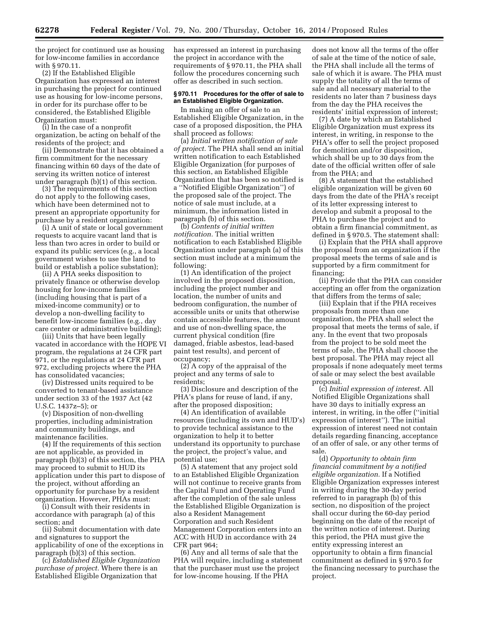the project for continued use as housing for low-income families in accordance with § 970.11.

(2) If the Established Eligible Organization has expressed an interest in purchasing the project for continued use as housing for low-income persons, in order for its purchase offer to be considered, the Established Eligible Organization must:

(i) In the case of a nonprofit organization, be acting on behalf of the residents of the project; and

(ii) Demonstrate that it has obtained a firm commitment for the necessary financing within 60 days of the date of serving its written notice of interest under paragraph (b)(1) of this section.

(3) The requirements of this section do not apply to the following cases, which have been determined not to present an appropriate opportunity for purchase by a resident organization:

(i) A unit of state or local government requests to acquire vacant land that is less than two acres in order to build or expand its public services (e.g., a local government wishes to use the land to build or establish a police substation);

(ii) A PHA seeks disposition to privately finance or otherwise develop housing for low-income families (including housing that is part of a mixed-income community) or to develop a non-dwelling facility to benefit low-income families (e.g., day care center or administrative building);

(iii) Units that have been legally vacated in accordance with the HOPE VI program, the regulations at 24 CFR part 971, or the regulations at 24 CFR part 972, excluding projects where the PHA has consolidated vacancies;

(iv) Distressed units required to be converted to tenant-based assistance under section 33 of the 1937 Act (42 U.S.C. 1437z–5); or

(v) Disposition of non-dwelling properties, including administration and community buildings, and maintenance facilities.

(4) If the requirements of this section are not applicable, as provided in paragraph (b)(3) of this section, the PHA may proceed to submit to HUD its application under this part to dispose of the project, without affording an opportunity for purchase by a resident organization. However, PHAs must:

(i) Consult with their residents in accordance with paragraph (a) of this section; and

(ii) Submit documentation with date and signatures to support the applicability of one of the exceptions in paragraph (b)(3) of this section.

(c) *Established Eligible Organization purchase of project.* Where there is an Established Eligible Organization that

has expressed an interest in purchasing the project in accordance with the requirements of § 970.11, the PHA shall follow the procedures concerning such offer as described in such section.

# **§ 970.11 Procedures for the offer of sale to an Established Eligible Organization.**

In making an offer of sale to an Established Eligible Organization, in the case of a proposed disposition, the PHA shall proceed as follows:

(a) *Initial written notification of sale of project.* The PHA shall send an initial written notification to each Established Eligible Organization (for purposes of this section, an Established Eligible Organization that has been so notified is a ''Notified Eligible Organization'') of the proposed sale of the project. The notice of sale must include, at a minimum, the information listed in paragraph (b) of this section.

(b) *Contents of initial written notification.* The initial written notification to each Established Eligible Organization under paragraph (a) of this section must include at a minimum the following:

(1) An identification of the project involved in the proposed disposition, including the project number and location, the number of units and bedroom configuration, the number of accessible units or units that otherwise contain accessible features, the amount and use of non-dwelling space, the current physical condition (fire damaged, friable asbestos, lead-based paint test results), and percent of occupancy;

(2) A copy of the appraisal of the project and any terms of sale to residents;

(3) Disclosure and description of the PHA's plans for reuse of land, if any, after the proposed disposition;

(4) An identification of available resources (including its own and HUD's) to provide technical assistance to the organization to help it to better understand its opportunity to purchase the project, the project's value, and potential use;

(5) A statement that any project sold to an Established Eligible Organization will not continue to receive grants from the Capital Fund and Operating Fund after the completion of the sale unless the Established Eligible Organization is also a Resident Management Corporation and such Resident Management Corporation enters into an ACC with HUD in accordance with 24 CFR part 964;

(6) Any and all terms of sale that the PHA will require, including a statement that the purchaser must use the project for low-income housing. If the PHA

does not know all the terms of the offer of sale at the time of the notice of sale, the PHA shall include all the terms of sale of which it is aware. The PHA must supply the totality of all the terms of sale and all necessary material to the residents no later than 7 business days from the day the PHA receives the residents' initial expression of interest;

(7) A date by which an Established Eligible Organization must express its interest, in writing, in response to the PHA's offer to sell the project proposed for demolition and/or disposition, which shall be up to 30 days from the date of the official written offer of sale from the PHA; and

(8) A statement that the established eligible organization will be given 60 days from the date of the PHA's receipt of its letter expressing interest to develop and submit a proposal to the PHA to purchase the project and to obtain a firm financial commitment, as defined in § 970.5. The statement shall:

(i) Explain that the PHA shall approve the proposal from an organization if the proposal meets the terms of sale and is supported by a firm commitment for financing;

(ii) Provide that the PHA can consider accepting an offer from the organization that differs from the terms of sale;

(iii) Explain that if the PHA receives proposals from more than one organization, the PHA shall select the proposal that meets the terms of sale, if any. In the event that two proposals from the project to be sold meet the terms of sale, the PHA shall choose the best proposal. The PHA may reject all proposals if none adequately meet terms of sale or may select the best available proposal.

(c) *Initial expression of interest.* All Notified Eligible Organizations shall have 30 days to initially express an interest, in writing, in the offer (''initial expression of interest''). The initial expression of interest need not contain details regarding financing, acceptance of an offer of sale, or any other terms of sale.

(d) *Opportunity to obtain firm financial commitment by a notified eligible organization.* If a Notified Eligible Organization expresses interest in writing during the 30-day period referred to in paragraph (b) of this section, no disposition of the project shall occur during the 60-day period beginning on the date of the receipt of the written notice of interest. During this period, the PHA must give the entity expressing interest an opportunity to obtain a firm financial commitment as defined in § 970.5 for the financing necessary to purchase the project.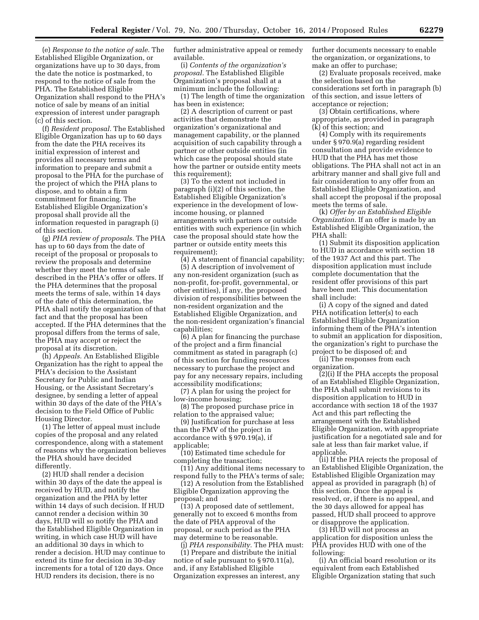(e) *Response to the notice of sale.* The Established Eligible Organization, or organizations have up to 30 days, from the date the notice is postmarked, to respond to the notice of sale from the PHA. The Established Eligible Organization shall respond to the PHA's notice of sale by means of an initial expression of interest under paragraph (c) of this section.

(f) *Resident proposal.* The Established Eligible Organization has up to 60 days from the date the PHA receives its initial expression of interest and provides all necessary terms and information to prepare and submit a proposal to the PHA for the purchase of the project of which the PHA plans to dispose, and to obtain a firm commitment for financing. The Established Eligible Organization's proposal shall provide all the information requested in paragraph (i) of this section.

(g) *PHA review of proposals.* The PHA has up to 60 days from the date of receipt of the proposal or proposals to review the proposals and determine whether they meet the terms of sale described in the PHA's offer or offers. If the PHA determines that the proposal meets the terms of sale, within 14 days of the date of this determination, the PHA shall notify the organization of that fact and that the proposal has been accepted. If the PHA determines that the proposal differs from the terms of sale, the PHA may accept or reject the proposal at its discretion.

(h) *Appeals.* An Established Eligible Organization has the right to appeal the PHA's decision to the Assistant Secretary for Public and Indian Housing, or the Assistant Secretary's designee, by sending a letter of appeal within 30 days of the date of the PHA's decision to the Field Office of Public Housing Director.

(1) The letter of appeal must include copies of the proposal and any related correspondence, along with a statement of reasons why the organization believes the PHA should have decided differently.

(2) HUD shall render a decision within 30 days of the date the appeal is received by HUD, and notify the organization and the PHA by letter within 14 days of such decision. If HUD cannot render a decision within 30 days, HUD will so notify the PHA and the Established Eligible Organization in writing, in which case HUD will have an additional 30 days in which to render a decision. HUD may continue to extend its time for decision in 30-day increments for a total of 120 days. Once HUD renders its decision, there is no

further administrative appeal or remedy available.

(i) *Contents of the organization's proposal.* The Established Eligible Organization's proposal shall at a minimum include the following:

(1) The length of time the organization has been in existence;

(2) A description of current or past activities that demonstrate the organization's organizational and management capability, or the planned acquisition of such capability through a partner or other outside entities (in which case the proposal should state how the partner or outside entity meets this requirement);

(3) To the extent not included in paragraph (i)(2) of this section, the Established Eligible Organization's experience in the development of lowincome housing, or planned arrangements with partners or outside entities with such experience (in which case the proposal should state how the partner or outside entity meets this requirement);

(4) A statement of financial capability; (5) A description of involvement of any non-resident organization (such as non-profit, for-profit, governmental, or other entities), if any, the proposed division of responsibilities between the non-resident organization and the Established Eligible Organization, and the non-resident organization's financial capabilities;

(6) A plan for financing the purchase of the project and a firm financial commitment as stated in paragraph (c) of this section for funding resources necessary to purchase the project and pay for any necessary repairs, including accessibility modifications;

(7) A plan for using the project for low-income housing;

(8) The proposed purchase price in relation to the appraised value;

(9) Justification for purchase at less than the FMV of the project in accordance with § 970.19(a), if applicable;

(10) Estimated time schedule for completing the transaction;

(11) Any additional items necessary to respond fully to the PHA's terms of sale;

(12) A resolution from the Established Eligible Organization approving the proposal; and

(13) A proposed date of settlement, generally not to exceed 6 months from the date of PHA approval of the proposal, or such period as the PHA may determine to be reasonable.

(j) *PHA responsibility.* The PHA must: (1) Prepare and distribute the initial notice of sale pursuant to § 970.11(a), and, if any Established Eligible Organization expresses an interest, any

further documents necessary to enable the organization, or organizations, to make an offer to purchase;

(2) Evaluate proposals received, make the selection based on the considerations set forth in paragraph (b) of this section, and issue letters of acceptance or rejection;

(3) Obtain certifications, where appropriate, as provided in paragraph (k) of this section; and

(4) Comply with its requirements under § 970.9(a) regarding resident consultation and provide evidence to HUD that the PHA has met those obligations. The PHA shall not act in an arbitrary manner and shall give full and fair consideration to any offer from an Established Eligible Organization, and shall accept the proposal if the proposal meets the terms of sale.

(k) *Offer by an Established Eligible Organization.* If an offer is made by an Established Eligible Organization, the PHA shall:

(1) Submit its disposition application to HUD in accordance with section 18 of the 1937 Act and this part. The disposition application must include complete documentation that the resident offer provisions of this part have been met. This documentation shall include:

(i) A copy of the signed and dated PHA notification letter(s) to each Established Eligible Organization informing them of the PHA's intention to submit an application for disposition, the organization's right to purchase the project to be disposed of; and

(ii) The responses from each organization.

(2)(i) If the PHA accepts the proposal of an Established Eligible Organization, the PHA shall submit revisions to its disposition application to HUD in accordance with section 18 of the 1937 Act and this part reflecting the arrangement with the Established Eligible Organization, with appropriate justification for a negotiated sale and for sale at less than fair market value, if applicable.

(ii) If the PHA rejects the proposal of an Established Eligible Organization, the Established Eligible Organization may appeal as provided in paragraph (h) of this section. Once the appeal is resolved, or, if there is no appeal, and the 30 days allowed for appeal has passed, HUD shall proceed to approve or disapprove the application.

(3) HUD will not process an application for disposition unless the PHA provides HUD with one of the following:

(i) An official board resolution or its equivalent from each Established Eligible Organization stating that such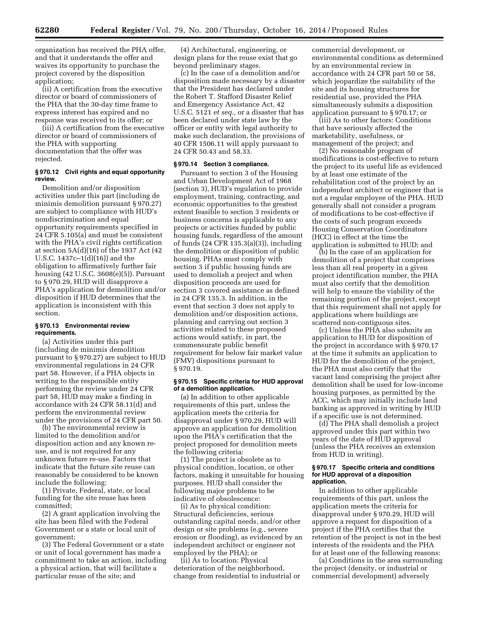organization has received the PHA offer, and that it understands the offer and waives its opportunity to purchase the project covered by the disposition application;

(ii) A certification from the executive director or board of commissioners of the PHA that the 30-day time frame to express interest has expired and no response was received to its offer; or

(iii) A certification from the executive director or board of commissioners of the PHA with supporting documentation that the offer was rejected.

# **§ 970.12 Civil rights and equal opportunity review.**

Demolition and/or disposition activities under this part (including de minimis demolition pursuant § 970.27) are subject to compliance with HUD's nondiscrimination and equal opportunity requirements specified in 24 CFR 5.105(a) and must be consistent with the PHA's civil rights certification at section 5A(d)(16) of the 1937 Act (42 U.S.C. 1437c–1(d)(16)) and the obligation to affirmatively further fair housing (42 U.S.C. 3608(e)(5)). Pursuant to § 970.29, HUD will disapprove a PHA's application for demolition and/or disposition if HUD determines that the application is inconsistent with this section.

#### **§ 970.13 Environmental review requirements.**

(a) Activities under this part (including de minimis demolition pursuant to § 970.27) are subject to HUD environmental regulations in 24 CFR part 58. However, if a PHA objects in writing to the responsible entity performing the review under 24 CFR part 58, HUD may make a finding in accordance with 24 CFR 58.11(d) and perform the environmental review under the provisions of 24 CFR part 50.

(b) The environmental review is limited to the demolition and/or disposition action and any known reuse, and is not required for any unknown future re-use. Factors that indicate that the future site reuse can reasonably be considered to be known include the following:

(1) Private, Federal, state, or local funding for the site reuse has been committed;

(2) A grant application involving the site has been filed with the Federal Government or a state or local unit of government;

(3) The Federal Government or a state or unit of local government has made a commitment to take an action, including a physical action, that will facilitate a particular reuse of the site; and

(4) Architectural, engineering, or design plans for the reuse exist that go beyond preliminary stages.

(c) In the case of a demolition and/or disposition made necessary by a disaster that the President has declared under the Robert T. Stafford Disaster Relief and Emergency Assistance Act, 42 U.S.C. 5121 *et seq.,* or a disaster that has been declared under state law by the officer or entity with legal authority to make such declaration, the provisions of 40 CFR 1506.11 will apply pursuant to 24 CFR 50.43 and 58.33.

#### **§ 970.14 Section 3 compliance.**

Pursuant to section 3 of the Housing and Urban Development Act of 1968 (section 3), HUD's regulation to provide employment, training, contracting, and economic opportunities to the greatest extent feasible to section 3 residents or business concerns is applicable to any projects or activities funded by public housing funds, regardless of the amount of funds (24 CFR 135.3(a)(3)), including the demolition or disposition of public housing. PHAs must comply with section 3 if public housing funds are used to demolish a project and when disposition proceeds are used for section 3 covered assistance as defined in 24 CFR 135.3. In addition, in the event that section 3 does not apply to demolition and/or disposition actions, planning and carrying out section 3 activities related to these proposed actions would satisfy, in part, the commensurate public benefit requirement for below fair market value (FMV) dispositions pursuant to § 970.19.

# **§ 970.15 Specific criteria for HUD approval of a demolition application.**

(a) In addition to other applicable requirements of this part, unless the application meets the criteria for disapproval under § 970.29, HUD will approve an application for demolition upon the PHA's certification that the project proposed for demolition meets the following criteria:

(1) The project is obsolete as to physical condition, location, or other factors, making it unsuitable for housing purposes. HUD shall consider the following major problems to be indicative of obsolescence:

(i) As to physical condition: Structural deficiencies, serious outstanding capital needs, and/or other design or site problems (e.g., severe erosion or flooding), as evidenced by an independent architect or engineer not employed by the PHA); or

(ii) As to location: Physical deterioration of the neighborhood, change from residential to industrial or

commercial development, or environmental conditions as determined by an environmental review in accordance with 24 CFR part 50 or 58, which jeopardize the suitability of the site and its housing structures for residential use, provided the PHA simultaneously submits a disposition application pursuant to § 970.17; or

(iii) As to other factors: Conditions that have seriously affected the marketability, usefulness, or management of the project; and

(2) No reasonable program of modifications is cost-effective to return the project to its useful life as evidenced by at least one estimate of the rehabilitation cost of the project by an independent architect or engineer that is not a regular employee of the PHA. HUD generally shall not consider a program of modifications to be cost-effective if the costs of such program exceeds Housing Conservation Coordinators (HCC) in effect at the time the application is submitted to HUD; and

(b) In the case of an application for demolition of a project that comprises less than all real property in a given project identification number, the PHA must also certify that the demolition will help to ensure the viability of the remaining portion of the project, except that this requirement shall not apply for applications where buildings are scattered non-contiguous sites.

(c) Unless the PHA also submits an application to HUD for disposition of the project in accordance with § 970.17 at the time it submits an application to HUD for the demolition of the project, the PHA must also certify that the vacant land comprising the project after demolition shall be used for low-income housing purposes, as permitted by the ACC, which may initially include land banking as approved in writing by HUD if a specific use is not determined.

(d) The PHA shall demolish a project approved under this part within two years of the date of HUD approval (unless the PHA receives an extension from HUD in writing).

#### **§ 970.17 Specific criteria and conditions for HUD approval of a disposition application.**

In addition to other applicable requirements of this part, unless the application meets the criteria for disapproval under § 970.29, HUD will approve a request for disposition of a project if the PHA certifies that the retention of the project is not in the best interests of the residents and the PHA for at least one of the following reasons:

(a) Conditions in the area surrounding the project (density, or industrial or commercial development) adversely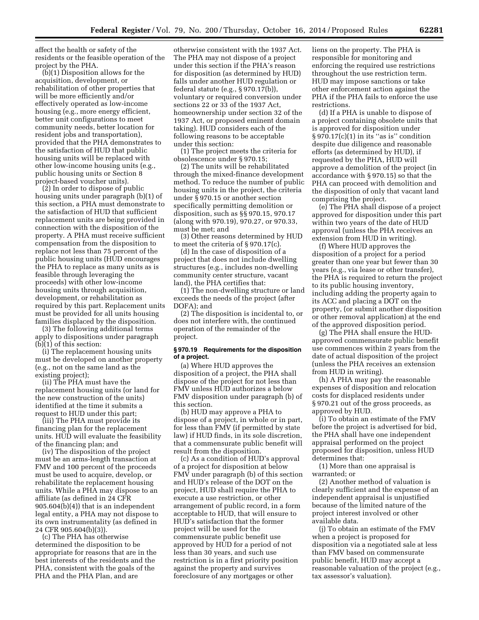affect the health or safety of the residents or the feasible operation of the project by the PHA.

(b)(1) Disposition allows for the acquisition, development, or rehabilitation of other properties that will be more efficiently and/or effectively operated as low-income housing (e.g., more energy efficient, better unit configurations to meet community needs, better location for resident jobs and transportation), provided that the PHA demonstrates to the satisfaction of HUD that public housing units will be replaced with other low-income housing units (e.g., public housing units or Section 8 project-based voucher units).

(2) In order to dispose of public housing units under paragraph (b)(1) of this section, a PHA must demonstrate to the satisfaction of HUD that sufficient replacement units are being provided in connection with the disposition of the property. A PHA must receive sufficient compensation from the disposition to replace not less than 75 percent of the public housing units (HUD encourages the PHA to replace as many units as is feasible through leveraging the proceeds) with other low-income housing units through acquisition, development, or rehabilitation as required by this part. Replacement units must be provided for all units housing families displaced by the disposition.

(3) The following additional terms apply to dispositions under paragraph (b)(1) of this section:

(i) The replacement housing units must be developed on another property (e.g., not on the same land as the existing project);

(ii) The PHA must have the replacement housing units (or land for the new construction of the units) identified at the time it submits a request to HUD under this part;

(iii) The PHA must provide its financing plan for the replacement units. HUD will evaluate the feasibility of the financing plan; and

(iv) The disposition of the project must be an arms-length transaction at FMV and 100 percent of the proceeds must be used to acquire, develop, or rehabilitate the replacement housing units. While a PHA may dispose to an affiliate (as defined in 24 CFR 905.604(b)(4)) that is an independent legal entity, a PHA may not dispose to its own instrumentality (as defined in 24 CFR 905.604(b)(3)).

(c) The PHA has otherwise determined the disposition to be appropriate for reasons that are in the best interests of the residents and the PHA, consistent with the goals of the PHA and the PHA Plan, and are

otherwise consistent with the 1937 Act. The PHA may not dispose of a project under this section if the PHA's reason for disposition (as determined by HUD) falls under another HUD regulation or federal statute (e.g., § 970.17(b)), voluntary or required conversion under sections 22 or 33 of the 1937 Act, homeownership under section 32 of the 1937 Act, or proposed eminent domain taking). HUD considers each of the following reasons to be acceptable under this section:

(1) The project meets the criteria for obsolescence under § 970.15;

(2) The units will be rehabilitated through the mixed-finance development method. To reduce the number of public housing units in the project, the criteria under § 970.15 or another section specifically permitting demolition or disposition, such as §§ 970.15, 970.17 (along with 970.19), 970.27, or 970.33, must be met; and

(3) Other reasons determined by HUD to meet the criteria of § 970.17(c).

(d) In the case of disposition of a project that does not include dwelling structures (e.g., includes non-dwelling community center structure, vacant land), the PHA certifies that:

(1) The non-dwelling structure or land exceeds the needs of the project (after DOFA); and

(2) The disposition is incidental to, or does not interfere with, the continued operation of the remainder of the project.

#### **§ 970.19 Requirements for the disposition of a project.**

(a) Where HUD approves the disposition of a project, the PHA shall dispose of the project for not less than FMV unless HUD authorizes a below FMV disposition under paragraph (b) of this section.

(b) HUD may approve a PHA to dispose of a project, in whole or in part, for less than FMV (if permitted by state law) if HUD finds, in its sole discretion, that a commensurate public benefit will result from the disposition.

(c) As a condition of HUD's approval of a project for disposition at below FMV under paragraph (b) of this section and HUD's release of the DOT on the project, HUD shall require the PHA to execute a use restriction, or other arrangement of public record, in a form acceptable to HUD, that will ensure to HUD's satisfaction that the former project will be used for the commensurate public benefit use approved by HUD for a period of not less than 30 years, and such use restriction is in a first priority position against the property and survives foreclosure of any mortgages or other

liens on the property. The PHA is responsible for monitoring and enforcing the required use restrictions throughout the use restriction term. HUD may impose sanctions or take other enforcement action against the PHA if the PHA fails to enforce the use restrictions.

(d) If a PHA is unable to dispose of a project containing obsolete units that is approved for disposition under  $§ 970.17(c)(1)$  in its "as is" condition despite due diligence and reasonable efforts (as determined by HUD), if requested by the PHA, HUD will approve a demolition of the project (in accordance with § 970.15) so that the PHA can proceed with demolition and the disposition of only that vacant land comprising the project.

(e) The PHA shall dispose of a project approved for disposition under this part within two years of the date of HUD approval (unless the PHA receives an extension from HUD in writing).

(f) Where HUD approves the disposition of a project for a period greater than one year but fewer than 30 years (e.g., via lease or other transfer), the PHA is required to return the project to its public housing inventory, including adding the property again to its ACC and placing a DOT on the property, (or submit another disposition or other removal application) at the end of the approved disposition period.

(g) The PHA shall ensure the HUDapproved commensurate public benefit use commences within 2 years from the date of actual disposition of the project (unless the PHA receives an extension from HUD in writing).

(h) A PHA may pay the reasonable expenses of disposition and relocation costs for displaced residents under § 970.21 out of the gross proceeds, as approved by HUD.

(i) To obtain an estimate of the FMV before the project is advertised for bid, the PHA shall have one independent appraisal performed on the project proposed for disposition, unless HUD determines that:

(1) More than one appraisal is warranted; or

(2) Another method of valuation is clearly sufficient and the expense of an independent appraisal is unjustified because of the limited nature of the project interest involved or other available data.

(j) To obtain an estimate of the FMV when a project is proposed for disposition via a negotiated sale at less than FMV based on commensurate public benefit, HUD may accept a reasonable valuation of the project (e.g., tax assessor's valuation).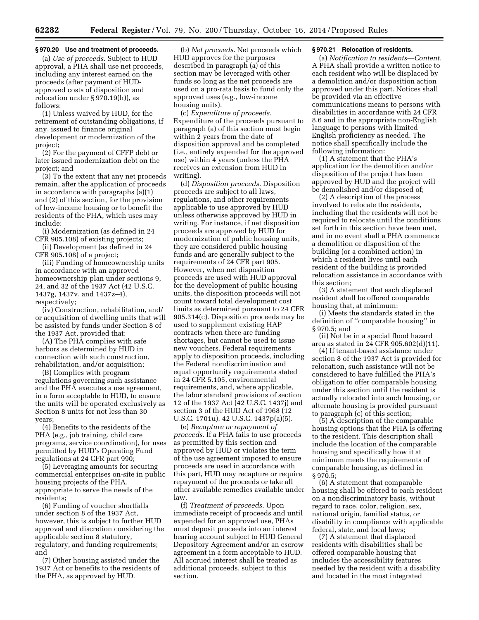#### **§ 970.20 Use and treatment of proceeds.**

(a) *Use of proceeds.* Subject to HUD approval, a PHA shall use net proceeds, including any interest earned on the proceeds (after payment of HUDapproved costs of disposition and relocation under § 970.19(h)), as follows:

(1) Unless waived by HUD, for the retirement of outstanding obligations, if any, issued to finance original development or modernization of the project;

(2) For the payment of CFFP debt or later issued modernization debt on the project; and

(3) To the extent that any net proceeds remain, after the application of proceeds in accordance with paragraphs (a)(1) and (2) of this section, for the provision of low-income housing or to benefit the residents of the PHA, which uses may include:

(i) Modernization (as defined in 24 CFR 905.108) of existing projects;

(ii) Development (as defined in 24 CFR 905.108) of a project;

(iii) Funding of homeownership units in accordance with an approved homeownership plan under sections 9, 24, and 32 of the 1937 Act (42 U.S.C. 1437g, 1437v, and 1437z–4), respectively;

(iv) Construction, rehabilitation, and/ or acquisition of dwelling units that will be assisted by funds under Section 8 of the 1937 Act, provided that:

(A) The PHA complies with safe harbors as determined by HUD in connection with such construction, rehabilitation, and/or acquisition;

(B) Complies with program regulations governing such assistance and the PHA executes a use agreement, in a form acceptable to HUD, to ensure the units will be operated exclusively as Section 8 units for not less than 30 years;

(4) Benefits to the residents of the PHA (e.g., job training, child care programs, service coordination), for uses permitted by HUD's Operating Fund regulations at 24 CFR part 990;

(5) Leveraging amounts for securing commercial enterprises on-site in public housing projects of the PHA, appropriate to serve the needs of the residents;

(6) Funding of voucher shortfalls under section 8 of the 1937 Act, however, this is subject to further HUD approval and discretion considering the applicable section 8 statutory, regulatory, and funding requirements; and

(7) Other housing assisted under the 1937 Act or benefits to the residents of the PHA, as approved by HUD.

(b) *Net proceeds.* Net proceeds which HUD approves for the purposes described in paragraph (a) of this section may be leveraged with other funds so long as the net proceeds are used on a pro-rata basis to fund only the approved uses (e.g., low-income housing units).

(c) *Expenditure of proceeds.*  Expenditure of the proceeds pursuant to paragraph (a) of this section must begin within 2 years from the date of disposition approval and be completed (i.e., entirely expended for the approved use) within 4 years (unless the PHA receives an extension from HUD in writing).

(d) *Disposition proceeds.* Disposition proceeds are subject to all laws, regulations, and other requirements applicable to use approved by HUD unless otherwise approved by HUD in writing. For instance, if net disposition proceeds are approved by HUD for modernization of public housing units, they are considered public housing funds and are generally subject to the requirements of 24 CFR part 905. However, when net disposition proceeds are used with HUD approval for the development of public housing units, the disposition proceeds will not count toward total development cost limits as determined pursuant to 24 CFR 905.314(c). Disposition proceeds may be used to supplement existing HAP contracts when there are funding shortages, but cannot be used to issue new vouchers. Federal requirements apply to disposition proceeds, including the Federal nondiscrimination and equal opportunity requirements stated in 24 CFR 5.105, environmental requirements, and, where applicable, the labor standard provisions of section 12 of the 1937 Act (42 U.S.C. 1437j) and section 3 of the HUD Act of 1968 (12 U.S.C. 1701u). 42 U.S.C. 1437p(a)(5).

(e) *Recapture or repayment of proceeds.* If a PHA fails to use proceeds as permitted by this section and approved by HUD or violates the term of the use agreement imposed to ensure proceeds are used in accordance with this part, HUD may recapture or require repayment of the proceeds or take all other available remedies available under law.

(f) *Treatment of proceeds.* Upon immediate receipt of proceeds and until expended for an approved use, PHAs must deposit proceeds into an interest bearing account subject to HUD General Depository Agreement and/or an escrow agreement in a form acceptable to HUD. All accrued interest shall be treated as additional proceeds, subject to this section.

# **§ 970.21 Relocation of residents.**

(a) *Notification to residents—Content.*  A PHA shall provide a written notice to each resident who will be displaced by a demolition and/or disposition action approved under this part. Notices shall be provided via an effective communications means to persons with disabilities in accordance with 24 CFR 8.6 and in the appropriate non-English language to persons with limited English proficiency as needed. The notice shall specifically include the following information:

(1) A statement that the PHA's application for the demolition and/or disposition of the project has been approved by HUD and the project will be demolished and/or disposed of;

(2) A description of the process involved to relocate the residents, including that the residents will not be required to relocate until the conditions set forth in this section have been met, and in no event shall a PHA commence a demolition or disposition of the building (or a combined action) in which a resident lives until each resident of the building is provided relocation assistance in accordance with this section;

(3) A statement that each displaced resident shall be offered comparable housing that, at minimum:

(i) Meets the standards stated in the definition of ''comparable housing'' in § 970.5; and

(ii) Not be in a special flood hazard area as stated in 24 CFR 905.602(d)(11).

(4) If tenant-based assistance under section 8 of the 1937 Act is provided for relocation, such assistance will not be considered to have fulfilled the PHA's obligation to offer comparable housing under this section until the resident is actually relocated into such housing, or alternate housing is provided pursuant to paragraph (c) of this section;

(5) A description of the comparable housing options that the PHA is offering to the resident. This description shall include the location of the comparable housing and specifically how it at minimum meets the requirements of comparable housing, as defined in § 970.5;

(6) A statement that comparable housing shall be offered to each resident on a nondiscriminatory basis, without regard to race, color, religion, sex, national origin, familial status, or disability in compliance with applicable federal, state, and local laws;

(7) A statement that displaced residents with disabilities shall be offered comparable housing that includes the accessibility features needed by the resident with a disability and located in the most integrated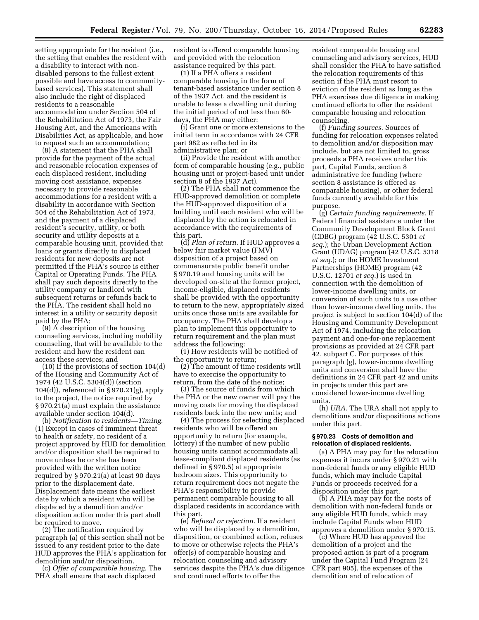setting appropriate for the resident (i.e., the setting that enables the resident with a disability to interact with nondisabled persons to the fullest extent possible and have access to communitybased services). This statement shall also include the right of displaced residents to a reasonable accommodation under Section 504 of the Rehabilitation Act of 1973, the Fair Housing Act, and the Americans with Disabilities Act, as applicable, and how to request such an accommodation;

(8) A statement that the PHA shall provide for the payment of the actual and reasonable relocation expenses of each displaced resident, including moving cost assistance, expenses necessary to provide reasonable accommodations for a resident with a disability in accordance with Section 504 of the Rehabilitation Act of 1973, and the payment of a displaced resident's security, utility, or both security and utility deposits at a comparable housing unit, provided that loans or grants directly to displaced residents for new deposits are not permitted if the PHA's source is either Capital or Operating Funds. The PHA shall pay such deposits directly to the utility company or landlord with subsequent returns or refunds back to the PHA. The resident shall hold no interest in a utility or security deposit paid by the PHA;

(9) A description of the housing counseling services, including mobility counseling, that will be available to the resident and how the resident can access these services; and

(10) If the provisions of section 104(d) of the Housing and Community Act of 1974 (42 U.S.C. 5304(d)) (section 104(d)), referenced in § 970.21(g), apply to the project, the notice required by § 970.21(a) must explain the assistance available under section 104(d).

(b) *Notification to residents—Timing.*  (1) Except in cases of imminent threat to health or safety, no resident of a project approved by HUD for demolition and/or disposition shall be required to move unless he or she has been provided with the written notice required by § 970.21(a) at least 90 days prior to the displacement date. Displacement date means the earliest date by which a resident who will be displaced by a demolition and/or disposition action under this part shall be required to move.

(2) The notification required by paragraph (a) of this section shall not be issued to any resident prior to the date HUD approves the PHA's application for demolition and/or disposition.

(c) *Offer of comparable housing.* The PHA shall ensure that each displaced

resident is offered comparable housing and provided with the relocation assistance required by this part.

(1) If a PHA offers a resident comparable housing in the form of tenant-based assistance under section 8 of the 1937 Act, and the resident is unable to lease a dwelling unit during the initial period of not less than 60 days, the PHA may either:

(i) Grant one or more extensions to the initial term in accordance with 24 CFR part 982 as reflected in its administrative plan; or

(ii) Provide the resident with another form of comparable housing (e.g., public housing unit or project-based unit under section 8 of the 1937 Act).

(2) The PHA shall not commence the HUD-approved demolition or complete the HUD-approved disposition of a building until each resident who will be displaced by the action is relocated in accordance with the requirements of this part.

(d) *Plan of return.* If HUD approves a below fair market value (FMV) disposition of a project based on commensurate public benefit under § 970.19 and housing units will be developed on-site at the former project, income-eligible, displaced residents shall be provided with the opportunity to return to the new, appropriately sized units once those units are available for occupancy. The PHA shall develop a plan to implement this opportunity to return requirement and the plan must address the following:

(1) How residents will be notified of the opportunity to return;

(2) The amount of time residents will have to exercise the opportunity to return, from the date of the notice;

(3) The source of funds from which the PHA or the new owner will pay the moving costs for moving the displaced residents back into the new units; and

(4) The process for selecting displaced residents who will be offered an opportunity to return (for example, lottery) if the number of new public housing units cannot accommodate all lease-compliant displaced residents (as defined in § 970.5) at appropriate bedroom sizes. This opportunity to return requirement does not negate the PHA's responsibility to provide permanent comparable housing to all displaced residents in accordance with this part.

(e) *Refusal or rejection.* If a resident who will be displaced by a demolition, disposition, or combined action, refuses to move or otherwise rejects the PHA's offer(s) of comparable housing and relocation counseling and advisory services despite the PHA's due diligence and continued efforts to offer the

resident comparable housing and counseling and advisory services, HUD shall consider the PHA to have satisfied the relocation requirements of this section if the PHA must resort to eviction of the resident as long as the PHA exercises due diligence in making continued efforts to offer the resident comparable housing and relocation counseling.

(f) *Funding sources.* Sources of funding for relocation expenses related to demolition and/or disposition may include, but are not limited to, gross proceeds a PHA receives under this part, Capital Funds, section 8 administrative fee funding (where section 8 assistance is offered as comparable housing), or other federal funds currently available for this purpose.

(g) *Certain funding requirements.* If Federal financial assistance under the Community Development Block Grant (CDBG) program (42 U.S.C. 5301 *et seq.*); the Urban Development Action Grant (UDAG) program (42 U.S.C. 5318 *et seq.*); or the HOME Investment Partnerships (HOME) program (42 U.S.C. 12701 *et seq.*) is used in connection with the demolition of lower-income dwelling units, or conversion of such units to a use other than lower-income dwelling units, the project is subject to section 104(d) of the Housing and Community Development Act of 1974, including the relocation payment and one-for-one replacement provisions as provided at 24 CFR part 42, subpart C. For purposes of this paragraph (g), lower-income dwelling units and conversion shall have the definitions in 24 CFR part 42 and units in projects under this part are considered lower-income dwelling units.

(h) *URA.* The URA shall not apply to demolitions and/or dispositions actions under this part.

#### **§ 970.23 Costs of demolition and relocation of displaced residents.**

(a) A PHA may pay for the relocation expenses it incurs under § 970.21 with non-federal funds or any eligible HUD funds, which may include Capital Funds or proceeds received for a disposition under this part.

(b) A PHA may pay for the costs of demolition with non-federal funds or any eligible HUD funds, which may include Capital Funds when HUD approves a demolition under § 970.15.

(c) Where HUD has approved the demolition of a project and the proposed action is part of a program under the Capital Fund Program (24 CFR part 905), the expenses of the demolition and of relocation of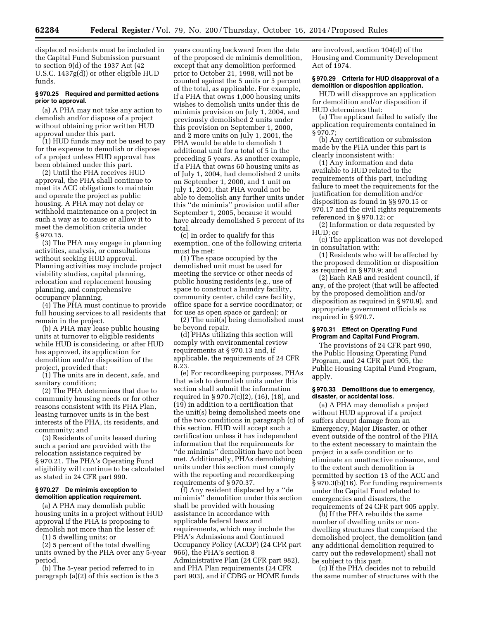displaced residents must be included in the Capital Fund Submission pursuant to section 9(d) of the 1937 Act (42 U.S.C. 1437g(d)) or other eligible HUD funds.

# **§ 970.25 Required and permitted actions prior to approval.**

(a) A PHA may not take any action to demolish and/or dispose of a project without obtaining prior written HUD approval under this part.

(1) HUD funds may not be used to pay for the expense to demolish or dispose of a project unless HUD approval has been obtained under this part.

(2) Until the PHA receives HUD approval, the PHA shall continue to meet its ACC obligations to maintain and operate the project as public housing. A PHA may not delay or withhold maintenance on a project in such a way as to cause or allow it to meet the demolition criteria under § 970.15.

(3) The PHA may engage in planning activities, analysis, or consultations without seeking HUD approval. Planning activities may include project viability studies, capital planning, relocation and replacement housing planning, and comprehensive occupancy planning.

(4) The PHA must continue to provide full housing services to all residents that remain in the project.

(b) A PHA may lease public housing units at turnover to eligible residents while HUD is considering, or after HUD has approved, its application for demolition and/or disposition of the project, provided that:

(1) The units are in decent, safe, and sanitary condition;

(2) The PHA determines that due to community housing needs or for other reasons consistent with its PHA Plan, leasing turnover units is in the best interests of the PHA, its residents, and community; and

(3) Residents of units leased during such a period are provided with the relocation assistance required by § 970.21. The PHA's Operating Fund eligibility will continue to be calculated as stated in 24 CFR part 990.

# **§ 970.27 De minimis exception to demolition application requirement.**

(a) A PHA may demolish public housing units in a project without HUD approval if the PHA is proposing to demolish not more than the lesser of:

(1) 5 dwelling units; or

(2) 5 percent of the total dwelling units owned by the PHA over any 5-year period.

(b) The 5-year period referred to in paragraph (a)(2) of this section is the 5

years counting backward from the date of the proposed de minimis demolition, except that any demolition performed prior to October 21, 1998, will not be counted against the 5 units or 5 percent of the total, as applicable. For example, if a PHA that owns 1,000 housing units wishes to demolish units under this de minimis provision on July 1, 2004, and previously demolished 2 units under this provision on September 1, 2000, and 2 more units on July 1, 2001, the PHA would be able to demolish 1 additional unit for a total of 5 in the preceding 5 years. As another example, if a PHA that owns 60 housing units as of July 1, 2004, had demolished 2 units on September 1, 2000, and 1 unit on July 1, 2001, that PHA would not be able to demolish any further units under this ''de minimis'' provision until after September 1, 2005, because it would have already demolished 5 percent of its total.

(c) In order to qualify for this exemption, one of the following criteria must be met:

(1) The space occupied by the demolished unit must be used for meeting the service or other needs of public housing residents (e.g., use of space to construct a laundry facility, community center, child care facility, office space for a service coordinator; or for use as open space or garden); or

(2) The unit(s) being demolished must be beyond repair.

(d) PHAs utilizing this section will comply with environmental review requirements at § 970.13 and, if applicable, the requirements of 24 CFR 8.23.

(e) For recordkeeping purposes, PHAs that wish to demolish units under this section shall submit the information required in § 970.7(c)(2), (16), (18), and (19) in addition to a certification that the unit(s) being demolished meets one of the two conditions in paragraph (c) of this section. HUD will accept such a certification unless it has independent information that the requirements for ''de minimis'' demolition have not been met. Additionally, PHAs demolishing units under this section must comply with the reporting and recordkeeping requirements of § 970.37.

(f) Any resident displaced by a ''de minimis'' demolition under this section shall be provided with housing assistance in accordance with applicable federal laws and requirements, which may include the PHA's Admissions and Continued Occupancy Policy (ACOP) (24 CFR part 966), the PHA's section 8 Administrative Plan (24 CFR part 982), and PHA Plan requirements (24 CFR part 903), and if CDBG or HOME funds

are involved, section 104(d) of the Housing and Community Development Act of 1974.

# **§ 970.29 Criteria for HUD disapproval of a demolition or disposition application.**

HUD will disapprove an application for demolition and/or disposition if HUD determines that:

(a) The applicant failed to satisfy the application requirements contained in § 970.7;

(b) Any certification or submission made by the PHA under this part is clearly inconsistent with:

(1) Any information and data available to HUD related to the requirements of this part, including failure to meet the requirements for the justification for demolition and/or disposition as found in §§ 970.15 or 970.17 and the civil rights requirements referenced in § 970.12; or

(2) Information or data requested by HUD; or

(c) The application was not developed in consultation with:

(1) Residents who will be affected by the proposed demolition or disposition as required in § 970.9; and

(2) Each RAB and resident council, if any, of the project (that will be affected by the proposed demolition and/or disposition as required in § 970.9), and appropriate government officials as required in § 970.7.

# **§ 970.31 Effect on Operating Fund Program and Capital Fund Program.**

The provisions of 24 CFR part 990, the Public Housing Operating Fund Program, and 24 CFR part 905, the Public Housing Capital Fund Program, apply.

#### **§ 970.33 Demolitions due to emergency, disaster, or accidental loss.**

(a) A PHA may demolish a project without HUD approval if a project suffers abrupt damage from an Emergency, Major Disaster, or other event outside of the control of the PHA to the extent necessary to maintain the project in a safe condition or to eliminate an unattractive nuisance, and to the extent such demolition is permitted by section 13 of the ACC and § 970.3(b)(16). For funding requirements under the Capital Fund related to emergencies and disasters, the requirements of 24 CFR part 905 apply.

(b) If the PHA rebuilds the same number of dwelling units or nondwelling structures that comprised the demolished project, the demolition (and any additional demolition required to carry out the redevelopment) shall not be subject to this part.

(c) If the PHA decides not to rebuild the same number of structures with the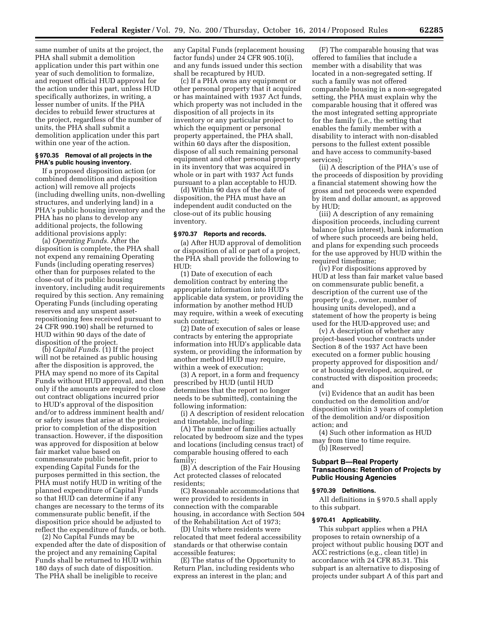same number of units at the project, the PHA shall submit a demolition application under this part within one year of such demolition to formalize, and request official HUD approval for the action under this part, unless HUD specifically authorizes, in writing, a lesser number of units. If the PHA decides to rebuild fewer structures at the project, regardless of the number of units, the PHA shall submit a demolition application under this part within one year of the action.

# **§ 970.35 Removal of all projects in the PHA's public housing inventory.**

If a proposed disposition action (or combined demolition and disposition action) will remove all projects (including dwelling units, non-dwelling structures, and underlying land) in a PHA's public housing inventory and the PHA has no plans to develop any additional projects, the following additional provisions apply:

(a) *Operating Funds.* After the disposition is complete, the PHA shall not expend any remaining Operating Funds (including operating reserves) other than for purposes related to the close-out of its public housing inventory, including audit requirements required by this section. Any remaining Operating Funds (including operating reserves and any unspent assetrepositioning fees received pursuant to 24 CFR 990.190) shall be returned to HUD within 90 days of the date of disposition of the project.

(b) *Capital Funds.* (1) If the project will not be retained as public housing after the disposition is approved, the PHA may spend no more of its Capital Funds without HUD approval, and then only if the amounts are required to close out contract obligations incurred prior to HUD's approval of the disposition and/or to address imminent health and/ or safety issues that arise at the project prior to completion of the disposition transaction. However, if the disposition was approved for disposition at below fair market value based on commensurate public benefit, prior to expending Capital Funds for the purposes permitted in this section, the PHA must notify HUD in writing of the planned expenditure of Capital Funds so that HUD can determine if any changes are necessary to the terms of its commensurate public benefit, if the disposition price should be adjusted to reflect the expenditure of funds, or both.

(2) No Capital Funds may be expended after the date of disposition of the project and any remaining Capital Funds shall be returned to HUD within 180 days of such date of disposition. The PHA shall be ineligible to receive

any Capital Funds (replacement housing factor funds) under 24 CFR 905.10(i), and any funds issued under this section shall be recaptured by HUD.

(c) If a PHA owns any equipment or other personal property that it acquired or has maintained with 1937 Act funds, which property was not included in the disposition of all projects in its inventory or any particular project to which the equipment or personal property appertained, the PHA shall, within 60 days after the disposition, dispose of all such remaining personal equipment and other personal property in its inventory that was acquired in whole or in part with 1937 Act funds pursuant to a plan acceptable to HUD.

(d) Within 90 days of the date of disposition, the PHA must have an independent audit conducted on the close-out of its public housing inventory.

#### **§ 970.37 Reports and records.**

(a) After HUD approval of demolition or disposition of all or part of a project, the PHA shall provide the following to HUD:

(1) Date of execution of each demolition contract by entering the appropriate information into HUD's applicable data system, or providing the information by another method HUD may require, within a week of executing such contract;

(2) Date of execution of sales or lease contracts by entering the appropriate information into HUD's applicable data system, or providing the information by another method HUD may require, within a week of execution;

(3) A report, in a form and frequency prescribed by HUD (until HUD determines that the report no longer needs to be submitted), containing the following information:

(i) A description of resident relocation and timetable, including:

(A) The number of families actually relocated by bedroom size and the types and locations (including census tract) of comparable housing offered to each family;

(B) A description of the Fair Housing Act protected classes of relocated residents;

(C) Reasonable accommodations that were provided to residents in connection with the comparable housing, in accordance with Section 504 of the Rehabilitation Act of 1973;

(D) Units where residents were relocated that meet federal accessibility standards or that otherwise contain accessible features;

(E) The status of the Opportunity to Return Plan, including residents who express an interest in the plan; and

(F) The comparable housing that was offered to families that include a member with a disability that was located in a non-segregated setting. If such a family was not offered comparable housing in a non-segregated setting, the PHA must explain why the comparable housing that it offered was the most integrated setting appropriate for the family (i.e., the setting that enables the family member with a disability to interact with non-disabled persons to the fullest extent possible and have access to community-based services);

(ii) A description of the PHA's use of the proceeds of disposition by providing a financial statement showing how the gross and net proceeds were expended by item and dollar amount, as approved by HUD;

(iii) A description of any remaining disposition proceeds, including current balance (plus interest), bank information of where such proceeds are being held, and plans for expending such proceeds for the use approved by HUD within the required timeframe;

(iv) For dispositions approved by HUD at less than fair market value based on commensurate public benefit, a description of the current use of the property (e.g., owner, number of housing units developed), and a statement of how the property is being used for the HUD-approved use; and

(v) A description of whether any project-based voucher contracts under Section 8 of the 1937 Act have been executed on a former public housing property approved for disposition and/ or at housing developed, acquired, or constructed with disposition proceeds; and

(vi) Evidence that an audit has been conducted on the demolition and/or disposition within 3 years of completion of the demolition and/or disposition action; and

(4) Such other information as HUD may from time to time require.

(b) [Reserved]

# **Subpart B—Real Property Transactions: Retention of Projects by Public Housing Agencies**

# **§ 970.39 Definitions.**

All definitions in § 970.5 shall apply to this subpart.

#### **§ 970.41 Applicability.**

This subpart applies when a PHA proposes to retain ownership of a project without public housing DOT and ACC restrictions (e.g., clean title) in accordance with 24 CFR 85.31. This subpart is an alternative to disposing of projects under subpart A of this part and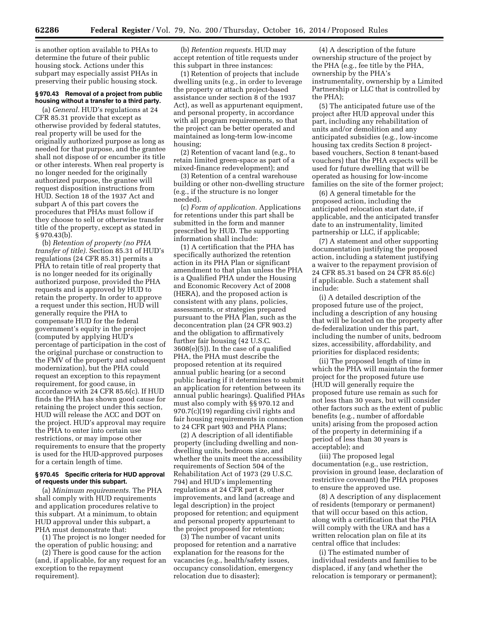is another option available to PHAs to determine the future of their public housing stock. Actions under this subpart may especially assist PHAs in preserving their public housing stock.

# **§ 970.43 Removal of a project from public housing without a transfer to a third party.**

(a) *General.* HUD's regulations at 24 CFR 85.31 provide that except as otherwise provided by federal statutes, real property will be used for the originally authorized purpose as long as needed for that purpose, and the grantee shall not dispose of or encumber its title or other interests. When real property is no longer needed for the originally authorized purpose, the grantee will request disposition instructions from HUD. Section 18 of the 1937 Act and subpart A of this part covers the procedures that PHAs must follow if they choose to sell or otherwise transfer title of the property, except as stated in § 970.43(b).

(b) *Retention of property (no PHA transfer of title).* Section 85.31 of HUD's regulations (24 CFR 85.31) permits a PHA to retain title of real property that is no longer needed for its originally authorized purpose, provided the PHA requests and is approved by HUD to retain the property. In order to approve a request under this section, HUD will generally require the PHA to compensate HUD for the federal government's equity in the project (computed by applying HUD's percentage of participation in the cost of the original purchase or construction to the FMV of the property and subsequent modernization), but the PHA could request an exception to this repayment requirement, for good cause, in accordance with 24 CFR 85.6(c). If HUD finds the PHA has shown good cause for retaining the project under this section, HUD will release the ACC and DOT on the project. HUD's approval may require the PHA to enter into certain use restrictions, or may impose other requirements to ensure that the property is used for the HUD-approved purposes for a certain length of time.

#### **§ 970.45 Specific criteria for HUD approval of requests under this subpart.**

(a) *Minimum requirements.* The PHA shall comply with HUD requirements and application procedures relative to this subpart. At a minimum, to obtain HUD approval under this subpart, a PHA must demonstrate that:

(1) The project is no longer needed for the operation of public housing; and

(2) There is good cause for the action (and, if applicable, for any request for an exception to the repayment requirement).

(b) *Retention requests.* HUD may accept retention of title requests under this subpart in three instances:

(1) Retention of projects that include dwelling units (e.g., in order to leverage the property or attach project-based assistance under section 8 of the 1937 Act), as well as appurtenant equipment, and personal property, in accordance with all program requirements, so that the project can be better operated and maintained as long-term low-income housing;

(2) Retention of vacant land (e.g., to retain limited green-space as part of a mixed-finance redevelopment); and

(3) Retention of a central warehouse building or other non-dwelling structure (e.g., if the structure is no longer needed).

(c) *Form of application.* Applications for retentions under this part shall be submitted in the form and manner prescribed by HUD. The supporting information shall include:

(1) A certification that the PHA has specifically authorized the retention action in its PHA Plan or significant amendment to that plan unless the PHA is a Qualified PHA under the Housing and Economic Recovery Act of 2008 (HERA), and the proposed action is consistent with any plans, policies, assessments, or strategies prepared pursuant to the PHA Plan, such as the deconcentration plan (24 CFR 903.2) and the obligation to affirmatively further fair housing (42 U.S.C. 3608(e)(5)). In the case of a qualified PHA, the PHA must describe the proposed retention at its required annual public hearing (or a second public hearing if it determines to submit an application for retention between its annual public hearings). Qualified PHAs must also comply with §§ 970.12 and 970.7(c)(19) regarding civil rights and fair housing requirements in connection to 24 CFR part 903 and PHA Plans;

(2) A description of all identifiable property (including dwelling and nondwelling units, bedroom size, and whether the units meet the accessibility requirements of Section 504 of the Rehabilitation Act of 1973 (29 U.S.C. 794) and HUD's implementing regulations at 24 CFR part 8, other improvements, and land (acreage and legal description) in the project proposed for retention; and equipment and personal property appurtenant to the project proposed for retention;

(3) The number of vacant units proposed for retention and a narrative explanation for the reasons for the vacancies (e.g., health/safety issues, occupancy consolidation, emergency relocation due to disaster);

(4) A description of the future ownership structure of the project by the PHA (e.g., fee title by the PHA, ownership by the PHA's instrumentality, ownership by a Limited Partnership or LLC that is controlled by the PHA);

(5) The anticipated future use of the project after HUD approval under this part, including any rehabilitation of units and/or demolition and any anticipated subsidies (e.g., low-income housing tax credits Section 8 projectbased vouchers, Section 8 tenant-based vouchers) that the PHA expects will be used for future dwelling that will be operated as housing for low-income families on the site of the former project;

(6) A general timetable for the proposed action, including the anticipated relocation start date, if applicable, and the anticipated transfer date to an instrumentality, limited partnership or LLC, if applicable;

(7) A statement and other supporting documentation justifying the proposed action, including a statement justifying a waiver to the repayment provision of 24 CFR 85.31 based on 24 CFR 85.6(c) if applicable. Such a statement shall include:

(i) A detailed description of the proposed future use of the project, including a description of any housing that will be located on the property after de-federalization under this part, including the number of units, bedroom sizes, accessibility, affordability, and priorities for displaced residents;

(ii) The proposed length of time in which the PHA will maintain the former project for the proposed future use (HUD will generally require the proposed future use remain as such for not less than 30 years, but will consider other factors such as the extent of public benefits (e.g., number of affordable units) arising from the proposed action of the property in determining if a period of less than 30 years is acceptable); and

(iii) The proposed legal documentation (e.g., use restriction, provision in ground lease, declaration of restrictive covenant) the PHA proposes to ensure the approved use.

(8) A description of any displacement of residents (temporary or permanent) that will occur based on this action, along with a certification that the PHA will comply with the URA and has a written relocation plan on file at its central office that includes:

(i) The estimated number of individual residents and families to be displaced, if any (and whether the relocation is temporary or permanent);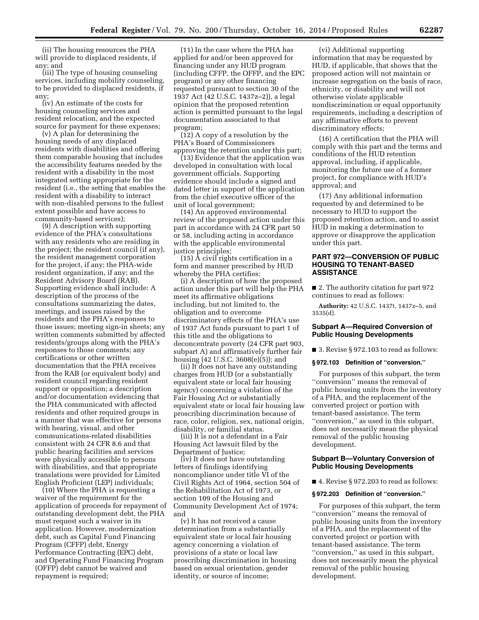(ii) The housing resources the PHA will provide to displaced residents, if any; and

(iii) The type of housing counseling services, including mobility counseling, to be provided to displaced residents, if any;

(iv) An estimate of the costs for housing counseling services and resident relocation, and the expected source for payment for these expenses;

(v) A plan for determining the housing needs of any displaced residents with disabilities and offering them comparable housing that includes the accessibility features needed by the resident with a disability in the most integrated setting appropriate for the resident (i.e., the setting that enables the resident with a disability to interact with non-disabled persons to the fullest extent possible and have access to community-based services);

(9) A description with supporting evidence of the PHA's consultations with any residents who are residing in the project; the resident council (if any), the resident management corporation for the project, if any; the PHA-wide resident organization, if any; and the Resident Advisory Board (RAB). Supporting evidence shall include: A description of the process of the consultations summarizing the dates, meetings, and issues raised by the residents and the PHA's responses to those issues; meeting sign-in sheets; any written comments submitted by affected residents/groups along with the PHA's responses to those comments; any certifications or other written documentation that the PHA receives from the RAB (or equivalent body) and resident council regarding resident support or opposition; a description and/or documentation evidencing that the PHA communicated with affected residents and other required groups in a manner that was effective for persons with hearing, visual, and other communications-related disabilities consistent with 24 CFR 8.6 and that public hearing facilities and services were physically accessible to persons with disabilities, and that appropriate translations were provided for Limited English Proficient (LEP) individuals;

(10) Where the PHA is requesting a waiver of the requirement for the application of proceeds for repayment of outstanding development debt, the PHA must request such a waiver in its application. However, modernization debt, such as Capital Fund Financing Program (CFFP) debt, Energy Performance Contracting (EPC) debt, and Operating Fund Financing Program (OFFP) debt cannot be waived and repayment is required;

(11) In the case where the PHA has applied for and/or been approved for financing under any HUD program (including CFFP, the OFFP, and the EPC program) or any other financing requested pursuant to section 30 of the 1937 Act (42 U.S.C. 1437z–2)), a legal opinion that the proposed retention action is permitted pursuant to the legal documentation associated to that program;

(12) A copy of a resolution by the PHA's Board of Commissioners approving the retention under this part;

(13) Evidence that the application was developed in consultation with local government officials. Supporting evidence should include a signed and dated letter in support of the application from the chief executive officer of the unit of local government;

(14) An approved environmental review of the proposed action under this part in accordance with 24 CFR part 50 or 58, including acting in accordance with the applicable environmental justice principles;

(15) A civil rights certification in a form and manner prescribed by HUD whereby the PHA certifies:

(i) A description of how the proposed action under this part will help the PHA meet its affirmative obligations including, but not limited to, the obligation and to overcome discriminatory effects of the PHA's use of 1937 Act funds pursuant to part 1 of this title and the obligations to deconcentrate poverty (24 CFR part 903, subpart A) and affirmatively further fair housing (42 U.S.C. 3608(e)(5)); and

(ii) It does not have any outstanding charges from HUD (or a substantially equivalent state or local fair housing agency) concerning a violation of the Fair Housing Act or substantially equivalent state or local fair housing law proscribing discrimination because of race, color, religion, sex, national origin, disability, or familial status.

(iii) It is not a defendant in a Fair Housing Act lawsuit filed by the Department of Justice;

(iv) It does not have outstanding letters of findings identifying noncompliance under title VI of the Civil Rights Act of 1964, section 504 of the Rehabilitation Act of 1973, or section 109 of the Housing and Community Development Act of 1974; and

(v) It has not received a cause determination from a substantially equivalent state or local fair housing agency concerning a violation of provisions of a state or local law proscribing discrimination in housing based on sexual orientation, gender identity, or source of income;

(vi) Additional supporting information that may be requested by HUD, if applicable, that shows that the proposed action will not maintain or increase segregation on the basis of race, ethnicity, or disability and will not otherwise violate applicable nondiscrimination or equal opportunity requirements, including a description of any affirmative efforts to prevent discriminatory effects;

(16) A certification that the PHA will comply with this part and the terms and conditions of the HUD retention approval, including, if applicable, monitoring the future use of a former project, for compliance with HUD's approval; and

(17) Any additional information requested by and determined to be necessary to HUD to support the proposed retention action, and to assist HUD in making a determination to approve or disapprove the application under this part.

# **PART 972—CONVERSION OF PUBLIC HOUSING TO TENANT-BASED ASSISTANCE**

■ 2. The authority citation for part 972 continues to read as follows:

**Authority:** 42 U.S.C. 1437t, 1437z–5, and 3535(d).

# **Subpart A—Required Conversion of Public Housing Developments**

■ 3. Revise § 972.103 to read as follows:

#### **§ 972.103 Definition of ''conversion.''**

For purposes of this subpart, the term ''conversion'' means the removal of public housing units from the inventory of a PHA, and the replacement of the converted project or portion with tenant-based assistance. The term ''conversion,'' as used in this subpart, does not necessarily mean the physical removal of the public housing development.

# **Subpart B—Voluntary Conversion of Public Housing Developments**

■ 4. Revise § 972.203 to read as follows:

#### **§ 972.203 Definition of ''conversion.''**

For purposes of this subpart, the term ''conversion'' means the removal of public housing units from the inventory of a PHA, and the replacement of the converted project or portion with tenant-based assistance. The term ''conversion,'' as used in this subpart, does not necessarily mean the physical removal of the public housing development.